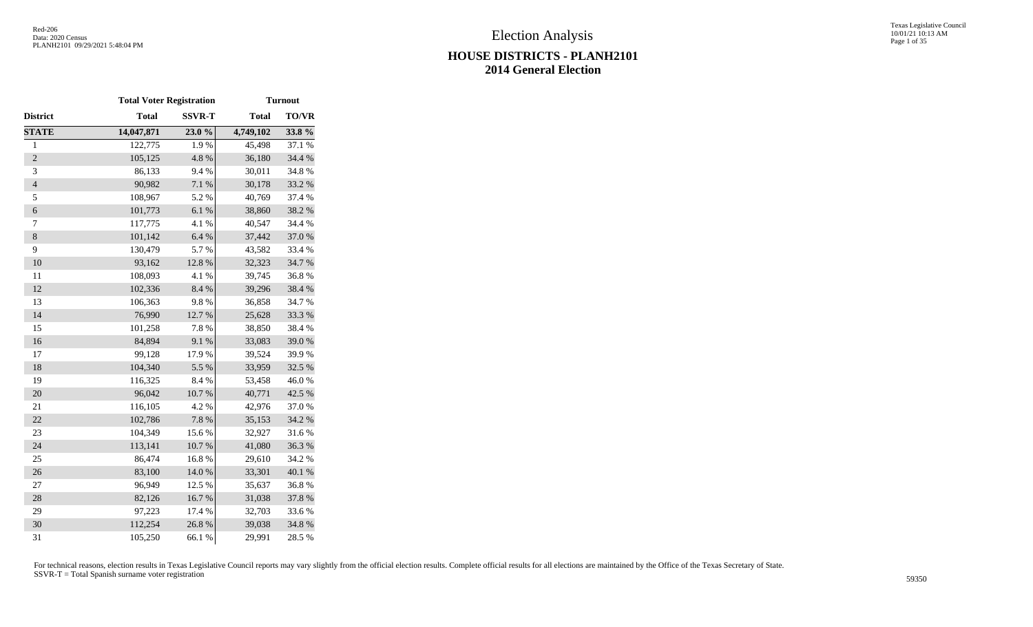#### Texas Legislative Council 10/01/21 10:13 AM Page 1 of 35

# **HOUSE DISTRICTS - PLANH2101 2014 General Election**

|                  | <b>Total Voter Registration</b> |               |              | <b>Turnout</b> |
|------------------|---------------------------------|---------------|--------------|----------------|
| District         | <b>Total</b>                    | <b>SSVR-T</b> | <b>Total</b> | <b>TO/VR</b>   |
| <b>STATE</b>     | 14,047,871                      | 23.0%         | 4,749,102    | 33.8%          |
| $\mathbf{1}$     | 122,775                         | 1.9%          | 45,498       | 37.1 %         |
| $\overline{2}$   | 105,125                         | 4.8%          | 36,180       | 34.4 %         |
| 3                | 86,133                          | 9.4%          | 30,011       | 34.8%          |
| $\overline{4}$   | 90,982                          | 7.1 %         | 30,178       | 33.2 %         |
| 5                | 108,967                         | 5.2 %         | 40,769       | 37.4 %         |
| $\boldsymbol{6}$ | 101,773                         | 6.1%          | 38,860       | 38.2 %         |
| 7                | 117,775                         | 4.1 %         | 40,547       | 34.4 %         |
| $\,8\,$          | 101,142                         | 6.4%          | 37,442       | 37.0%          |
| 9                | 130,479                         | 5.7%          | 43,582       | 33.4 %         |
| 10               | 93,162                          | 12.8 %        | 32,323       | 34.7%          |
| 11               | 108,093                         | 4.1 %         | 39,745       | 36.8%          |
| 12               | 102,336                         | 8.4 %         | 39,296       | 38.4%          |
| 13               | 106,363                         | 9.8%          | 36,858       | 34.7 %         |
| 14               | 76,990                          | 12.7 %        | 25,628       | 33.3 %         |
| 15               | 101,258                         | 7.8 %         | 38,850       | 38.4%          |
| 16               | 84,894                          | 9.1%          | 33,083       | 39.0%          |
| 17               | 99,128                          | 17.9%         | 39,524       | 39.9%          |
| 18               | 104,340                         | 5.5 %         | 33,959       | 32.5 %         |
| 19               | 116,325                         | 8.4%          | 53,458       | 46.0%          |
| 20               | 96,042                          | 10.7 %        | 40,771       | 42.5 %         |
| 21               | 116,105                         | 4.2 %         | 42,976       | 37.0%          |
| 22               | 102,786                         | $7.8~\%$      | 35,153       | 34.2 %         |
| 23               | 104,349                         | 15.6 %        | 32,927       | 31.6%          |
| 24               | 113,141                         | $10.7~\%$     | 41,080       | 36.3%          |
| 25               | 86,474                          | 16.8%         | 29,610       | 34.2 %         |
| 26               | 83,100                          | 14.0 %        | 33,301       | 40.1%          |
| $27\,$           | 96,949                          | 12.5 %        | 35,637       | 36.8%          |
| 28               | 82,126                          | 16.7%         | 31,038       | 37.8 %         |
| 29               | 97,223                          | 17.4 %        | 32,703       | 33.6%          |
| 30               | 112,254                         | 26.8%         | 39,038       | 34.8%          |
| 31               | 105,250                         | 66.1%         | 29,991       | 28.5 %         |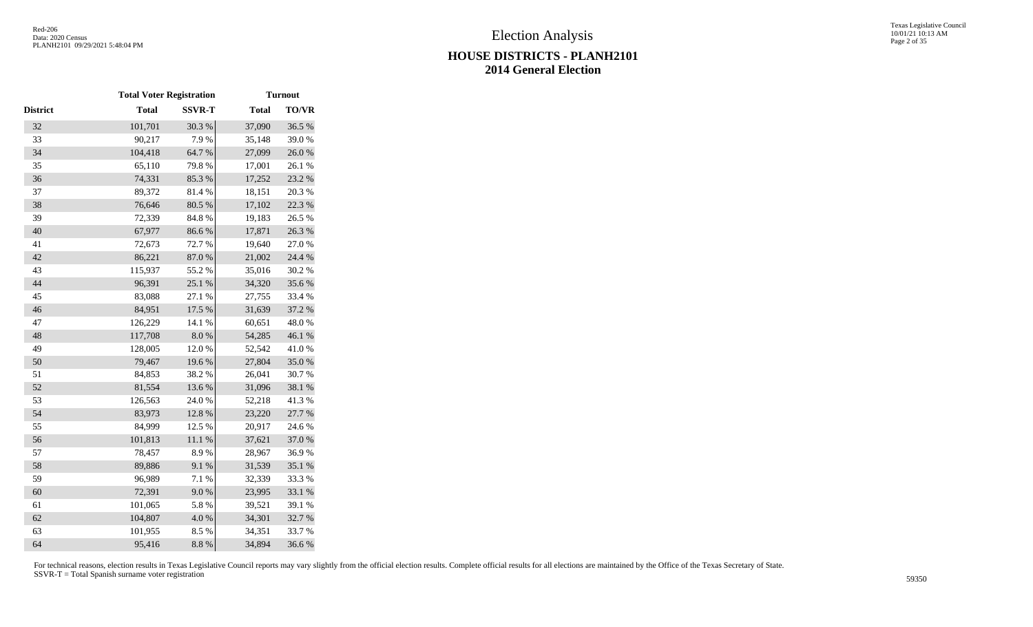|          | <b>Total Voter Registration</b> |               |              | <b>Turnout</b> |
|----------|---------------------------------|---------------|--------------|----------------|
| District | <b>Total</b>                    | <b>SSVR-T</b> | <b>Total</b> | <b>TO/VR</b>   |
| 32       | 101,701                         | 30.3 %        | 37,090       | 36.5 %         |
| 33       | 90,217                          | 7.9%          | 35,148       | 39.0%          |
| 34       | 104,418                         | 64.7%         | 27,099       | 26.0%          |
| 35       | 65,110                          | 79.8%         | 17,001       | 26.1 %         |
| 36       | 74,331                          | 85.3 %        | 17,252       | 23.2 %         |
| 37       | 89,372                          | 81.4%         | 18,151       | 20.3 %         |
| 38       | 76,646                          | 80.5 %        | 17,102       | 22.3 %         |
| 39       | 72,339                          | 84.8 %        | 19,183       | 26.5 %         |
| 40       | 67,977                          | 86.6%         | 17,871       | 26.3%          |
| 41       | 72,673                          | 72.7 %        | 19,640       | 27.0 %         |
| 42       | 86,221                          | 87.0%         | 21,002       | 24.4 %         |
| 43       | 115,937                         | 55.2 %        | 35,016       | 30.2 %         |
| 44       | 96,391                          | 25.1 %        | 34,320       | 35.6%          |
| 45       | 83,088                          | 27.1 %        | 27,755       | 33.4 %         |
| 46       | 84,951                          | 17.5 %        | 31,639       | 37.2 %         |
| 47       | 126,229                         | 14.1 %        | 60,651       | 48.0%          |
| 48       | 117,708                         | $8.0\ \%$     | 54,285       | 46.1 %         |
| 49       | 128,005                         | 12.0%         | 52,542       | 41.0%          |
| 50       | 79,467                          | 19.6%         | 27,804       | 35.0%          |
| 51       | 84,853                          | 38.2%         | 26,041       | 30.7%          |
| 52       | 81,554                          | 13.6%         | 31,096       | $38.1~\%$      |
| 53       | 126,563                         | 24.0%         | 52,218       | 41.3%          |
| 54       | 83,973                          | 12.8 %        | 23,220       | 27.7 %         |
| 55       | 84,999                          | 12.5 %        | 20,917       | 24.6 %         |
| 56       | 101,813                         | $11.1\ \%$    | 37,621       | 37.0 %         |
| 57       | 78,457                          | 8.9%          | 28,967       | 36.9%          |
| 58       | 89,886                          | 9.1%          | 31,539       | 35.1 %         |
| 59       | 96,989                          | 7.1 %         | 32,339       | 33.3%          |
| 60       | 72,391                          | $9.0\;\%$     | 23,995       | 33.1 %         |
| 61       | 101,065                         | 5.8 %         | 39,521       | 39.1 %         |
| 62       | 104,807                         | 4.0 %         | 34,301       | 32.7%          |
| 63       | 101,955                         | 8.5%          | 34,351       | 33.7%          |
| 64       | 95,416                          | 8.8 %         | 34,894       | 36.6%          |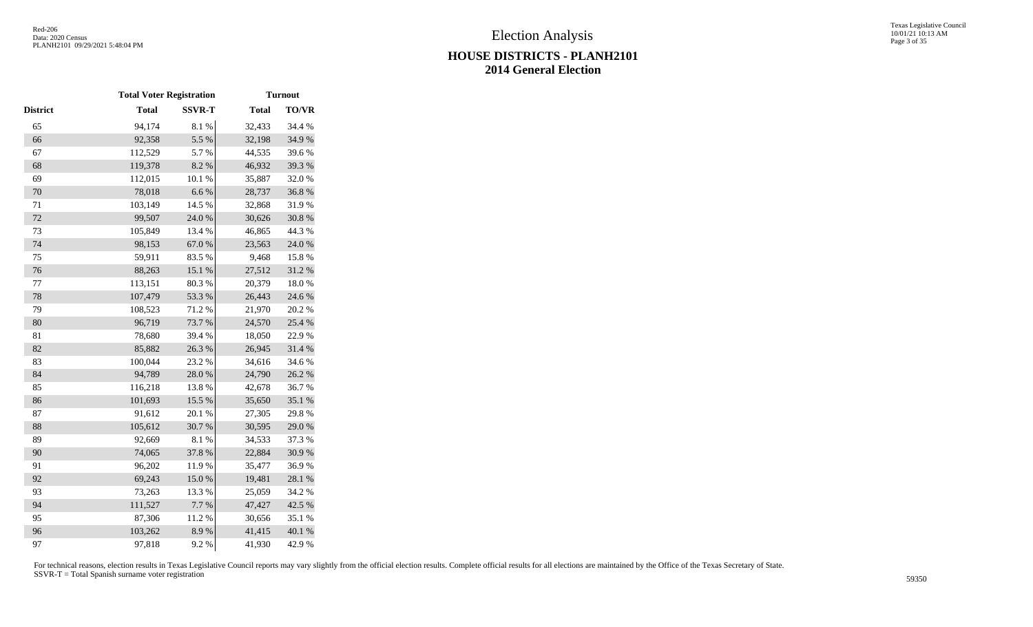|          | <b>Total Voter Registration</b> |               |              | <b>Turnout</b> |
|----------|---------------------------------|---------------|--------------|----------------|
| District | <b>Total</b>                    | <b>SSVR-T</b> | <b>Total</b> | <b>TO/VR</b>   |
| 65       | 94,174                          | $8.1~\%$      | 32,433       | 34.4 %         |
| 66       | 92,358                          | 5.5 %         | 32,198       | 34.9%          |
| 67       | 112,529                         | 5.7%          | 44,535       | 39.6%          |
| 68       | 119,378                         | 8.2 %         | 46,932       | 39.3%          |
| 69       | 112,015                         | 10.1 %        | 35,887       | 32.0%          |
| 70       | 78,018                          | 6.6%          | 28,737       | 36.8%          |
| $71\,$   | 103,149                         | 14.5 %        | 32,868       | 31.9%          |
| $72\,$   | 99,507                          | 24.0 %        | 30,626       | $30.8~\%$      |
| 73       | 105,849                         | 13.4 %        | 46,865       | 44.3 %         |
| 74       | 98,153                          | $67.0\ \%$    | 23,563       | $24.0\;\%$     |
| 75       | 59,911                          | 83.5%         | 9,468        | 15.8%          |
| 76       | 88,263                          | 15.1 %        | 27,512       | 31.2%          |
| 77       | 113,151                         | 80.3%         | 20,379       | 18.0%          |
| 78       | 107,479                         | 53.3%         | 26,443       | 24.6 %         |
| 79       | 108,523                         | 71.2%         | 21,970       | 20.2 %         |
| 80       | 96,719                          | 73.7 %        | 24,570       | 25.4 %         |
| 81       | 78,680                          | 39.4 %        | 18,050       | 22.9%          |
| 82       | 85,882                          | 26.3 %        | 26,945       | 31.4 %         |
| 83       | 100,044                         | 23.2 %        | 34,616       | 34.6 %         |
| 84       | 94,789                          | 28.0%         | 24,790       | 26.2 %         |
| 85       | 116,218                         | 13.8%         | 42,678       | 36.7%          |
| 86       | 101,693                         | 15.5 %        | 35,650       | 35.1 %         |
| 87       | 91,612                          | $20.1~\%$     | 27,305       | 29.8%          |
| 88       | 105,612                         | 30.7%         | 30,595       | 29.0 %         |
| 89       | 92,669                          | 8.1 %         | 34,533       | 37.3 %         |
| 90       | 74,065                          | 37.8 %        | 22,884       | 30.9%          |
| 91       | 96,202                          | 11.9%         | 35,477       | 36.9%          |
| 92       | 69,243                          | 15.0%         | 19,481       | 28.1 %         |
| 93       | 73,263                          | 13.3 %        | 25,059       | 34.2 %         |
| 94       | 111,527                         | 7.7 %         | 47,427       | 42.5 %         |
| 95       | 87,306                          | 11.2%         | 30,656       | 35.1 %         |
| 96       | 103,262                         | 8.9%          | 41,415       | 40.1 %         |
| 97       | 97,818                          | 9.2%          | 41,930       | 42.9%          |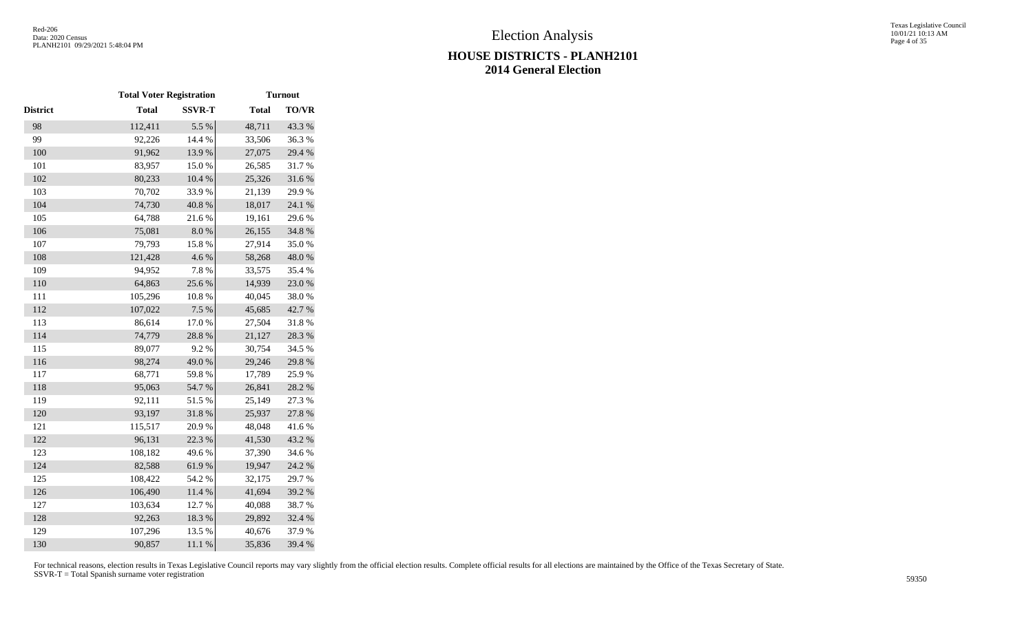|                 | <b>Total Voter Registration</b> |               |              | <b>Turnout</b> |
|-----------------|---------------------------------|---------------|--------------|----------------|
| <b>District</b> | <b>Total</b>                    | <b>SSVR-T</b> | <b>Total</b> | <b>TO/VR</b>   |
| 98              | 112,411                         | 5.5 %         | 48,711       | 43.3 %         |
| 99              | 92,226                          | 14.4 %        | 33,506       | 36.3%          |
| 100             | 91,962                          | 13.9%         | 27,075       | 29.4 %         |
| 101             | 83,957                          | 15.0%         | 26,585       | 31.7%          |
| 102             | 80,233                          | 10.4 %        | 25,326       | 31.6 %         |
| 103             | 70,702                          | 33.9%         | 21,139       | 29.9%          |
| 104             | 74,730                          | 40.8 %        | 18,017       | 24.1 %         |
| 105             | 64,788                          | 21.6%         | 19,161       | 29.6%          |
| 106             | 75,081                          | $8.0\ \%$     | 26,155       | 34.8%          |
| 107             | 79,793                          | 15.8 %        | 27,914       | 35.0%          |
| 108             | 121,428                         | 4.6 %         | 58,268       | 48.0 %         |
| 109             | 94,952                          | 7.8%          | 33,575       | 35.4 %         |
| 110             | 64,863                          | 25.6%         | 14,939       | 23.0 %         |
| 111             | 105,296                         | 10.8%         | 40,045       | 38.0%          |
| 112             | 107,022                         | 7.5 %         | 45,685       | 42.7 %         |
| 113             | 86,614                          | 17.0%         | 27,504       | 31.8%          |
| 114             | 74,779                          | 28.8 %        | 21,127       | 28.3 %         |
| 115             | 89,077                          | 9.2%          | 30,754       | 34.5 %         |
| 116             | 98,274                          | 49.0%         | 29,246       | 29.8 %         |
| 117             | 68,771                          | 59.8%         | 17,789       | 25.9%          |
| 118             | 95,063                          | 54.7%         | 26,841       | 28.2 %         |
| 119             | 92,111                          | 51.5 %        | 25,149       | 27.3 %         |
| 120             | 93,197                          | 31.8%         | 25,937       | 27.8 %         |
| 121             | 115,517                         | 20.9%         | 48,048       | 41.6%          |
| 122             | 96,131                          | 22.3 %        | 41,530       | 43.2 %         |
| 123             | 108,182                         | 49.6%         | 37,390       | 34.6%          |
| 124             | 82,588                          | 61.9%         | 19,947       | 24.2 %         |
| 125             | 108,422                         | 54.2 %        | 32,175       | 29.7%          |
| 126             | 106,490                         | $11.4\ \%$    | 41,694       | 39.2 %         |
| 127             | 103,634                         | 12.7 %        | 40,088       | 38.7%          |
| 128             | 92,263                          | 18.3 %        | 29,892       | 32.4 %         |
| 129             | 107,296                         | 13.5 %        | 40,676       | 37.9%          |
| 130             | 90,857                          | 11.1 %        | 35,836       | 39.4 %         |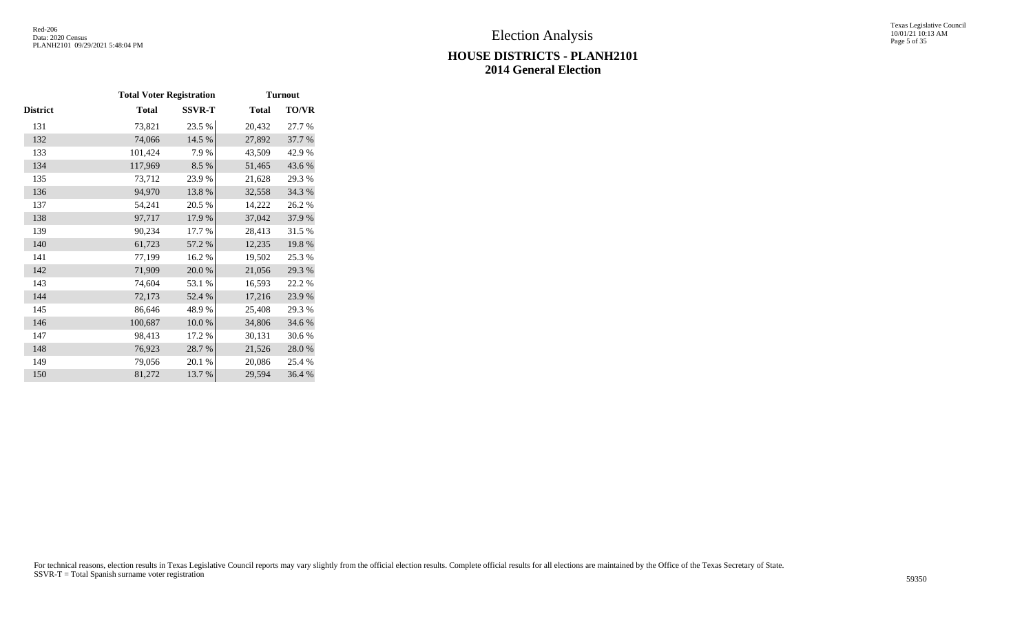#### Texas Legislative Council 10/01/21 10:13 AM Page 5 of 35

## **HOUSE DISTRICTS - PLANH2101 2014 General Election**

|          | <b>Total Voter Registration</b> |               |              | <b>Turnout</b> |
|----------|---------------------------------|---------------|--------------|----------------|
| District | <b>Total</b>                    | <b>SSVR-T</b> | <b>Total</b> | <b>TO/VR</b>   |
| 131      | 73,821                          | 23.5 %        | 20,432       | 27.7 %         |
| 132      | 74,066                          | 14.5 %        | 27,892       | 37.7 %         |
| 133      | 101,424                         | 7.9%          | 43,509       | 42.9 %         |
| 134      | 117,969                         | 8.5%          | 51,465       | 43.6%          |
| 135      | 73,712                          | 23.9%         | 21,628       | 29.3%          |
| 136      | 94,970                          | 13.8%         | 32,558       | 34.3 %         |
| 137      | 54,241                          | 20.5 %        | 14,222       | 26.2%          |
| 138      | 97,717                          | 17.9%         | 37,042       | 37.9%          |
| 139      | 90,234                          | 17.7 %        | 28,413       | 31.5 %         |
| 140      | 61,723                          | 57.2 %        | 12,235       | 19.8%          |
| 141      | 77,199                          | 16.2%         | 19,502       | 25.3 %         |
| 142      | 71,909                          | $20.0\;\%$    | 21,056       | 29.3 %         |
| 143      | 74,604                          | 53.1 %        | 16,593       | 22.2 %         |
| 144      | 72,173                          | 52.4 %        | 17,216       | 23.9%          |
| 145      | 86,646                          | 48.9%         | 25,408       | 29.3 %         |
| 146      | 100,687                         | 10.0%         | 34,806       | 34.6 %         |
| 147      | 98,413                          | 17.2 %        | 30,131       | 30.6%          |
| 148      | 76,923                          | 28.7%         | 21,526       | 28.0%          |
| 149      | 79,056                          | 20.1 %        | 20,086       | 25.4 %         |
| 150      | 81,272                          | 13.7 %        | 29,594       | 36.4 %         |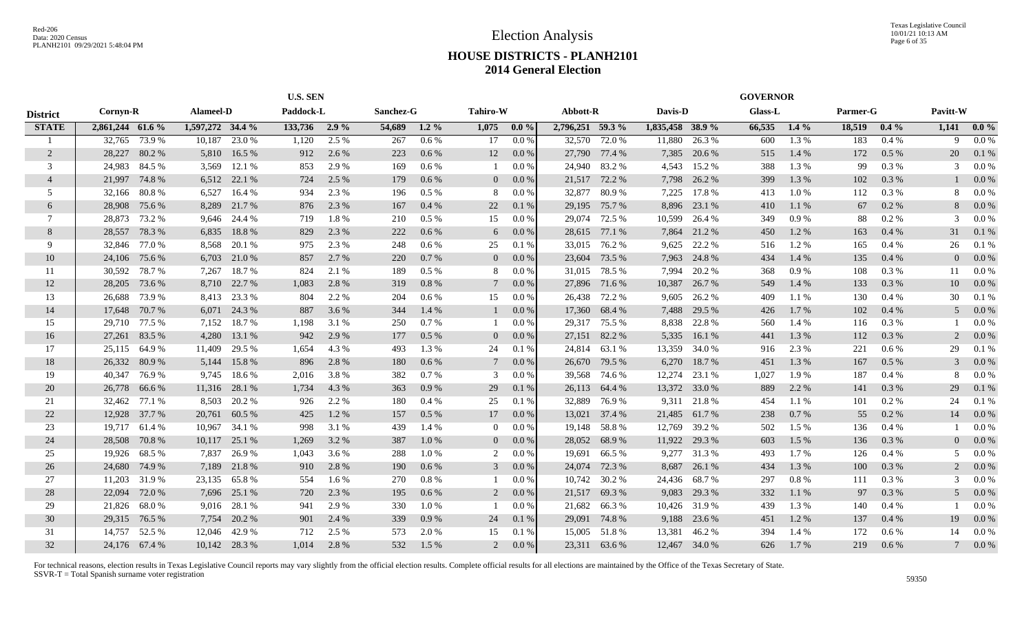|                 |                  |               |                  |               |               | <b>U.S. SEN</b> |           |           |                 |           |                  |               |                  |               | <b>GOVERNOR</b> |         |          |          |          |         |
|-----------------|------------------|---------------|------------------|---------------|---------------|-----------------|-----------|-----------|-----------------|-----------|------------------|---------------|------------------|---------------|-----------------|---------|----------|----------|----------|---------|
| <b>District</b> | Cornyn-R         |               | Alameel-D        |               | Paddock-L     |                 | Sanchez-G |           | <b>Tahiro-W</b> |           | Abbott-R         |               | Davis-D          |               | <b>Glass-L</b>  |         | Parmer-G |          | Pavitt-W |         |
| <b>STATE</b>    | 2,861,244 61.6 % |               | 1,597,272 34.4 % |               | 133,736 2.9 % |                 | 54,689    | $1.2\%$   | 1,075           | $0.0\%$   | 2,796,251 59.3 % |               | 1,835,458 38.9 % |               | 66,535          | $1.4\%$ | 18,519   | $0.4\%$  | 1,141    | $0.0\%$ |
|                 | 32,765           | 73.9 %        | 10,187           | 23.0 %        | 1,120         | 2.5 %           | 267       | $0.6\%$   | 17              | 0.0 %     | 32,570           | 72.0 %        | 11,880           | 26.3%         | 600             | 1.3 %   | 183      | 0.4%     | 9        | $0.0\%$ |
| 2               | 28,227           | 80.2%         | 5,810            | 16.5 %        | 912           | 2.6 %           | 223       | 0.6%      | 12              | $0.0\%$   | 27,790           | 77.4 %        | 7,385            | 20.6 %        | 515             | 1.4 %   | 172      | $0.5\%$  | 20       | 0.1%    |
| 3               | 24,983           | 84.5 %        | 3,569            | 12.1 %        | 853           | 2.9 %           | 169       | $0.6\%$   |                 | 0.0 %     | 24,940           | 83.2 %        | 4,543            | 15.2 %        | 388             | 1.3 %   | 99       | 0.3 %    | 3        | $0.0\%$ |
| $\overline{4}$  | 21,997           | 74.8%         |                  | 6,512 22.1 %  | 724           | 2.5 %           | 179       | 0.6 %     | $\overline{0}$  | $0.0\%$   | 21,517           | 72.2 %        | 7,798            | 26.2 %        | 399             | 1.3%    | 102      | 0.3 %    |          | $0.0\%$ |
| 5               | 32,166           | 80.8%         | 6,527            | 16.4 %        | 934           | 2.3 %           | 196       | 0.5%      | 8               | 0.0 %     | 32,877           | 80.9%         | 7,225            | 17.8%         | 413             | 1.0%    | 112      | 0.3 %    | 8        | 0.0 %   |
| 6               | 28,908           | 75.6 %        | 8,289            | 21.7 %        | 876           | 2.3 %           | 167       | 0.4 %     | 22              | 0.1%      | 29,195           | 75.7 %        | 8,896            | 23.1 %        | 410             | 1.1 %   | 67       | $0.2 \%$ | 8        | $0.0\%$ |
| 7               | 28,873           | 73.2 %        |                  | 9,646 24.4 %  | 719           | 1.8%            | 210       | $0.5\%$   | 15              | 0.0 %     | 29,074           | 72.5 %        | 10,599           | 26.4 %        | 349             | 0.9%    | 88       | 0.2 %    | 3        | 0.0 %   |
| 8               | 28,557           | 78.3 %        | 6,835            | 18.8%         | 829           | 2.3 %           | 222       | 0.6%      | 6               | 0.0 %     | 28,615           | 77.1 %        | 7,864            | 21.2 %        | 450             | 1.2%    | 163      | 0.4%     | 31       | 0.1%    |
| 9               | 32,846           | 77.0 %        | 8,568            | 20.1 %        | 975           | 2.3 %           | 248       | $0.6\,\%$ | 25              | 0.1%      | 33,015           | 76.2%         | 9,625            | 22.2 %        | 516             | 1.2%    | 165      | 0.4%     | 26       | 0.1%    |
| 10              | 24,106           | 75.6 %        | 6,703            | 21.0 %        | 857           | 2.7 %           | 220       | 0.7%      | $\overline{0}$  | $0.0\%$   | 23,604           | 73.5 %        | 7,963            | 24.8%         | 434             | 1.4 %   | 135      | 0.4%     | $\Omega$ | $0.0\%$ |
| -11             | 30,592           | 78.7%         | 7,267            | 18.7 %        | 824           | 2.1 %           | 189       | $0.5\%$   | 8               | 0.0 %     | 31,015           | 78.5 %        | 7,994            | 20.2 %        | 368             | 0.9%    | 108      | $0.3\%$  | 11       | $0.0\%$ |
| 12              | 28,205           | 73.6 %        | 8,710            | 22.7 %        | 1,083         | 2.8 %           | 319       | 0.8%      | 7               | 0.0 %     | 27,896           | 71.6 %        | 10,387           | 26.7 %        | 549             | 1.4 %   | 133      | 0.3 %    | 10       | $0.0\%$ |
| 13              | 26,688           | 73.9 %        | 8,413            | 23.3 %        | 804           | 2.2 %           | 204       | 0.6 %     | 15              | $0.0\%$   | 26,438           | 72.2 %        | 9,605            | 26.2 %        | 409             | 1.1 %   | 130      | 0.4%     | 30       | 0.1%    |
| 14              | 17,648           | 70.7 %        |                  | 6,071 24.3 %  | 887           | 3.6 %           | 344       | 1.4 %     |                 | $0.0\%$   | 17,360           | 68.4 %        | 7,488            | 29.5 %        | 426             | 1.7 %   | 102      | $0.4\%$  | 5        | $0.0\%$ |
| 15              |                  | 29,710 77.5 % | 7,152            | 18.7 %        | 1,198         | 3.1 %           | 250       | 0.7 %     |                 | 0.0 %     | 29,317           | 75.5 %        | 8,838            | 22.8 %        | 560             | 1.4 %   | 116      | 0.3 %    |          | 0.0 %   |
| 16              | 27,261           | 83.5 %        | 4,280            | 13.1 %        | 942           | 2.9 %           | 177       | $0.5\%$   | $\overline{0}$  | $0.0\%$   |                  | 27,151 82.2 % | 5,335            | 16.1 %        | 441             | 1.3 %   | 112      | 0.3%     | 2        | $0.0\%$ |
| 17              | 25,115           | 64.9%         | 11,409           | 29.5 %        | 1,654         | 4.3 %           | 493       | 1.3 %     | 24              | 0.1%      | 24,814           | 63.1 %        | 13,359           | 34.0 %        | 916             | 2.3 %   | 221      | $0.6\%$  | 29       | 0.1%    |
| 18              | 26,332           | 80.9%         | 5,144            | 15.8%         | 896           | 2.8%            | 180       | 0.6%      | $7\phantom{.0}$ | 0.0 %     | 26,670           | 79.5 %        | 6,270            | 18.7%         | 451             | 1.3%    | 167      | $0.5\%$  | 3        | $0.0\%$ |
| 19              | 40,347           | 76.9%         | 9,745            | 18.6%         | 2,016         | 3.8%            | 382       | 0.7%      | 3               | 0.0 %     | 39,568           | 74.6 %        | 12,274           | 23.1 %        | 1,027           | 1.9%    | 187      | 0.4%     | 8        | 0.0 %   |
| 20              | 26,778           | 66.6 %        | 11,316           | 28.1 %        | 1,734         | 4.3 %           | 363       | 0.9%      | 29              | 0.1%      | 26,113           | 64.4 %        | 13,372           | 33.0%         | 889             | 2.2 %   | 141      | 0.3%     | 29       | 0.1%    |
| 21              | 32,462           | 77.1 %        | 8,503            | 20.2 %        | 926           | 2.2 %           | 180       | 0.4%      | 25              | 0.1%      | 32,889           | 76.9%         | 9,311            | 21.8%         | 454             | 1.1%    | 101      | 0.2 %    | 24       | 0.1%    |
| 22              | 12,928           | 37.7 %        | 20,761           | 60.5 %        | 425           | 1.2%            | 157       | 0.5%      | 17              | 0.0 %     | 13,021           | 37.4 %        | 21,485           | 61.7 %        | 238             | 0.7%    | 55       | $0.2 \%$ | 14       | $0.0\%$ |
| 23              | 19,717           | 61.4 %        | 10,967           | 34.1 %        | 998           | 3.1 %           | 439       | 1.4 %     | $\overline{0}$  | 0.0 %     | 19,148           | 58.8%         | 12,769           | 39.2 %        | 502             | 1.5 %   | 136      | 0.4%     |          | 0.0 %   |
| 24              | 28,508           | 70.8%         | 10,117           | 25.1 %        | 1,269         | 3.2 %           | 387       | 1.0%      | $\overline{0}$  | $0.0\%$   | 28,052           | 68.9%         | 11,922           | 29.3 %        | 603             | 1.5 %   | 136      | 0.3 %    |          | $0.0\%$ |
| 25              | 19,926           | 68.5 %        | 7,837            | 26.9%         | 1,043         | 3.6 %           | 288       | 1.0%      | 2               | 0.0 %     | 19,691           | 66.5%         | 9,277            | 31.3%         | 493             | 1.7 %   | 126      | 0.4%     | 5        | $0.0\%$ |
| 26              | 24,680           | 74.9 %        | 7,189            | 21.8%         | 910           | 2.8 %           | 190       | 0.6 %     | 3               | 0.0 %     | 24,074           | 72.3 %        | 8,687            | 26.1 %        | 434             | 1.3%    | 100      | 0.3 %    |          | $0.0\%$ |
| 27              | 11,203           | 31.9%         | 23,135           | 65.8%         | 554           | 1.6 %           | 270       | 0.8%      |                 | $0.0\%$   | 10,742           | 30.2 %        | 24,436           | 68.7%         | 297             | 0.8%    | 111      | 0.3%     | 3        | $0.0\%$ |
| 28              | 22,094           | 72.0 %        | 7,696            | 25.1 %        | 720           | 2.3 %           | 195       | $0.6\%$   | 2               | $0.0\%$   | 21,517           | 69.3%         | 9,083            | 29.3 %        | 332             | 1.1 %   | 97       | 0.3%     | 5        | $0.0\%$ |
| 29              | 21,826           | 68.0%         |                  | 9,016 28.1 %  | 941           | 2.9 %           | 330       | 1.0%      |                 | 0.0 %     | 21,682           | 66.3%         | 10,426           | 31.9%         | 439             | 1.3 %   | 140      | 0.4%     |          | 0.0 %   |
| 30              | 29,315           | 76.5 %        | 7,754            | 20.2 %        | 901           | 2.4 %           | 339       | 0.9%      | 24              | 0.1%      | 29,091           | 74.8%         | 9,188            | 23.6 %        | 451             | 1.2%    | 137      | 0.4%     | 19       | $0.0\%$ |
| 31              | 14,757           | 52.5 %        | 12,046           | 42.9 %        | 712           | 2.5 %           | 573       | 2.0%      | 15              | 0.1%      | 15,005           | 51.8%         | 13,381           | 46.2%         | 394             | 1.4 %   | 172      | $0.6\%$  | 14       | 0.0 %   |
| 32              |                  | 24,176 67.4 % |                  | 10,142 28.3 % | 1,014         | 2.8%            | 532       | 1.5 %     | 2               | $0.0\ \%$ |                  | 23,311 63.6 % |                  | 12,467 34.0 % | 626             | $1.7\%$ | 219      | $0.6\%$  |          | $0.0\%$ |
|                 |                  |               |                  |               |               |                 |           |           |                 |           |                  |               |                  |               |                 |         |          |          |          |         |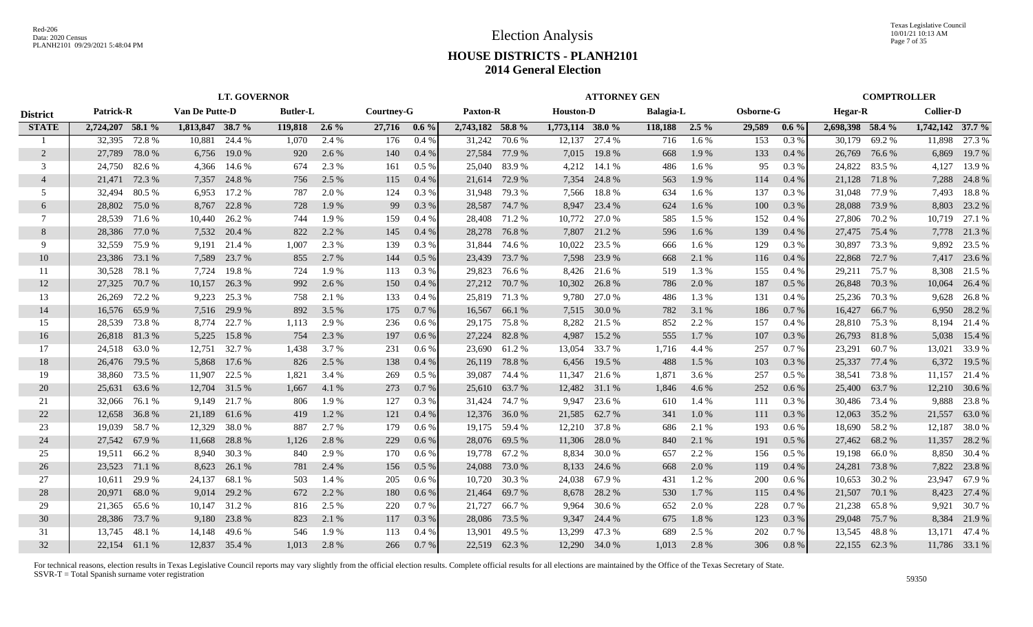Texas Legislative Council 10/01/21 10:13 AM Page 7 of 35

## **HOUSE DISTRICTS - PLANH2101 2014 General Election**

|                 | <b>LT. GOVERNOR</b> |               |                  |               |                 |       |            |         |                  |               |                  | <b>ATTORNEY GEN</b> |                  |       |           |         |                  |               | <b>COMPTROLLER</b> |               |
|-----------------|---------------------|---------------|------------------|---------------|-----------------|-------|------------|---------|------------------|---------------|------------------|---------------------|------------------|-------|-----------|---------|------------------|---------------|--------------------|---------------|
| <b>District</b> | <b>Patrick-R</b>    |               | Van De Putte-D   |               | <b>Butler-L</b> |       | Courtney-G |         | <b>Paxton-R</b>  |               | <b>Houston-D</b> |                     | <b>Balagia-L</b> |       | Osborne-G |         | <b>Hegar-R</b>   |               | <b>Collier-D</b>   |               |
| <b>STATE</b>    | 2,724,207 58.1 %    |               | 1,813,847 38.7 % |               | 119,818 2.6 %   |       | 27,716     | $0.6\%$ | 2,743,182 58.8 % |               | 1,773,114 38.0 % |                     | 118,188 2.5 %    |       | 29,589    | $0.6\%$ | 2,698,398 58.4 % |               | $1,742,142$ 37.7 % |               |
|                 | 32,395              | 72.8%         | 10,881           | 24.4 %        | 1,070           | 2.4 % | 176        | 0.4%    |                  | 31,242 70.6 % | 12,137           | 27.4 %              | 716              | 1.6%  | 153       | 0.3%    | 30.179           | 69.2 %        | 11,898             | 27.3 %        |
| 2               | 27,789              | 78.0%         | 6,756            | 19.0 %        | 920             | 2.6 % | 140        | $0.4\%$ | 27,584           | 77.9 %        | 7,015            | 19.8%               | 668              | 1.9%  | 133       | $0.4\%$ | 26,769           | 76.6 %        | 6,869              | 19.7 %        |
| 3               | 24,750              | 82.6 %        |                  | 4,366 14.6 %  | 674             | 2.3 % | 161        | $0.5\%$ | 25,040           | 83.9%         | 4,212            | 14.1 %              | 486              | 1.6 % | 95        | $0.3\%$ | 24,822           | 83.5 %        | 4,127              | 13.9 %        |
| $\overline{4}$  | 21,471              | 72.3 %        | 7,357            | 24.8%         | 756             | 2.5 % | 115        | 0.4%    | 21,614           | 72.9 %        | 7,354            | 24.8%               | 563              | 1.9%  | 114       | 0.4%    | 21,128 71.8 %    |               | 7,288              | 24.8%         |
| .5              | 32.494              | 80.5 %        | 6,953            | 17.2 %        | 787             | 2.0 % | 124        | $0.3\%$ | 31,948           | 79.3 %        | 7,566            | 18.8%               | 634              | 1.6 % | 137       | $0.3\%$ | 31,048           | 77.9 %        | 7,493              | 18.8%         |
| 6               | 28,802              | 75.0%         | 8,767            | 22.8%         | 728             | 1.9%  | 99         | 0.3%    | 28,587           | 74.7%         | 8,947            | 23.4 %              | 624              | 1.6 % | 100       | 0.3%    | 28,088           | 73.9%         | 8,803              | 23.2 %        |
| 7               | 28,539              | 71.6 %        | 10,440           | 26.2 %        | 744             | 1.9%  | 159        | 0.4%    | 28,408           | 71.2 %        | 10,772           | 27.0 %              | 585              | 1.5 % | 152       | 0.4%    | 27,806           | 70.2 %        | 10,719             | 27.1 %        |
| 8               | 28,386              | 77.0 %        | 7,532            | 20.4 %        | 822             | 2.2 % | 145        | 0.4%    | 28,278           | 76.8%         | 7,807            | 21.2 %              | 596              | 1.6 % | 139       | 0.4%    | 27,475           | 75.4 %        |                    | 7,778 21.3 %  |
| 9               | 32,559              | 75.9%         | 9,191            | 21.4 %        | 1,007           | 2.3 % | 139        | 0.3 %   | 31,844           | 74.6 %        | 10,022           | 23.5 %              | 666              | 1.6 % | 129       | 0.3 %   | 30,897           | 73.3 %        | 9,892              | 23.5 %        |
| 10              | 23,386              | 73.1 %        | 7,589            | 23.7 %        | 855             | 2.7 % | 144        | 0.5%    | 23,439           | 73.7 %        | 7,598            | 23.9 %              | 668              | 2.1 % | 116       | 0.4%    | 22,868           | 72.7 %        | 7,417              | 23.6 %        |
| 11              | 30,528              | 78.1 %        | 7,724            | 19.8%         | 724             | 1.9%  | 113        | $0.3\%$ | 29,823           | 76.6 %        | 8,426            | 21.6 %              | 519              | 1.3 % | 155       | 0.4%    | 29,211           | 75.7 %        | 8,308              | 21.5 %        |
| 12              | 27,325              | 70.7 %        | 10,157           | 26.3 %        | 992             | 2.6 % | 150        | 0.4%    | 27,212           | 70.7 %        | 10,302           | 26.8%               | 786              | 2.0 % | 187       | $0.5\%$ |                  | 26,848 70.3 % | 10,064             | 26.4 %        |
| 13              | 26,269              | 72.2 %        | 9,223            | 25.3 %        | 758             | 2.1 % | 133        | 0.4%    |                  | 25,819 71.3 % | 9,780            | 27.0 %              | 486              | 1.3 % | 131       | $0.4\%$ | 25,236           | 70.3 %        | 9,628              | 26.8 %        |
| 14              | 16.576              | 65.9%         | 7,516            | 29.9 %        | 892             | 3.5 % | 175        | 0.7%    |                  | 16,567 66.1 % | 7,515            | 30.0 %              | 782              | 3.1 % | 186       | 0.7%    | 16,427           | 66.7%         | 6,950              | 28.2 %        |
| 15              | 28,539              | 73.8%         | 8,774            | 22.7 %        | 1,113           | 2.9 % | 236        | 0.6%    |                  | 29,175 75.8 % | 8,282            | 21.5 %              | 852              | 2.2 % | 157       | 0.4%    | 28,810           | 75.3 %        |                    | 8,194 21.4 %  |
| 16              |                     | 26,818 81.3 % | 5,225            | 15.8%         | 754             | 2.3 % | 197        | 0.6%    |                  | 27,224 82.8 % | 4,987            | 15.2 %              | 555              | 1.7 % | 107       | 0.3%    |                  | 26,793 81.8 % |                    | 5,038 15.4 %  |
| 17              | 24,518              | 63.0%         | 12,751           | 32.7 %        | 1,438           | 3.7 % | 231        | 0.6 %   |                  | 23,690 61.2 % | 13,054           | 33.7 %              | 1,716            | 4.4 % | 257       | 0.7%    | 23,291           | 60.7%         | 13,021             | 33.9 %        |
| 18              | 26,476              | 79.5 %        | 5,868            | 17.6 %        | 826             | 2.5 % | 138        | $0.4\%$ | 26,119           | 78.8%         | 6,456            | 19.5 %              | 488              | 1.5 % | 103       | 0.3%    | 25,337           | 77.4 %        | 6,372              | 19.5 %        |
| 19              | 38,860              | 73.5 %        | 11,907           | 22.5 %        | 1,821           | 3.4 % | 269        | $0.5\%$ | 39,087           | 74.4 %        | 11,347           | 21.6 %              | 1,871            | 3.6 % | 257       | $0.5\%$ | 38,541           | 73.8%         | 11,157             | 21.4 %        |
| 20              | 25,631              | 63.6 %        | 12,704           | 31.5 %        | 1,667           | 4.1 % | 273        | 0.7%    | 25,610           | 63.7 %        | 12,482           | 31.1 %              | 1,846            | 4.6 % | 252       | 0.6%    | 25,400           | 63.7 %        | 12,210             | 30.6 %        |
| 21              | 32,066              | 76.1 %        | 9,149            | 21.7 %        | 806             | 1.9%  | 127        | $0.3\%$ | 31,424           | 74.7 %        | 9,947            | 23.6 %              | 610              | 1.4 % | 111       | 0.3%    | 30,486           | 73.4 %        | 9,888              | 23.8%         |
| 22              | 12,658              | 36.8%         | 21,189           | 61.6%         | 419             | 1.2 % | 121        | 0.4%    | 12,376           | 36.0%         | 21,585           | 62.7 %              | 341              | 1.0%  | 111       | 0.3%    | 12,063           | 35.2 %        | 21,557             | 63.0 %        |
| 23              | 19,039              | 58.7%         | 12,329           | 38.0%         | 887             | 2.7 % | 179        | 0.6%    |                  | 19,175 59.4 % | 12,210           | 37.8%               | 686              | 2.1 % | 193       | 0.6 %   | 18,690           | 58.2 %        | 12,187             | 38.0%         |
| 24              | 27,542              | 67.9 %        | 11,668           | 28.8%         | 1,126           | 2.8 % | 229        | 0.6 %   |                  | 28,076 69.5 % | 11,306           | 28.0%               | 840              | 2.1 % | 191       | 0.5 %   | 27,462           | 68.2%         | 11,357             | 28.2 %        |
| 25              | 19,511              | 66.2%         | 8,940            | 30.3 %        | 840             | 2.9 % | 170        | $0.6\%$ |                  | 19,778 67.2 % | 8,834            | 30.0 %              | 657              | 2.2 % | 156       | 0.5%    |                  | 19,198 66.0 % |                    | 8,850 30.4 %  |
| 26              | 23,523              | 71.1 %        | 8,623            | 26.1 %        | 781             | 2.4 % | 156        | 0.5%    | 24,088           | 73.0 %        | 8,133            | 24.6 %              | 668              | 2.0 % | 119       | 0.4%    | 24,281           | 73.8%         | 7,822              | 23.8 %        |
| 27              | 10,611              | 29.9 %        | 24,137           | 68.1 %        | 503             | 1.4 % | 205        | 0.6 %   | 10,720           | 30.3 %        | 24,038           | 67.9%               | 431              | 1.2%  | 200       | 0.6%    | 10,653           | 30.2 %        | 23,947             | 67.9 %        |
| 28              | 20,971              | 68.0%         | 9,014            | 29.2 %        | 672             | 2.2 % | 180        | $0.6\%$ | 21,464           | 69.7 %        | 8,678            | 28.2 %              | 530              | 1.7 % | 115       | $0.4\%$ | 21,507           | 70.1 %        | 8,423              | 27.4 %        |
| 29              | 21,365              | 65.6 %        | 10,147           | 31.2 %        | 816             | 2.5 % | 220        | 0.7%    | 21,727           | 66.7 %        | 9,964            | 30.6 %              | 652              | 2.0 % | 228       | 0.7%    | 21,238           | 65.8%         | 9,921              | 30.7 %        |
| 30              | 28,386              | 73.7 %        | 9,180            | 23.8 %        | 823             | 2.1 % | 117        | 0.3 %   | 28,086           | 73.5 %        | 9,347            | 24.4 %              | 675              | 1.8%  | 123       | 0.3%    | 29,048           | 75.7%         | 8,384              | 21.9 %        |
| 31              | 13.745              | 48.1 %        | 14,148           | 49.6 %        | 546             | 1.9%  | 113        | 0.4%    | 13,901           | 49.5 %        | 13,299           | 47.3 %              | 689              | 2.5 % | 202       | 0.7%    | 13,545           | 48.8%         |                    | 13,171 47.4 % |
| 32              |                     | 22,154 61.1 % |                  | 12,837 35.4 % | 1.013           | 2.8 % | 266        | 0.7%    |                  | 22,519 62.3 % | 12,290           | 34.0 %              | 1,013            | 2.8%  | 306       | 0.8%    |                  | 22,155 62.3 % |                    | 11,786 33.1 % |
|                 |                     |               |                  |               |                 |       |            |         |                  |               |                  |                     |                  |       |           |         |                  |               |                    |               |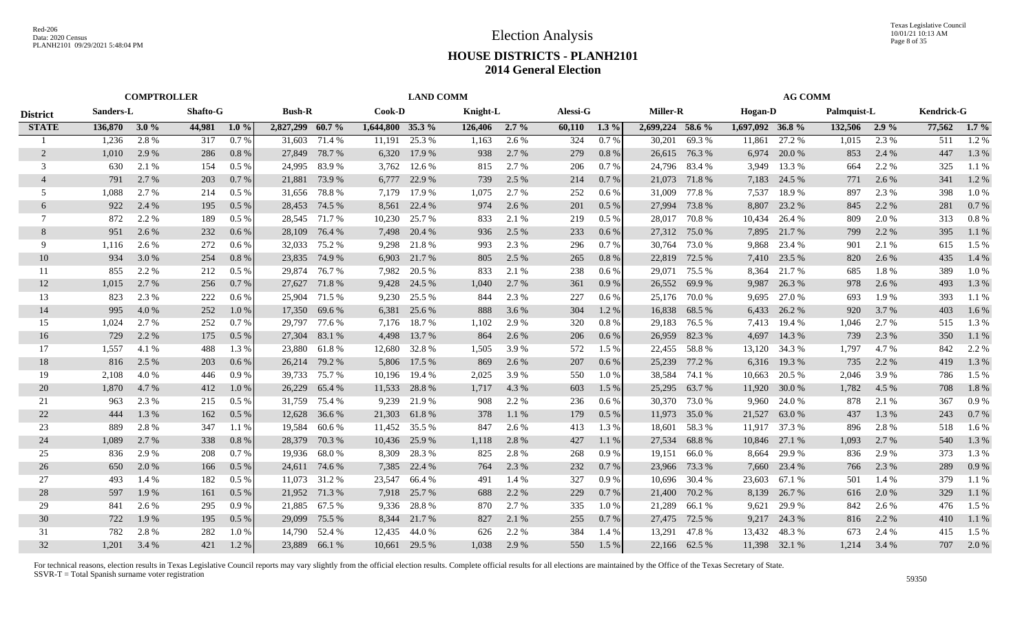|                 | <b>COMPTROLLER</b> |       |                 |          |                  |               |                  | <b>LAND COMM</b> |          |         |          |         |                  |               |                 | <b>AG COMM</b> |             |         |                   |         |
|-----------------|--------------------|-------|-----------------|----------|------------------|---------------|------------------|------------------|----------|---------|----------|---------|------------------|---------------|-----------------|----------------|-------------|---------|-------------------|---------|
| <b>District</b> | Sanders-L          |       | <b>Shafto-G</b> |          | <b>Bush-R</b>    |               | Cook-D           |                  | Knight-L |         | Alessi-G |         | <b>Miller-R</b>  |               | <b>Hogan-D</b>  |                | Palmquist-L |         | <b>Kendrick-G</b> |         |
| <b>STATE</b>    | 136,870 3.0 %      |       | 44,981          | $1.0\%$  | 2,827,299 60.7 % |               | 1,644,800 35.3 % |                  | 126,406  | $2.7\%$ | 60,110   | $1.3\%$ | 2,699,224 58.6 % |               | 1,697,092 36.8% |                | 132,506     | $2.9\%$ | 77,562            | $1.7\%$ |
|                 | 1,236              | 2.8%  | 317             | 0.7%     | 31.603           | 71.4 %        | 11.191           | 25.3 %           | 1,163    | 2.6 %   | 324      | 0.7%    | 30.201           | 69.3%         | 11,861          | 27.2 %         | 1,015       | 2.3 %   | 511               | 1.2 %   |
| 2               | 1,010              | 2.9 % | 286             | $0.8\%$  | 27,849           | 78.7 %        | 6,320            | 17.9 %           | 938      | 2.7 %   | 279      | 0.8%    | 26,615           | 76.3 %        | 6,974           | 20.0 %         | 853         | 2.4 %   | 447               | 1.3%    |
| 3               | 630                | 2.1 % | 154             | $0.5\%$  | 24.995           | 83.9%         | 3,762            | 12.6 %           | 815      | 2.7 %   | 206      | 0.7%    | 24.796           | 83.4 %        | 3,949           | 13.3 %         | 664         | 2.2 %   | 325               | 1.1%    |
| $\overline{4}$  | 791                | 2.7 % | 203             | 0.7%     | 21,881           | 73.9 %        | 6,777            | 22.9 %           | 739      | 2.5 %   | 214      | 0.7%    | 21,073           | 71.8%         | 7,183           | 24.5 %         | 771         | 2.6 %   | 341               | 1.2%    |
| 5               | 1,088              | 2.7 % | 214             | $0.5\%$  | 31,656           | 78.8%         | 7,179            | 17.9 %           | 1,075    | 2.7 %   | 252      | $0.6\%$ | 31,009           | 77.8%         | 7,537           | 18.9%          | 897         | 2.3 %   | 398               | 1.0%    |
| 6               | 922                | 2.4 % | 195             | 0.5 %    | 28,453           | 74.5 %        | 8,561            | 22.4 %           | 974      | 2.6 %   | 201      | 0.5%    | 27,994           | 73.8%         | 8,807           | 23.2 %         | 845         | 2.2 %   | 281               | 0.7%    |
| 7               | 872                | 2.2 % | 189             | $0.5\%$  |                  | 28,545 71.7 % | 10,230           | 25.7 %           | 833      | 2.1 %   | 219      | $0.5\%$ | 28,017           | 70.8%         | 10,434          | 26.4 %         | 809         | 2.0 %   | 313               | 0.8%    |
| 8               | 951                | 2.6 % | 232             | 0.6%     | 28,109           | 76.4 %        | 7,498            | 20.4 %           | 936      | 2.5 %   | 233      | 0.6 %   | 27,312           | 75.0 %        | 7,895           | 21.7 %         | 799         | 2.2 %   | 395               | 1.1%    |
| 9               | 1.116              | 2.6 % | 272             | $0.6\%$  | 32,033           | 75.2 %        | 9,298            | 21.8%            | 993      | 2.3 %   | 296      | 0.7%    | 30.764           | 73.0 %        | 9,868           | 23.4 %         | 901         | 2.1 %   | 615               | 1.5 %   |
| 10              | 934                | 3.0 % | 254             | 0.8%     | 23,835           | 74.9 %        | 6,903            | 21.7 %           | 805      | 2.5 %   | 265      | 0.8%    | 22,819           | 72.5 %        | 7,410           | 23.5 %         | 820         | 2.6 %   | 435               | 1.4 %   |
| 11              | 855                | 2.2 % | 212             | $0.5\%$  | 29.874           | 76.7 %        | 7,982            | 20.5 %           | 833      | 2.1 %   | 238      | 0.6%    | 29.071           | 75.5 %        | 8.364           | 21.7%          | 685         | 1.8%    | 389               | $1.0\%$ |
| 12              | 1,015              | 2.7 % | 256             | 0.7%     | 27,627           | 71.8%         | 9,428            | 24.5 %           | 1,040    | 2.7 %   | 361      | 0.9%    | 26,552           | 69.9%         | 9,987           | 26.3 %         | 978         | 2.6 %   | 493               | 1.3 %   |
| 13              | 823                | 2.3 % | 222             | $0.6\%$  | 25,904           | 71.5 %        | 9,230            | 25.5 %           | 844      | 2.3 %   | 227      | 0.6%    | 25,176           | 70.0 %        | 9,695           | 27.0 %         | 693         | 1.9 %   | 393               | 1.1 %   |
| 14              | 995                | 4.0 % | 252             | 1.0%     | 17,350           | 69.6 %        | 6,381            | 25.6 %           | 888      | 3.6 %   | 304      | 1.2%    | 16,838           | 68.5 %        | 6,433           | 26.2 %         | 920         | 3.7 %   | 403               | 1.6 %   |
| 15              | 1,024              | 2.7 % | 252             | 0.7%     | 29,797           | 77.6 %        |                  | 7,176 18.7 %     | 1,102    | 2.9%    | 320      | 0.8%    | 29,183           | 76.5 %        | 7,413           | 19.4 %         | 1,046       | 2.7 %   | 515               | 1.3%    |
| 16              | 729                | 2.2 % | 175             | $0.5\%$  | 27,304           | 83.1 %        | 4,498            | 13.7 %           | 864      | 2.6 %   | 206      | 0.6%    |                  | 26,959 82.3 % | 4,697           | 14.3 %         | 739         | 2.3 %   | 350               | 1.1%    |
| 17              | 1,557              | 4.1 % | 488             | 1.3%     | 23.880           | 61.8 %        | 12,680           | 32.8 %           | 1,505    | 3.9%    | 572      | $1.5\%$ |                  | 22,455 58.8 % | 13,120          | 34.3 %         | 1,797       | 4.7 %   | 842               | 2.2 %   |
| 18              | 816                | 2.5 % | 203             | 0.6%     | 26,214           | 79.2 %        | 5,806            | 17.5 %           | 869      | 2.6 %   | 207      | 0.6%    | 25,239           | 77.2 %        | 6,316           | 19.3 %         | 735         | 2.2 %   | 419               | 1.3%    |
| 19              | 2,108              | 4.0 % | 446             | 0.9%     | 39,733           | 75.7 %        | 10,196           | 19.4 %           | 2,025    | 3.9%    | 550      | 1.0%    | 38,584           | 74.1 %        | 10,663          | 20.5 %         | 2,046       | 3.9 %   | 786               | 1.5 %   |
| 20              | 1,870              | 4.7 % | 412             | 1.0%     | 26,229           | 65.4 %        | 11,533           | 28.8%            | 1,717    | 4.3 %   | 603      | 1.5 %   | 25,295           | 63.7 %        | 11,920          | 30.0 %         | 1,782       | 4.5 %   | 708               | 1.8%    |
| 21              | 963                | 2.3 % | 215             | $0.5\%$  | 31,759           | 75.4 %        | 9,239            | 21.9 %           | 908      | 2.2 %   | 236      | 0.6%    | 30,370           | 73.0 %        | 9,960           | 24.0 %         | 878         | 2.1 %   | 367               | 0.9%    |
| 22              | 444                | 1.3 % | 162             | $0.5\%$  | 12,628           | 36.6 %        | 21,303           | 61.8%            | 378      | 1.1%    | 179      | 0.5%    | 11,973           | 35.0 %        | 21,527          | 63.0%          | 437         | 1.3 %   | 243               | 0.7%    |
| 23              | 889                | 2.8%  | 347             | 1.1%     | 19,584           | 60.6 %        | 11,452           | 35.5 %           | 847      | 2.6 %   | 413      | 1.3 %   | 18,601           | 58.3%         | 11,917          | 37.3 %         | 896         | 2.8%    | 518               | 1.6 %   |
| 24              | 1,089              | 2.7 % | 338             | 0.8%     | 28,379           | 70.3%         | 10,436           | 25.9 %           | 1,118    | 2.8%    | 427      | 1.1%    | 27,534           | 68.8%         | 10,846          | 27.1 %         | 1,093       | 2.7 %   | 540               | 1.3 %   |
| 25              | 836                | 2.9 % | 208             | 0.7%     | 19.936           | 68.0%         | 8,309            | 28.3 %           | 825      | 2.8%    | 268      | 0.9%    | 19.151           | 66.0%         | 8.664           | 29.9%          | 836         | 2.9 %   | 373               | 1.3 %   |
| 26              | 650                | 2.0 % | 166             | 0.5 %    | 24,611           | 74.6 %        | 7,385            | 22.4 %           | 764      | 2.3 %   | 232      | 0.7%    | 23,966           | 73.3 %        | 7,660           | 23.4 %         | 766         | 2.3 %   | 289               | 0.9%    |
| 27              | 493                | 1.4 % | 182             | $0.5 \%$ | 11,073           | 31.2 %        | 23,547           | 66.4 %           | 491      | 1.4 %   | 327      | 0.9%    | 10,696           | 30.4 %        | 23,603          | 67.1 %         | 501         | 1.4 %   | 379               | 1.1 %   |
| 28              | 597                | 1.9 % | 161             | $0.5\%$  | 21,952           | 71.3 %        | 7,918            | 25.7 %           | 688      | 2.2 %   | 229      | 0.7%    | 21,400           | 70.2 %        | 8,139           | 26.7 %         | 616         | 2.0 %   | 329               | 1.1 %   |
| 29              | 841                | 2.6 % | 295             | 0.9%     | 21,885           | 67.5 %        | 9,336            | 28.8%            | 870      | 2.7 %   | 335      | 1.0%    | 21,289           | 66.1 %        | 9,621           | 29.9 %         | 842         | 2.6 %   | 476               | 1.5 %   |
| 30              | 722                | 1.9%  | 195             | $0.5\%$  | 29,099           | 75.5 %        | 8,344            | 21.7%            | 827      | 2.1 %   | 255      | 0.7%    | 27,475           | 72.5 %        | 9,217           | 24.3 %         | 816         | 2.2 %   | 410               | 1.1 %   |
| 31              | 782                | 2.8%  | 282             | 1.0%     | 14.790           | 52.4 %        | 12,435           | 44.0%            | 626      | 2.2 %   | 384      | 1.4 %   | 13,291           | 47.8%         | 13,432          | 48.3%          | 673         | 2.4 %   | 415               | 1.5 %   |
| 32              | 1,201              | 3.4 % | 421             | 1.2%     |                  | 23,889 66.1 % |                  | 10,661 29.5 %    | 1,038    | 2.9 %   | 550      | 1.5 %   |                  | 22,166 62.5 % |                 | 11,398 32.1 %  | 1,214       | 3.4 %   | 707               | 2.0%    |
|                 |                    |       |                 |          |                  |               |                  |                  |          |         |          |         |                  |               |                 |                |             |         |                   |         |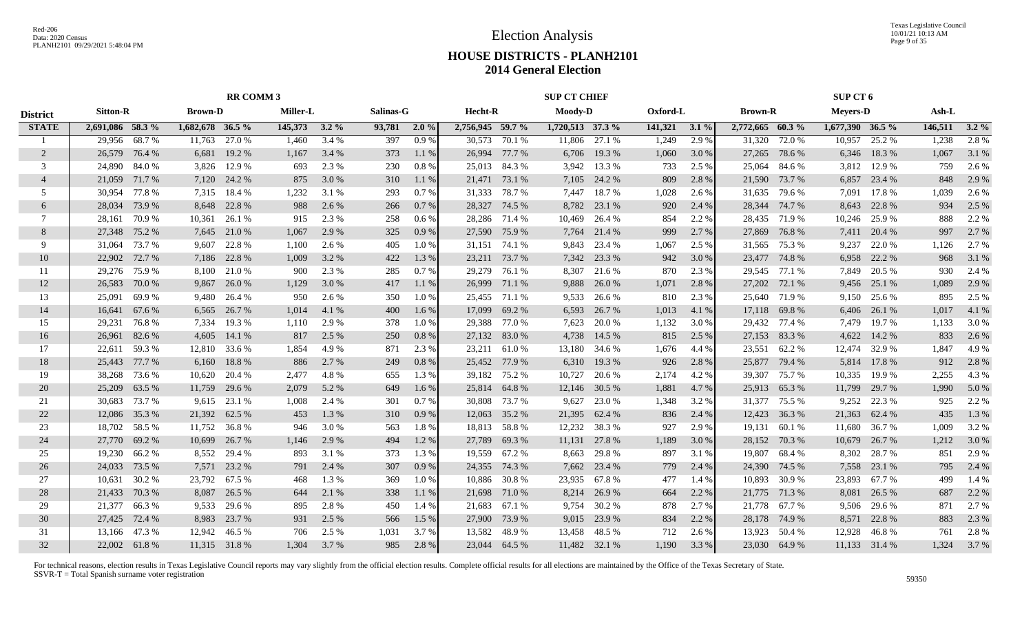Texas Legislative Council 10/01/21 10:13 AM Page 9 of 35

## **HOUSE DISTRICTS - PLANH2101 2014 General Election**

|                 | <b>RR COMM 3</b> |              |                  |               |                 |         |           |         |                  | <b>SUP CT CHIEF</b> |                  |        |          |         |                  | SUP CT 6      |                    |               |         |         |
|-----------------|------------------|--------------|------------------|---------------|-----------------|---------|-----------|---------|------------------|---------------------|------------------|--------|----------|---------|------------------|---------------|--------------------|---------------|---------|---------|
| <b>District</b> | <b>Sitton-R</b>  |              | <b>Brown-D</b>   |               | <b>Miller-L</b> |         | Salinas-G |         | Hecht-R          |                     | <b>Moody-D</b>   |        | Oxford-L |         | <b>Brown-R</b>   |               | <b>Meyers-D</b>    |               | Ash-L   |         |
| <b>STATE</b>    | 2,691,086 58.3 % |              | 1,682,678 36.5 % |               | 145,373         | $3.2\%$ | 93,781    | 2.0%    | 2,756,945 59.7 % |                     | 1,720,513 37.3 % |        | 141,321  | $3.1\%$ | 2,772,665 60.3 % |               | $1,677,390$ 36.5 % |               | 146,511 | $3.2\%$ |
|                 | 29,956           | 68.7%        | 11,763           | 27.0 %        | 1,460           | 3.4 %   | 397       | 0.9%    | 30,573           | 70.1 %              | 11,806           | 27.1 % | 1,249    | 2.9 %   | 31.320           | 72.0 %        | 10,957             | 25.2 %        | 1,238   | 2.8%    |
| 2               | 26,579           | 76.4 %       | 6,681            | 19.2 %        | 1,167           | 3.4 %   | 373       | 1.1 %   | 26,994           | 77.7 %              | 6,706            | 19.3 % | 1,060    | 3.0 %   | 27,265           | 78.6%         | 6,346              | 18.3%         | 1,067   | 3.1 %   |
| 3               | 24,890           | 84.0%        | 3,826            | 12.9 %        | 693             | 2.3 %   | 230       | 0.8 %   | 25,013           | 84.3 %              | 3,942            | 13.3 % | 733      | 2.5 %   | 25,064           | 84.6 %        | 3,812              | 12.9 %        | 759     | 2.6 %   |
| $\overline{4}$  | 21,059           | 71.7%        | 7,120            | 24.2 %        | 875             | 3.0 %   | 310       | 1.1%    | 21,471           | 73.1 %              | 7,105            | 24.2 % | 809      | 2.8 %   | 21,590           | 73.7%         | 6,857              | 23.4 %        | 848     | 2.9 %   |
| .5              | 30,954           | 77.8%        | 7,315            | 18.4 %        | 1,232           | 3.1 %   | 293       | 0.7%    | 31,333           | 78.7%               | 7,447            | 18.7%  | 1,028    | 2.6 %   | 31,635           | 79.6%         | 7,091              | 17.8%         | 1,039   | 2.6 %   |
| 6               | 28,034           | 73.9%        | 8,648            | 22.8%         | 988             | 2.6 %   | 266       | 0.7%    | 28,327           | 74.5 %              | 8,782            | 23.1 % | 920      | 2.4 %   | 28,344           | 74.7%         | 8,643              | 22.8%         | 934     | 2.5 %   |
| $\tau$          | 28,161           | 70.9%        | 10,361           | 26.1 %        | 915             | 2.3 %   | 258       | $0.6\%$ |                  | 28,286 71.4 %       | 10,469           | 26.4 % | 854      | 2.2 %   | 28,435           | 71.9 %        | 10,246             | 25.9%         | 888     | 2.2 %   |
| 8               | 27,348           | 75.2 %       | 7,645            | 21.0 %        | 1,067           | 2.9 %   | 325       | 0.9%    |                  | 27,590 75.9 %       | 7,764            | 21.4 % | 999      | 2.7 %   | 27,869           | 76.8%         | 7,411              | 20.4 %        | 997     | 2.7 %   |
| 9               | 31,064           | 73.7 %       | 9,607            | 22.8%         | 1,100           | 2.6 %   | 405       | 1.0%    | 31,151           | 74.1 %              | 9,843            | 23.4 % | 1,067    | 2.5 %   | 31,565           | 75.3 %        | 9,237              | 22.0 %        | 1,126   | 2.7 %   |
| 10              | 22,902           | 72.7 %       | 7,186            | 22.8%         | 1,009           | 3.2 %   | 422       | 1.3 %   | 23,211           | 73.7 %              | 7,342            | 23.3 % | 942      | 3.0 %   | 23,477           | 74.8%         | 6,958              | 22.2 %        | 968     | 3.1 %   |
| 11              | 29,276           | 75.9 %       | 8,100            | 21.0%         | 900             | 2.3 %   | 285       | 0.7%    | 29,279           | 76.1 %              | 8,307            | 21.6 % | 870      | 2.3 %   | 29,545           | 77.1 %        | 7.849              | 20.5 %        | 930     | 2.4 %   |
| 12              | 26,583           | 70.0%        | 9,867            | 26.0%         | 1,129           | 3.0 %   | 417       | 1.1%    | 26,999           | 71.1 %              | 9,888            | 26.0%  | 1,071    | 2.8 %   | 27,202           | 72.1 %        |                    | 9,456 25.1 %  | 1,089   | 2.9 %   |
| 13              | 25,091           | 69.9%        | 9,480            | 26.4 %        | 950             | 2.6 %   | 350       | 1.0%    | 25,455 71.1 %    |                     | 9,533            | 26.6 % | 810      | 2.3 %   | 25,640           | 71.9%         | 9,150              | 25.6 %        | 895     | 2.5 %   |
| 14              | 16,641           | 67.6 %       | 6,565            | 26.7 %        | 1,014           | 4.1 %   | 400       | 1.6 %   | 17,099           | 69.2 %              | 6,593            | 26.7 % | 1,013    | 4.1 %   | 17,118           | 69.8%         | 6,406              | 26.1 %        | 1,017   | 4.1 %   |
| 15              | 29,231           | 76.8%        | 7,334            | 19.3 %        | 1,110           | 2.9%    | 378       | 1.0%    | 29,388           | 77.0 %              | 7,623            | 20.0%  | 1,132    | 3.0%    | 29,432           | 77.4 %        | 7,479              | 19.7 %        | 1,133   | 3.0%    |
| 16              | 26,961           | 82.6 %       | 4,605            | 14.1 %        | 817             | 2.5 %   | 250       | 0.8%    |                  | 27,132 83.0 %       | 4,738            | 14.5 % | 815      | 2.5 %   |                  | 27,153 83.3 % | 4,622              | 14.2 %        | 833     | 2.6 %   |
| 17              | 22,611           | 59.3%        | 12,810           | 33.6 %        | 1,854           | 4.9 %   | 871       | 2.3 %   |                  | 23,211 61.0 %       | 13,180           | 34.6 % | 1,676    | 4.4 %   | 23,551           | 62.2 %        | 12,474             | 32.9 %        | 1,847   | 4.9%    |
| 18              | 25,443           | 77.7 %       | 6,160            | 18.8%         | 886             | 2.7 %   | 249       | 0.8%    | 25,452           | 77.9 %              | 6,310            | 19.3 % | 926      | 2.8 %   | 25,877           | 79.4 %        | 5,814              | 17.8%         | 912     | 2.8 %   |
| 19              | 38,268           | 73.6 %       | 10,620           | 20.4 %        | 2,477           | 4.8%    | 655       | 1.3 %   | 39,182           | 75.2 %              | 10,727           | 20.6 % | 2,174    | 4.2 %   | 39,307           | 75.7%         | 10,335             | 19.9%         | 2,255   | 4.3 %   |
| 20              | 25,209           | 63.5 %       | 11,759           | 29.6 %        | 2,079           | 5.2 %   | 649       | $1.6\%$ | 25,814           | 64.8%               | 12,146           | 30.5 % | 1,881    | 4.7 %   | 25,913           | 65.3%         | 11,799             | 29.7 %        | 1,990   | 5.0%    |
| 21              | 30,683           | 73.7 %       | 9,615            | 23.1 %        | 1,008           | 2.4 %   | 301       | 0.7%    | 30,808           | 73.7 %              | 9,627            | 23.0 % | 1,348    | 3.2 %   | 31,377           | 75.5 %        | 9.252              | 22.3 %        | 925     | 2.2 %   |
| 22              | 12,086           | 35.3%        | 21,392           | 62.5 %        | 453             | 1.3 %   | 310       | 0.9%    | 12,063           | 35.2 %              | 21,395           | 62.4 % | 836      | 2.4 %   | 12,423           | 36.3%         | 21,363             | 62.4 %        | 435     | 1.3%    |
| 23              | 18,702           | 58.5 %       | 11,752           | 36.8%         | 946             | 3.0%    | 563       | 1.8%    |                  | 18,813 58.8%        | 12,232           | 38.3%  | 927      | 2.9%    | 19,131           | 60.1%         | 11,680             | 36.7 %        | 1,009   | 3.2 %   |
| 24              | 27,770           | 69.2%        | 10,699           | 26.7 %        | 1,146           | 2.9 %   | 494       | 1.2%    | 27,789           | 69.3%               | 11,131           | 27.8%  | 1,189    | 3.0 %   | 28,152           | 70.3%         | 10,679             | 26.7%         | 1,212   | 3.0%    |
| 25              | 19,230           | 66.2%        | 8,552            | 29.4 %        | 893             | 3.1 %   | 373       | 1.3 %   |                  | 19,559 67.2 %       | 8,663            | 29.8%  | 897      | 3.1 %   | 19,807           | 68.4 %        | 8,302              | 28.7 %        | 851     | 2.9 %   |
| 26              | 24,033           | 73.5 %       | 7,571            | 23.2 %        | 791             | 2.4 %   | 307       | 0.9%    | 24,355           | 74.3 %              | 7,662            | 23.4 % | 779      | 2.4 %   | 24,390           | 74.5 %        | 7,558              | 23.1 %        | 795     | 2.4 %   |
| 27              | 10,631           | 30.2 %       | 23,792           | 67.5 %        | 468             | 1.3 %   | 369       | 1.0%    | 10,886           | 30.8%               | 23,935           | 67.8%  | 477      | 1.4 %   | 10,893           | 30.9%         | 23,893             | 67.7 %        | 499     | 1.4 %   |
| 28              | 21,433           | 70.3 %       | 8,087            | 26.5 %        | 644             | 2.1 %   | 338       | $1.1\%$ | 21,698           | 71.0 %              | 8,214            | 26.9%  | 664      | 2.2 %   | 21,775           | 71.3 %        | 8,081              | 26.5 %        | 687     | 2.2 %   |
| 29              | 21,377           | 66.3%        | 9,533            | 29.6 %        | 895             | 2.8%    | 450       | 1.4 %   | 21,683           | 67.1 %              | 9,754            | 30.2 % | 878      | 2.7 %   | 21,778           | 67.7 %        | 9,506              | 29.6 %        | 871     | 2.7 %   |
| 30              | 27,425           | 72.4 %       | 8,983            | 23.7 %        | 931             | 2.5 %   | 566       | 1.5 %   | 27,900           | 73.9 %              | 9,015            | 23.9%  | 834      | 2.2 %   | 28,178           | 74.9 %        | 8,571              | 22.8%         | 883     | 2.3 %   |
| 31              | 13,166           | 47.3 %       | 12,942           | 46.5 %        | 706             | 2.5 %   | 1,031     | 3.7%    | 13,582           | 48.9%               | 13,458           | 48.5 % | 712      | 2.6 %   | 13,923           | 50.4 %        | 12,928             | 46.8%         | 761     | 2.8%    |
| 32              |                  | 22,002 61.8% |                  | 11,315 31.8 % | 1.304           | 3.7 %   | 985       | 2.8%    | 23,044 64.5 %    |                     | 11,482           | 32.1 % | 1,190    | 3.3 %   |                  | 23,030 64.9 % |                    | 11,133 31.4 % | 1,324   | 3.7 %   |
|                 |                  |              |                  |               |                 |         |           |         |                  |                     |                  |        |          |         |                  |               |                    |               |         |         |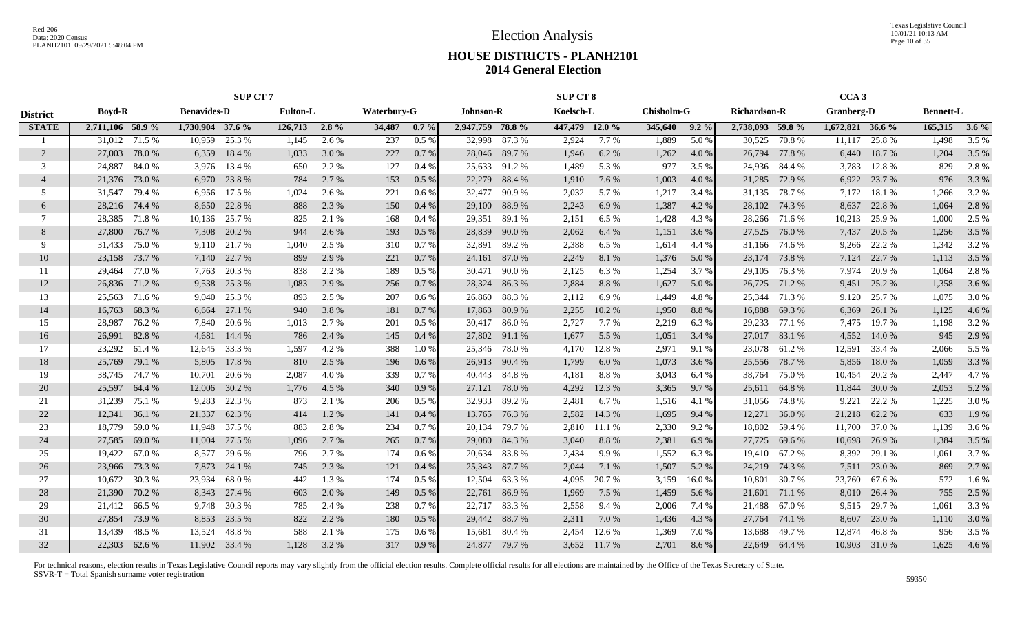Texas Legislative Council 10/01/21 10:13 AM Page 10 of 35

## **HOUSE DISTRICTS - PLANH2101 2014 General Election**

|                 | <b>SUP CT 7</b>  |        |                    |               |                 |         |                    |          |                  |               | <b>SUP CT 8</b> |              |                   |         |                     |               | CCA <sub>3</sub>  |               |                  |         |
|-----------------|------------------|--------|--------------------|---------------|-----------------|---------|--------------------|----------|------------------|---------------|-----------------|--------------|-------------------|---------|---------------------|---------------|-------------------|---------------|------------------|---------|
| <b>District</b> | <b>Boyd-R</b>    |        | <b>Benavides-D</b> |               | <b>Fulton-L</b> |         | <b>Waterbury-G</b> |          | <b>Johnson-R</b> |               | Koelsch-L       |              | <b>Chisholm-G</b> |         | <b>Richardson-R</b> |               | <b>Granberg-D</b> |               | <b>Bennett-L</b> |         |
| <b>STATE</b>    | 2,711,106 58.9 % |        | 1,730,904 37.6 %   |               | 126,713         | $2.8\%$ | 34,487             | $0.7 \%$ | 2,947,759 78.8 % |               | 447,479 12.0 %  |              | 345,640           | $9.2\%$ | 2,738,093 59.8 %    |               | 1,672,821 36.6 %  |               | 165,315          | $3.6\%$ |
|                 | 31,012           | 71.5 % | 10,959             | 25.3 %        | 1,145           | 2.6 %   | 237                | $0.5\%$  | 32,998           | 87.3 %        | 2,924           | 7.7%         | 1,889             | 5.0%    | 30,525              | 70.8%         | 11,117            | 25.8%         | 1,498            | 3.5 %   |
| 2               | 27,003           | 78.0%  | 6,359              | 18.4 %        | 1,033           | 3.0 %   | 227                | $0.7\%$  |                  | 28,046 89.7 % | 1,946           | 6.2 %        | 1,262             | 4.0 %   | 26,794              | 77.8%         | 6,440             | 18.7%         | 1,204            | 3.5 %   |
| 3               | 24,887           | 84.0%  | 3,976              | 13.4 %        | 650             | 2.2 %   | 127                | $0.4\%$  |                  | 25,633 91.2 % | 1,489           | 5.3 %        | 977               | 3.5 %   | 24,936              | 84.4 %        | 3,783             | 12.8%         | 829              | 2.8%    |
| $\overline{4}$  | 21,376           | 73.0%  | 6,970              | 23.8 %        | 784             | 2.7 %   | 153                | $0.5\%$  | 22,279           | 88.4%         | 1,910           | 7.6 %        | 1,003             | 4.0%    | 21,285              | 72.9 %        | 6,922             | 23.7 %        | 976              | 3.3 %   |
| 5               | 31,547           | 79.4 % | 6,956              | 17.5 %        | 1,024           | 2.6 %   | 221                | $0.6\%$  | 32,477           | 90.9 %        | 2,032           | 5.7 %        | 1,217             | 3.4 %   | 31,135              | 78.7%         | 7,172             | 18.1 %        | 1,266            | 3.2 %   |
| 6               | 28,216           | 74.4 % | 8,650              | 22.8%         | 888             | 2.3 %   | 150                | 0.4%     | 29,100           | 88.9%         | 2,243           | 6.9%         | 1,387             | 4.2 %   | 28,102              | 74.3 %        | 8,637             | 22.8 %        | 1,064            | 2.8 %   |
| 7               | 28,385           | 71.8 % | 10,136             | 25.7 %        | 825             | 2.1 %   | 168                | 0.4%     | 29,351           | 89.1 %        | 2,151           | 6.5 %        | 1,428             | 4.3 %   | 28,266              | 71.6 %        | 10,213            | 25.9%         | 1,000            | 2.5 %   |
| 8               | 27,800           | 76.7 % | 7,308              | 20.2 %        | 944             | 2.6 %   | 193                | 0.5 %    | 28,839           | 90.0 %        | 2,062           | 6.4 %        | 1,151             | 3.6 %   | 27,525              | 76.0 %        | 7,437             | 20.5 %        | 1,256            | 3.5 %   |
| 9               | 31,433           | 75.0%  | 9,110              | 21.7 %        | 1,040           | 2.5 %   | 310                | 0.7%     | 32,891           | 89.2%         | 2,388           | 6.5 %        | 1,614             | 4.4 %   | 31,166              | 74.6 %        | 9,266             | 22.2 %        | 1,342            | 3.2 %   |
| 10              | 23,158           | 73.7 % | 7,140              | 22.7 %        | 899             | 2.9 %   | 221                | 0.7%     | 24,161           | 87.0%         | 2,249           | 8.1%         | 1,376             | 5.0%    | 23,174              | 73.8%         | 7,124             | 22.7 %        | 1,113            | 3.5 %   |
| 11              | 29,464           | 77.0%  | 7,763              | 20.3 %        | 838             | 2.2 %   | 189                | $0.5\%$  | 30,471           | 90.0 %        | 2,125           | 6.3%         | 1,254             | 3.7 %   | 29,105              | 76.3%         | 7,974             | 20.9%         | 1,064            | 2.8%    |
| 12              | 26,836           | 71.2 % | 9,538              | 25.3 %        | 1,083           | 2.9 %   | 256                | 0.7%     |                  | 28,324 86.3 % | 2,884           | 8.8%         | 1,627             | 5.0%    | 26,725              | 71.2 %        | 9,451             | 25.2 %        | 1,358            | 3.6 %   |
| 13              | 25,563 71.6 %    |        |                    | 9,040 25.3 %  | 893             | 2.5 %   | 207                | $0.6\%$  | 26,860           | 88.3%         | 2,112           | 6.9%         | 1,449             | 4.8%    | 25,344              | 71.3 %        | 9,120             | 25.7 %        | 1,075            | 3.0%    |
| 14              | 16,763           | 68.3%  | 6,664              | 27.1 %        | 940             | 3.8%    | 181                | 0.7%     | 17,863           | 80.9%         | 2,255           | 10.2%        | 1,950             | 8.8%    | 16,888              | 69.3%         | 6,369             | 26.1 %        | 1,125            | 4.6 %   |
| 15              | 28,987           | 76.2%  | 7,840              | 20.6 %        | 1,013           | 2.7%    | 201                | $0.5\%$  |                  | 30,417 86.0 % | 2,727           | 7.7 %        | 2,219             | 6.3%    | 29,233              | 77.1 %        | 7,475             | 19.7 %        | 1,198            | 3.2 %   |
| 16              | 26,991           | 82.8%  | 4,681              | 14.4 %        | 786             | 2.4 %   | 145                | 0.4%     |                  | 27,802 91.1 % | 1,677           | 5.5 %        | 1,051             | 3.4 %   |                     | 27,017 83.1 % | 4,552             | 14.0 %        | 945              | 2.9 %   |
| 17              | 23,292           | 61.4 % | 12,645             | 33.3 %        | 1,597           | 4.2 %   | 388                | 1.0%     | 25,346           | 78.0 %        | 4,170           | 12.8 %       | 2,971             | 9.1 %   | 23,078              | 61.2%         | 12,591            | 33.4 %        | 2,066            | 5.5 %   |
| 18              | 25,769           | 79.1 % | 5,805              | 17.8 %        | 810             | 2.5 %   | 196                | $0.6\%$  |                  | 26,913 90.4 % | 1,799           | 6.0%         | 1,073             | 3.6 %   | 25,556              | 78.7%         | 5,856             | 18.0%         | 1,059            | 3.3 %   |
| 19              | 38,745           | 74.7 % | 10,701             | 20.6 %        | 2,087           | 4.0%    | 339                | 0.7%     | 40,443           | 84.8%         | 4,181           | 8.8%         | 3,043             | 6.4 %   | 38,764              | 75.0%         | 10,454            | 20.2 %        | 2,447            | 4.7 %   |
| 20              | 25,597           | 64.4 % | 12,006             | 30.2 %        | 1,776           | 4.5 %   | 340                | 0.9%     | 27,121           | 78.0 %        | 4,292           | 12.3 %       | 3,365             | 9.7 %   | 25,611              | 64.8%         | 11,844            | 30.0 %        | 2,053            | 5.2 %   |
| 21              | 31,239           | 75.1 % | 9,283              | 22.3 %        | 873             | 2.1 %   | 206                | $0.5\%$  | 32,933           | 89.2 %        | 2,481           | 6.7 %        | 1,516             | 4.1 %   | 31,056              | 74.8%         | 9,221             | 22.2 %        | 1,225            | 3.0 %   |
| 22              | 12,341           | 36.1 % | 21,337             | 62.3%         | 414             | 1.2%    | 141                | 0.4%     | 13,765           | 76.3 %        | 2,582           | 14.3 %       | 1,695             | 9.4 %   | 12,271              | 36.0%         | 21,218            | 62.2 %        | 633              | 1.9%    |
| 23              | 18,779           | 59.0%  | 11,948             | 37.5 %        | 883             | 2.8%    | 234                | 0.7%     | 20,134           | 79.7 %        | 2,810           | 11.1 %       | 2,330             | 9.2%    | 18,802              | 59.4 %        | 11,700            | 37.0%         | 1,139            | 3.6 %   |
| 24              | 27,585           | 69.0%  | 11,004             | 27.5 %        | 1,096           | 2.7 %   | 265                | 0.7%     | 29,080           | 84.3 %        | 3,040           | 8.8%         | 2,381             | 6.9%    | 27,725              | 69.6 %        | 10,698            | 26.9%         | 1,384            | 3.5 %   |
| 25              | 19,422           | 67.0 % | 8,577              | 29.6 %        | 796             | 2.7 %   | 174                | $0.6\%$  |                  | 20,634 83.8 % | 2,434           | 9.9%         | 1,552             | 6.3 %   | 19,410              | 67.2 %        | 8,392             | 29.1 %        | 1,061            | 3.7 %   |
| 26              | 23,966           | 73.3 % | 7,873              | 24.1 %        | 745             | 2.3 %   | 121                | 0.4%     | 25,343           | 87.7 %        | 2,044           | 7.1 %        | 1,507             | 5.2 %   | 24,219              | 74.3 %        | 7,511             | 23.0 %        | 869              | 2.7 %   |
| 27              | 10,672           | 30.3 % | 23,934             | 68.0%         | 442             | 1.3%    | 174                | $0.5\%$  | 12,504           | 63.3 %        | 4,095           | 20.7 %       | 3,159             | 16.0%   | 10,801              | 30.7 %        | 23,760            | 67.6 %        | 572              | 1.6 %   |
| 28              | 21,390           | 70.2 % | 8,343              | 27.4 %        | 603             | 2.0 %   | 149                | $0.5\%$  | 22,761           | 86.9%         | 1,969           | 7.5 %        | 1,459             | 5.6 %   | 21,601              | 71.1 %        | 8,010             | 26.4 %        | 755              | 2.5 %   |
| 29              | 21,412           | 66.5%  | 9,748              | 30.3 %        | 785             | 2.4 %   | 238                | 0.7%     |                  | 22,717 83.3 % | 2,558           | 9.4 %        | 2,006             | 7.4 %   | 21,488              | 67.0%         | 9,515             | 29.7 %        | 1,061            | 3.3 %   |
| 30              | 27,854           | 73.9 % | 8,853              | 23.5 %        | 822             | 2.2 %   | 180                | $0.5\%$  |                  | 29,442 88.7 % | 2,311           | 7.0 %        | 1,436             | 4.3 %   | 27,764              | 74.1 %        | 8,607             | 23.0 %        | 1,110            | 3.0 %   |
| 31              | 13,439           | 48.5 % | 13,524             | 48.8%         | 588             | 2.1 %   | 175                | $0.6\%$  | 15,681           | 80.4%         | 2,454           | 12.6 %       | 1,369             | 7.0%    | 13,688              | 49.7%         | 12,874            | 46.8%         | 956              | 3.5 %   |
| 32              | 22,303 62.6 %    |        |                    | 11,902 33.4 % | 1,128           | 3.2 %   | 317                | 0.9%     |                  | 24,877 79.7 % |                 | 3,652 11.7 % | 2,701             | 8.6 %   | 22.649              | 64.4 %        |                   | 10,903 31.0 % | 1,625            | 4.6 %   |
|                 |                  |        |                    |               |                 |         |                    |          |                  |               |                 |              |                   |         |                     |               |                   |               |                  |         |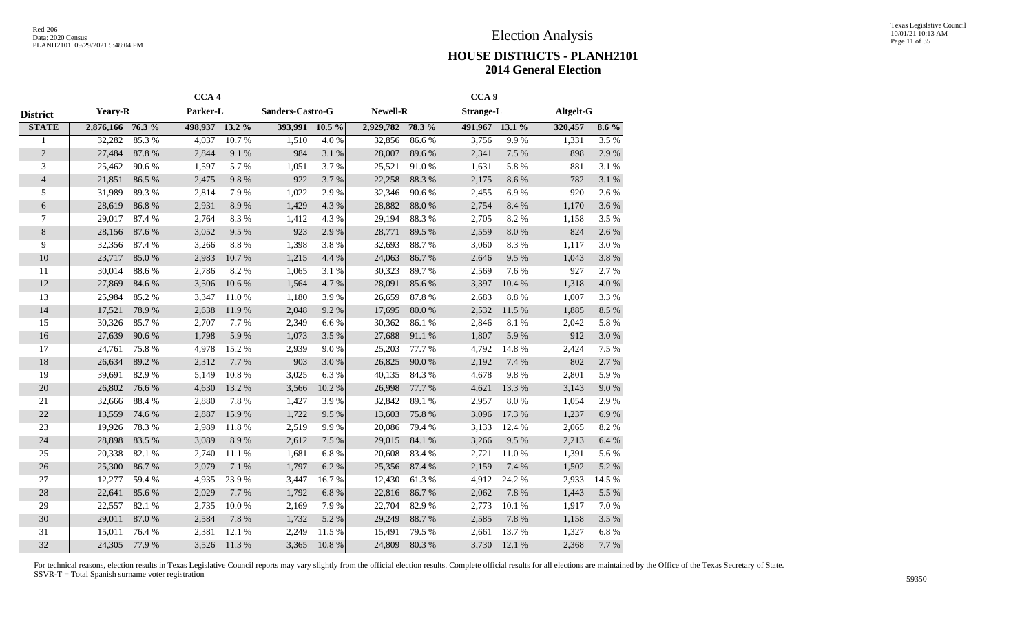|                          |                 |        | CCA <sub>4</sub> |        |                  |           |                 |        | CCA <sub>9</sub> |           |           |           |
|--------------------------|-----------------|--------|------------------|--------|------------------|-----------|-----------------|--------|------------------|-----------|-----------|-----------|
| <b>District</b>          | <b>Yeary-R</b>  |        | Parker-L         |        | Sanders-Castro-G |           | <b>Newell-R</b> |        | <b>Strange-L</b> |           | Altgelt-G |           |
| <b>STATE</b>             | 2,876,166 76.3% |        | 498,937 13.2 %   |        | 393,991          | $10.5\%$  | 2,929,782       | 78.3 % | 491,967 13.1 %   |           | 320,457   | $8.6\%$   |
| 1                        | 32,282          | 85.3%  | 4,037            | 10.7%  | 1,510            | 4.0%      | 32,856          | 86.6%  | 3,756            | 9.9%      | 1,331     | 3.5%      |
| $\overline{2}$           | 27,484          | 87.8%  | 2,844            | 9.1%   | 984              | 3.1 %     | 28,007          | 89.6%  | 2,341            | 7.5 %     | 898       | 2.9%      |
| 3                        | 25,462          | 90.6%  | 1,597            | 5.7%   | 1,051            | 3.7%      | 25,521          | 91.0%  | 1,631            | 5.8%      | 881       | 3.1%      |
| $\overline{\mathcal{L}}$ | 21,851          | 86.5%  | 2,475            | 9.8%   | 922              | 3.7%      | 22,258          | 88.3%  | 2,175            | 8.6%      | 782       | 3.1 %     |
| 5                        | 31,989          | 89.3%  | 2,814            | 7.9%   | 1,022            | 2.9%      | 32,346          | 90.6%  | 2,455            | 6.9%      | 920       | 2.6%      |
| 6                        | 28,619          | 86.8%  | 2,931            | 8.9%   | 1,429            | 4.3 %     | 28,882          | 88.0%  | 2,754            | 8.4 %     | 1,170     | 3.6%      |
| $\overline{7}$           | 29,017          | 87.4 % | 2,764            | 8.3%   | 1,412            | 4.3 %     | 29,194          | 88.3%  | 2,705            | 8.2%      | 1,158     | 3.5%      |
| 8                        | 28,156          | 87.6%  | 3,052            | 9.5%   | 923              | 2.9%      | 28,771          | 89.5 % | 2,559            | $8.0\ \%$ | 824       | 2.6%      |
| 9                        | 32,356          | 87.4 % | 3,266            | 8.8 %  | 1,398            | 3.8%      | 32,693          | 88.7%  | 3,060            | 8.3%      | 1,117     | 3.0%      |
| 10                       | 23,717          | 85.0%  | 2,983            | 10.7%  | 1,215            | 4.4 %     | 24,063          | 86.7%  | 2,646            | 9.5%      | 1,043     | 3.8%      |
| 11                       | 30,014          | 88.6%  | 2,786            | 8.2%   | 1,065            | 3.1 %     | 30,323          | 89.7%  | 2,569            | 7.6%      | 927       | 2.7%      |
| 12                       | 27,869          | 84.6 % | 3,506            | 10.6%  | 1,564            | 4.7%      | 28,091          | 85.6%  | 3,397            | 10.4 %    | 1,318     | 4.0%      |
| 13                       | 25,984          | 85.2%  | 3,347            | 11.0%  | 1,180            | 3.9%      | 26,659          | 87.8%  | 2,683            | 8.8 %     | 1,007     | 3.3%      |
| 14                       | 17,521          | 78.9%  | 2,638            | 11.9%  | 2,048            | 9.2%      | 17,695          | 80.0%  | 2,532            | 11.5 %    | 1,885     | $8.5\ \%$ |
| 15                       | 30,326          | 85.7%  | 2,707            | 7.7%   | 2,349            | 6.6%      | 30,362          | 86.1%  | 2,846            | 8.1 %     | 2,042     | 5.8 %     |
| 16                       | 27,639          | 90.6%  | 1,798            | 5.9%   | 1,073            | 3.5 %     | 27,688          | 91.1%  | 1,807            | 5.9%      | 912       | 3.0%      |
| 17                       | 24,761          | 75.8%  | 4,978            | 15.2%  | 2,939            | 9.0%      | 25,203          | 77.7 % | 4,792            | 14.8 %    | 2,424     | 7.5 %     |
| 18                       | 26,634          | 89.2%  | 2,312            | 7.7 %  | 903              | 3.0%      | 26,825          | 90.0%  | 2,192            | 7.4 %     | 802       | 2.7%      |
| 19                       | 39,691          | 82.9%  | 5,149            | 10.8%  | 3,025            | 6.3%      | 40,135          | 84.3 % | 4,678            | 9.8%      | 2,801     | 5.9%      |
| 20                       | 26,802          | 76.6%  | 4,630            | 13.2 % | 3,566            | 10.2%     | 26,998          | 77.7 % | 4,621            | 13.3 %    | 3,143     | 9.0 %     |
| 21                       | 32,666          | 88.4%  | 2,880            | 7.8%   | 1,427            | 3.9%      | 32,842          | 89.1 % | 2,957            | 8.0%      | 1,054     | 2.9%      |
| 22                       | 13,559          | 74.6%  | 2,887            | 15.9%  | 1,722            | 9.5%      | 13,603          | 75.8%  | 3,096            | 17.3 %    | 1,237     | $6.9~\%$  |
| 23                       | 19,926          | 78.3%  | 2,989            | 11.8%  | 2,519            | 9.9%      | 20,086          | 79.4 % | 3,133            | 12.4 %    | 2,065     | 8.2%      |
| 24                       | 28,898          | 83.5%  | 3,089            | 8.9%   | 2,612            | 7.5 %     | 29,015          | 84.1 % | 3,266            | 9.5%      | 2,213     | 6.4 %     |
| 25                       | 20,338          | 82.1 % | 2,740            | 11.1%  | 1,681            | 6.8%      | 20,608          | 83.4%  | 2,721            | 11.0%     | 1,391     | 5.6%      |
| 26                       | 25,300          | 86.7%  | 2,079            | 7.1 %  | 1,797            | 6.2%      | 25,356          | 87.4 % | 2,159            | 7.4 %     | 1,502     | 5.2 %     |
| 27                       | 12,277          | 59.4 % | 4,935            | 23.9%  | 3,447            | 16.7%     | 12,430          | 61.3%  | 4,912            | 24.2 %    | 2,933     | 14.5 %    |
| 28                       | 22,641          | 85.6%  | 2,029            | 7.7%   | 1,792            | $6.8~\%$  | 22,816          | 86.7%  | 2,062            | 7.8 %     | 1,443     | 5.5 %     |
| 29                       | 22,557          | 82.1 % | 2,735            | 10.0%  | 2,169            | 7.9%      | 22,704          | 82.9%  | 2,773            | 10.1 %    | 1,917     | 7.0%      |
| 30                       | 29,011          | 87.0%  | 2,584            | 7.8 %  | 1,732            | 5.2 %     | 29,249          | 88.7%  | 2,585            | 7.8 %     | 1,158     | 3.5 %     |
| 31                       | 15,011          | 76.4%  | 2,381            | 12.1 % | 2,249            | 11.5 %    | 15,491          | 79.5 % | 2,661            | 13.7%     | 1,327     | 6.8%      |
| 32                       | 24,305          | 77.9%  | 3,526            | 11.3%  | 3,365            | $10.8~\%$ | 24,809          | 80.3%  | 3,730            | 12.1 %    | 2,368     | 7.7 %     |
|                          |                 |        |                  |        |                  |           |                 |        |                  |           |           |           |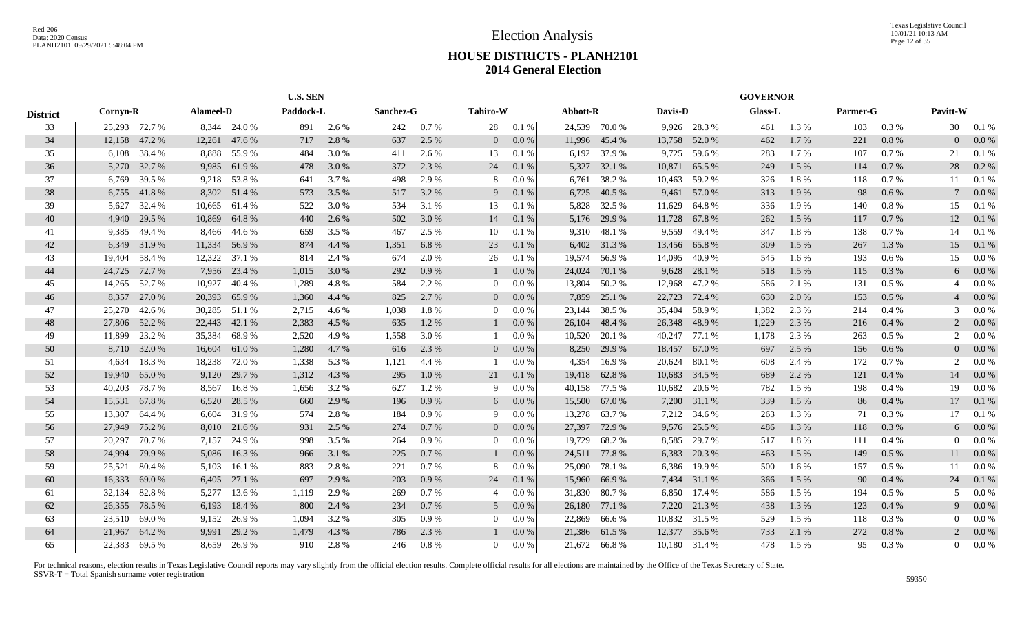|                 |               |               |                  | <b>U.S. SEN</b> |           |       |           |       |                 |         |          |               |         | <b>GOVERNOR</b> |                |       |          |         |                          |            |
|-----------------|---------------|---------------|------------------|-----------------|-----------|-------|-----------|-------|-----------------|---------|----------|---------------|---------|-----------------|----------------|-------|----------|---------|--------------------------|------------|
| <b>District</b> | Cornyn-R      |               | <b>Alameel-D</b> |                 | Paddock-L |       | Sanchez-G |       | <b>Tahiro-W</b> |         | Abbott-R |               | Davis-D |                 | <b>Glass-L</b> |       | Parmer-G |         | Pavitt-W                 |            |
| 33              |               | 25,293 72.7 % |                  | 8,344 24.0 %    | 891       | 2.6 % | 242       | 0.7%  | 28              | 0.1%    |          | 24,539 70.0 % |         | 9,926 28.3 %    | 461            | 1.3 % | 103      | 0.3%    |                          | 30   0.1 % |
| 34              | 12,158        | 47.2 %        | 12,261           | 47.6 %          | 717       | 2.8 % | 637       | 2.5 % | $\overline{0}$  | 0.0 %   | 11,996   | 45.4 %        | 13,758  | 52.0 %          | 462            | 1.7 % | 221      | 0.8%    |                          | 0.0 %      |
| 35              | 6,108         | 38.4 %        | 8,888            | 55.9%           | 484       | 3.0 % | 411       | 2.6 % | 13              | 0.1%    | 6,192    | 37.9 %        | 9,725   | 59.6 %          | 283            | 1.7 % | 107      | 0.7%    | 21                       | 0.1%       |
| 36              | 5,270         | 32.7 %        | 9,985            | 61.9%           | 478       | 3.0 % | 372       | 2.3 % | 24              | 0.1%    | 5,327    | 32.1 %        | 10,871  | 65.5 %          | 249            | 1.5 % | 114      | 0.7%    | 28                       | $0.2\%$    |
| 37              | 6,769         | 39.5 %        |                  | 9,218 53.8 %    | 641       | 3.7 % | 498       | 2.9 % | 8               | $0.0\%$ | 6,761    | 38.2 %        | 10,463  | 59.2 %          | 326            | 1.8%  | 118      | 0.7 %   | 11                       | 0.1%       |
| 38              | 6,755         | 41.8%         |                  | 8,302 51.4 %    | 573       | 3.5 % | 517       | 3.2 % | 9               | 0.1%    | 6,725    | 40.5 %        | 9,461   | 57.0 %          | 313            | 1.9%  | 98       | 0.6 %   |                          | $0.0\%$    |
| 39              | 5,627         | 32.4 %        | 10,665           | 61.4 %          | 522       | 3.0 % | 534       | 3.1 % | 13              | 0.1%    | 5,828    | 32.5 %        | 11,629  | 64.8%           | 336            | 1.9%  | 140      | 0.8 %   | 15                       | 0.1%       |
| 40              | 4,940         | 29.5 %        | 10,869           | 64.8%           | 440       | 2.6 % | 502       | 3.0 % | 14              | 0.1%    | 5,176    | 29.9 %        | 11,728  | 67.8%           | 262            | 1.5 % | 117      | 0.7 %   | 12                       | 0.1 %      |
| 41              | 9,385         | 49.4 %        | 8,466            | 44.6 %          | 659       | 3.5 % | 467       | 2.5 % | 10              | 0.1%    | 9,310    | 48.1 %        | 9,559   | 49.4 %          | 347            | 1.8%  | 138      | 0.7%    | 14                       | 0.1%       |
| 42              | 6,349         | 31.9%         | 11,334           | 56.9%           | 874       | 4.4 % | 1,351     | 6.8%  | 23              | 0.1%    |          | 6,402 31.3 %  | 13,456  | 65.8%           | 309            | 1.5 % | 267      | 1.3 %   | 15                       | 0.1 %      |
| 43              | 19,404        | 58.4%         | 12,322           | 37.1 %          | 814       | 2.4 % | 674       | 2.0%  | 26              | 0.1%    | 19,574   | 56.9%         | 14,095  | 40.9%           | 545            | 1.6 % | 193      | $0.6\%$ | 15                       | $0.0\%$    |
| 44              | 24,725        | 72.7 %        | 7,956            | 23.4 %          | 1,015     | 3.0 % | 292       | 0.9%  |                 | $0.0\%$ | 24,024   | 70.1 %        | 9,628   | 28.1 %          | 518            | 1.5 % | 115      | 0.3 %   | 6                        | $0.0\%$    |
| 45              | 14,265        | 52.7 %        | 10,927           | 40.4 %          | 1,289     | 4.8%  | 584       | 2.2 % | $\overline{0}$  | $0.0\%$ | 13,804   | 50.2 %        | 12,968  | 47.2 %          | 586            | 2.1 % | 131      | $0.5\%$ | $\overline{4}$           | $0.0\,\%$  |
| 46              | 8,357         | 27.0 %        | 20,393           | 65.9%           | 1,360     | 4.4 % | 825       | 2.7 % | $\overline{0}$  | $0.0\%$ | 7,859    | 25.1 %        | 22,723  | 72.4 %          | 630            | 2.0 % | 153      | 0.5%    |                          | $0.0\%$    |
| 47              | 25,270        | 42.6 %        | 30,285           | 51.1 %          | 2,715     | 4.6 % | 1,038     | 1.8%  | $\overline{0}$  | $0.0\%$ | 23,144   | 38.5 %        |         | 35,404 58.9 %   | 1,382          | 2.3 % | 214      | 0.4%    | 3                        | $0.0\%$    |
| 48              | 27,806 52.2 % |               | 22,443           | 42.1 %          | 2,383     | 4.5 % | 635       | 1.2%  |                 | $0.0\%$ | 26,104   | 48.4 %        |         | 26,348 48.9 %   | 1,229          | 2.3 % | 216      | 0.4%    | $\overline{c}$           | $0.0\%$    |
| 49              | 11,899        | 23.2 %        | 35,384           | 68.9%           | 2,520     | 4.9%  | 1,558     | 3.0%  |                 | 0.0 %   | 10,520   | 20.1 %        |         | 40,247 77.1 %   | 1,178          | 2.3 % | 263      | $0.5\%$ | 2                        | $0.0\%$    |
| 50              | 8,710         | 32.0 %        | 16,604           | 61.0%           | 1,280     | 4.7 % | 616       | 2.3 % | $\overline{0}$  | $0.0\%$ | 8,250    | 29.9 %        | 18,457  | 67.0 %          | 697            | 2.5 % | 156      | $0.6\%$ |                          | $0.0\%$    |
| 51              | 4,634         | 18.3%         | 18,238           | 72.0 %          | 1,338     | 5.3 % | 1,121     | 4.4 % |                 | 0.0 %   | 4,354    | 16.9%         | 20,624  | 80.1%           | 608            | 2.4 % | 172      | 0.7%    | $\mathcal{D}$            | $0.0\%$    |
| 52              | 19,940        | 65.0%         | 9,120            | 29.7 %          | 1,312     | 4.3 % | 295       | 1.0%  | 21              | 0.1%    | 19,418   | 62.8%         | 10,683  | 34.5 %          | 689            | 2.2 % | 121      | 0.4%    | 14                       | $0.0\%$    |
| 53              | 40,203        | 78.7%         | 8,567            | 16.8%           | 1,656     | 3.2 % | 627       | 1.2%  | 9               | $0.0\%$ | 40,158   | 77.5 %        | 10,682  | 20.6 %          | 782            | 1.5 % | 198      | 0.4%    | 19                       | $0.0\%$    |
| 54              | 15,531        | 67.8%         | 6,520            | 28.5 %          | 660       | 2.9 % | 196       | 0.9%  | 6               | $0.0\%$ | 15,500   | 67.0 %        | 7,200   | 31.1 %          | 339            | 1.5 % | 86       | 0.4%    | 17                       | 0.1 %      |
| 55              | 13,307        | 64.4 %        | 6,604            | 31.9%           | 574       | 2.8%  | 184       | 0.9%  | 9               | $0.0\%$ | 13,278   | 63.7 %        | 7,212   | 34.6 %          | 263            | 1.3%  | 71       | 0.3 %   | 17                       | 0.1%       |
| 56              | 27,949        | 75.2 %        |                  | 8,010 21.6 %    | 931       | 2.5 % | 274       | 0.7%  | $\overline{0}$  | $0.0\%$ | 27,397   | 72.9 %        |         | 9,576 25.5 %    | 486            | 1.3%  | 118      | 0.3%    | 6                        | $0.0\%$    |
| 57              | 20,297        | 70.7 %        | 7,157            | 24.9 %          | 998       | 3.5 % | 264       | 0.9%  | $\Omega$        | $0.0\%$ | 19,729   | 68.2%         | 8,585   | 29.7 %          | 517            | 1.8%  | 111      | 0.4%    |                          | $0.0\,\%$  |
| 58              | 24,994        | 79.9%         | 5,086            | 16.3%           | 966       | 3.1 % | 225       | 0.7%  |                 | 0.0 %   | 24,511   | 77.8%         | 6,383   | 20.3 %          | 463            | 1.5 % | 149      | $0.5\%$ | 11                       | 0.0 %      |
| 59              | 25,521        | 80.4%         | 5,103            | 16.1 %          | 883       | 2.8%  | 221       | 0.7%  | 8               | 0.0 %   | 25,090   | 78.1 %        | 6,386   | 19.9%           | 500            | 1.6 % | 157      | 0.5%    | 11                       | 0.0 %      |
| 60              | 16.333        | 69.0%         | 6,405            | 27.1 %          | 697       | 2.9 % | 203       | 0.9%  | 24              | 0.1%    | 15,960   | 66.9%         | 7,434   | 31.1 %          | 366            | 1.5 % | 90       | 0.4%    | 24                       | 0.1%       |
| 61              | 32,134        | 82.8%         | 5,277            | 13.6 %          | 1.119     | 2.9 % | 269       | 0.7%  | $\overline{4}$  | $0.0\%$ | 31,830   | 80.7%         | 6,850   | 17.4 %          | 586            | 1.5 % | 194      | 0.5%    | $\overline{\phantom{0}}$ | $0.0\%$    |
| 62              | 26,355        | 78.5 %        | 6,193            | 18.4 %          | 800       | 2.4 % | 234       | 0.7%  | 5               | $0.0\%$ | 26,180   | 77.1 %        | 7,220   | 21.3%           | 438            | 1.3%  | 123      | 0.4%    | 9                        | $0.0\%$    |
| 63              | 23,510        | 69.0%         | 9,152            | 26.9%           | 1.094     | 3.2 % | 305       | 0.9%  | $\overline{0}$  | $0.0\%$ | 22,869   | 66.6 %        |         | 10,832 31.5 %   | 529            | 1.5 % | 118      | 0.3%    |                          | $0.0\%$    |
| 64              | 21,967        | 64.2 %        | 9,991            | 29.2 %          | 1.479     | 4.3 % | 786       | 2.3 % |                 | $0.0\%$ | 21,386   | 61.5%         | 12,377  | 35.6 %          | 733            | 2.1 % | 272      | 0.8%    |                          | $0.0\%$    |
| 65              |               | 22,383 69.5 % |                  | 8,659 26.9%     | 910       | 2.8%  | 246       | 0.8 % | $\Omega$        | 0.0 %   |          | 21,672 66.8 % |         | 10,180 31.4 %   | 478            | 1.5 % | 95       | 0.3%    | $\Omega$                 | $0.0\%$    |
|                 |               |               |                  |                 |           |       |           |       |                 |         |          |               |         |                 |                |       |          |         |                          |            |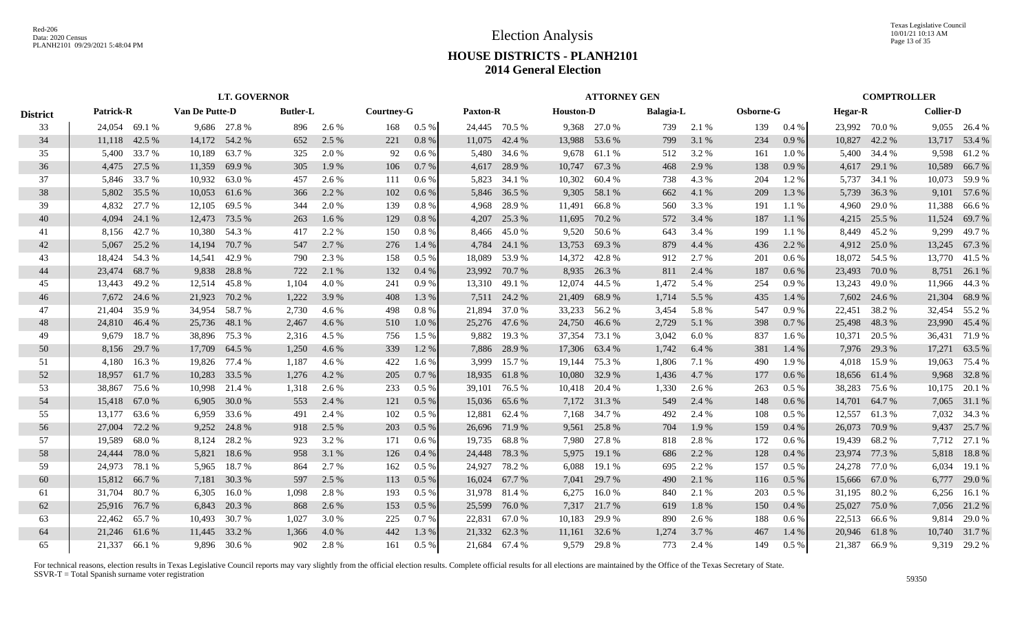Texas Legislative Council 10/01/21 10:13 AM Page 13 of 35

## **HOUSE DISTRICTS - PLANH2101 2014 General Election**

|                 |           |               |                |              | <b>LT. GOVERNOR</b> |       |            |         |                 |               |                  | <b>ATTORNEY GEN</b> |                  |       |           |         |                |               | <b>COMPTROLLER</b> |               |
|-----------------|-----------|---------------|----------------|--------------|---------------------|-------|------------|---------|-----------------|---------------|------------------|---------------------|------------------|-------|-----------|---------|----------------|---------------|--------------------|---------------|
| <b>District</b> | Patrick-R |               | Van De Putte-D |              | <b>Butler-L</b>     |       | Courtney-G |         | <b>Paxton-R</b> |               | <b>Houston-D</b> |                     | <b>Balagia-L</b> |       | Osborne-G |         | <b>Hegar-R</b> |               | <b>Collier-D</b>   |               |
| 33              |           | 24,054 69.1 % |                | 9,686 27.8 % | 896                 | 2.6 % | 168        | $0.5\%$ |                 | 24,445 70.5 % |                  | 9,368 27.0 %        | 739              | 2.1 % | 139       | 0.4%    | 23,992 70.0 %  |               |                    | 9,055 26.4 %  |
| 34              |           | 11,118 42.5 % | 14,172         | 54.2 %       | 652                 | 2.5 % | 221        | 0.8%    |                 | 11,075 42.4 % | 13,988           | 53.6 %              | 799              | 3.1 % | 234       | 0.9%    |                | 10,827 42.2 % |                    | 13,717 53.4 % |
| 35              | 5,400     | 33.7 %        | 10,189         | 63.7 %       | 325                 | 2.0 % | 92         | $0.6\%$ | 5,480           | 34.6 %        | 9,678            | 61.1 %              | 512              | 3.2 % | 161       | $1.0\%$ |                | 5,400 34.4 %  | 9,598              | 61.2%         |
| 36              |           | 4,475 27.5 %  | 11,359         | 69.9%        | 305                 | 1.9%  | 106        | 0.7%    | 4,617           | 28.9%         | 10,747           | 67.3 %              | 468              | 2.9 % | 138       | 0.9%    |                | 4,617 29.1 %  | 10,589             | 66.7%         |
| 37              |           | 5,846 33.7%   | 10,932         | 63.0%        | 457                 | 2.6 % | 111        | $0.6\%$ | 5,823           | 34.1 %        | 10,302           | 60.4 %              | 738              | 4.3 % | 204       | 1.2%    | 5,737          | 34.1 %        | 10,073             | 59.9%         |
| 38              |           | 5,802 35.5 %  | 10,053         | 61.6 %       | 366                 | 2.2 % | 102        | 0.6 %   |                 | 5,846 36.5 %  | 9,305            | 58.1 %              | 662              | 4.1 % | 209       | 1.3%    | 5,739          | 36.3 %        |                    | 9,101 57.6 %  |
| 39              | 4,832     | 27.7 %        | 12,105         | 69.5 %       | 344                 | 2.0 % | 139        | $0.8\%$ | 4,968           | 28.9%         | 11,491           | 66.8%               | 560              | 3.3%  | 191       | 1.1%    | 4,960          | 29.0 %        | 11,388             | 66.6 %        |
| 40              | 4,094     | 24.1 %        | 12,473         | 73.5 %       | 263                 | 1.6%  | 129        | 0.8 %   | 4,207           | 25.3 %        | 11,695           | 70.2 %              | 572              | 3.4 % | 187       | 1.1%    | 4,215          | 25.5 %        | 11,524             | 69.7%         |
| 41              | 8,156     | 42.7 %        | 10,380         | 54.3 %       | 417                 | 2.2 % | 150        | 0.8%    | 8,466           | 45.0%         | 9,520            | 50.6 %              | 643              | 3.4 % | 199       | 1.1 %   | 8,449          | 45.2 %        | 9,299              | 49.7%         |
| 42              | 5,067     | 25.2 %        | 14,194         | 70.7 %       | 547                 | 2.7 % | 276        | 1.4 %   | 4,784           | 24.1 %        | 13,753           | 69.3%               | 879              | 4.4 % | 436       | 2.2 %   | 4,912          | 25.0 %        | 13,245             | 67.3 %        |
| 43              | 18,424    | 54.3 %        | 14,541         | 42.9 %       | 790                 | 2.3 % | 158        | $0.5\%$ | 18,089          | 53.9%         | 14,372           | 42.8%               | 912              | 2.7 % | 201       | $0.6\%$ |                | 18,072 54.5 % | 13,770             | 41.5 %        |
| 44              | 23,474    | 68.7%         | 9,838          | 28.8%        | 722                 | 2.1 % | 132        | 0.4%    | 23,992          | 70.7%         | 8,935            | 26.3%               | 811              | 2.4 % | 187       | $0.6\%$ | 23,493 70.0 %  |               |                    | 8,751 26.1 %  |
| 45              |           | 13,443 49.2 % | 12,514         | 45.8 %       | 1,104               | 4.0 % | 241        | 0.9%    |                 | 13,310 49.1 % | 12,074           | 44.5 %              | 1,472            | 5.4 % | 254       | 0.9%    | 13,243         | 49.0 %        | 11,966             | 44.3 %        |
| 46              |           | 7,672 24.6 %  | 21,923         | 70.2 %       | 1,222               | 3.9 % | 408        | 1.3 %   |                 | 7,511 24.2 %  | 21,409           | 68.9%               | 1,714            | 5.5 % | 435       | 1.4 %   |                | 7,602 24.6 %  | 21,304             | 68.9%         |
| 47              | 21.404    | 35.9%         | 34,954         | 58.7 %       | 2,730               | 4.6 % | 498        | 0.8%    |                 | 21,894 37.0 % |                  | 33,233 56.2 %       | 3,454            | 5.8%  | 547       | 0.9%    | 22,451 38.2 %  |               |                    | 32,454 55.2 % |
| 48              |           | 24,810 46.4 % | 25,736         | 48.1 %       | 2,467               | 4.6 % | 510        | 1.0%    |                 | 25,276 47.6 % | 24,750           | 46.6 %              | 2,729            | 5.1 % | 398       | 0.7%    | 25,498 48.3 %  |               | 23,990             | 45.4 %        |
| 49              | 9.679     | 18.7%         | 38,896         | 75.3 %       | 2,316               | 4.5 % | 756        | $1.5\%$ | 9,882           | 19.3 %        | 37,354           | 73.1 %              | 3,042            | 6.0%  | 837       | 1.6 %   | 10,371         | 20.5 %        | 36,431             | 71.9%         |
| 50              | 8,156     | 29.7 %        | 17,709         | 64.5 %       | 1,250               | 4.6 % | 339        | 1.2 %   | 7,886           | 28.9%         | 17,306           | 63.4 %              | 1,742            | 6.4 % | 381       | 1.4 %   | 7,976          | 29.3 %        | 17,271             | 63.5 %        |
| 51              | 4,180     | 16.3%         | 19,826         | 77.4 %       | 1,187               | 4.6 % | 422        | 1.6 %   | 3,999           | 15.7 %        | 19,144           | 75.3 %              | 1,806            | 7.1 % | 490       | 1.9%    | 4.018          | 15.9%         | 19,063             | 75.4 %        |
| 52              | 18,957    | 61.7%         | 10,283         | 33.5 %       | 1,276               | 4.2 % | 205        | 0.7%    | 18,935          | 61.8%         | 10,080           | 32.9 %              | 1,436            | 4.7 % | 177       | $0.6\%$ | 18,656 61.4 %  |               | 9,968              | 32.8%         |
| 53              | 38,867    | 75.6 %        | 10,998         | 21.4 %       | 1,318               | 2.6 % | 233        | $0.5\%$ | 39,101          | 76.5 %        | 10,418           | 20.4 %              | 1,330            | 2.6 % | 263       | $0.5\%$ | 38,283         | 75.6 %        |                    | 10,175 20.1 % |
| 54              | 15,418    | 67.0%         | 6,905          | 30.0 %       | 553                 | 2.4 % | 121        | 0.5 %   | 15,036          | 65.6 %        |                  | 7,172 31.3 %        | 549              | 2.4 % | 148       | 0.6 %   | 14,701         | 64.7 %        | 7,065              | 31.1 %        |
| 55              | 13,177    | 63.6%         | 6,959          | 33.6 %       | 491                 | 2.4 % | 102        | $0.5\%$ | 12,881          | 62.4 %        | 7,168            | 34.7 %              | 492              | 2.4 % | 108       | 0.5 %   | 12,557         | 61.3%         | 7,032              | 34.3 %        |
| 56              | 27,004    | 72.2 %        | 9,252          | 24.8%        | 918                 | 2.5 % | 203        | 0.5%    |                 | 26,696 71.9 % | 9,561            | 25.8%               | 704              | 1.9%  | 159       | 0.4%    | 26,073         | 70.9 %        | 9,437              | 25.7 %        |
| 57              | 19,589    | 68.0%         | 8,124          | 28.2 %       | 923                 | 3.2 % | 171        | $0.6\%$ |                 | 19,735 68.8%  | 7,980            | 27.8%               | 818              | 2.8%  | 172       | 0.6 %   | 19,439         | 68.2 %        |                    | 7,712 27.1 %  |
| 58              | 24,444    | 78.0%         | 5,821          | 18.6%        | 958                 | 3.1 % | 126        | 0.4%    | 24,448          | 78.3%         | 5,975            | 19.1 %              | 686              | 2.2 % | 128       | 0.4%    | 23,974         | 77.3 %        | 5,818              | 18.8%         |
| 59              | 24,973    | 78.1 %        | 5,965          | 18.7%        | 864                 | 2.7%  | 162        | $0.5\%$ | 24,927          | 78.2 %        | 6,088            | 19.1 %              | 695              | 2.2 % | 157       | 0.5%    | 24,278         | 77.0%         | 6,034              | 19.1 %        |
| 60              | 15,812    | 66.7%         | 7,181          | 30.3 %       | 597                 | 2.5 % | 113        | 0.5%    |                 | 16,024 67.7 % | 7,041            | 29.7 %              | 490              | 2.1 % | 116       | 0.5%    | 15,666 67.0 %  |               | 6,777              | 29.0 %        |
| 61              | 31,704    | 80.7%         | 6,305          | 16.0%        | 1,098               | 2.8%  | 193        | $0.5\%$ |                 | 31,978 81.4 % | 6,275            | 16.0%               | 840              | 2.1 % | 203       | $0.5\%$ | 31,195 80.2 %  |               |                    | 6,256 16.1 %  |
| 62              | 25,916    | 76.7 %        | 6,843          | 20.3 %       | 868                 | 2.6 % | 153        | 0.5%    | 25,599          | 76.0%         |                  | 7,317 21.7 %        | 619              | 1.8%  | 150       | 0.4%    | 25,027         | 75.0 %        |                    | 7,056 21.2 %  |
| 63              | 22.462    | 65.7%         | 10,493         | 30.7 %       | 1.027               | 3.0 % | 225        | 0.7%    | 22,831          | 67.0 %        | 10,183           | 29.9 %              | 890              | 2.6 % | 188       | 0.6%    | 22,513 66.6 %  |               | 9.814              | 29.0 %        |
| 64              | 21,246    | 61.6%         | 11,445         | 33.2 %       | 1,366               | 4.0%  | 442        | 1.3%    |                 | 21,332 62.3 % | 11,161           | 32.6 %              | 1,274            | 3.7 % | 467       | 1.4 %   | 20,946 61.8%   |               |                    | 10,740 31.7%  |
| 65              |           | 21.337 66.1 % |                | 9,896 30.6 % | 902                 | 2.8%  | 161        | $0.5\%$ |                 | 21.684 67.4 % | 9.579            | 29.8%               | 773              | 2.4 % | 149       | $0.5\%$ |                | 21.387 66.9 % |                    | 9,319 29.2 %  |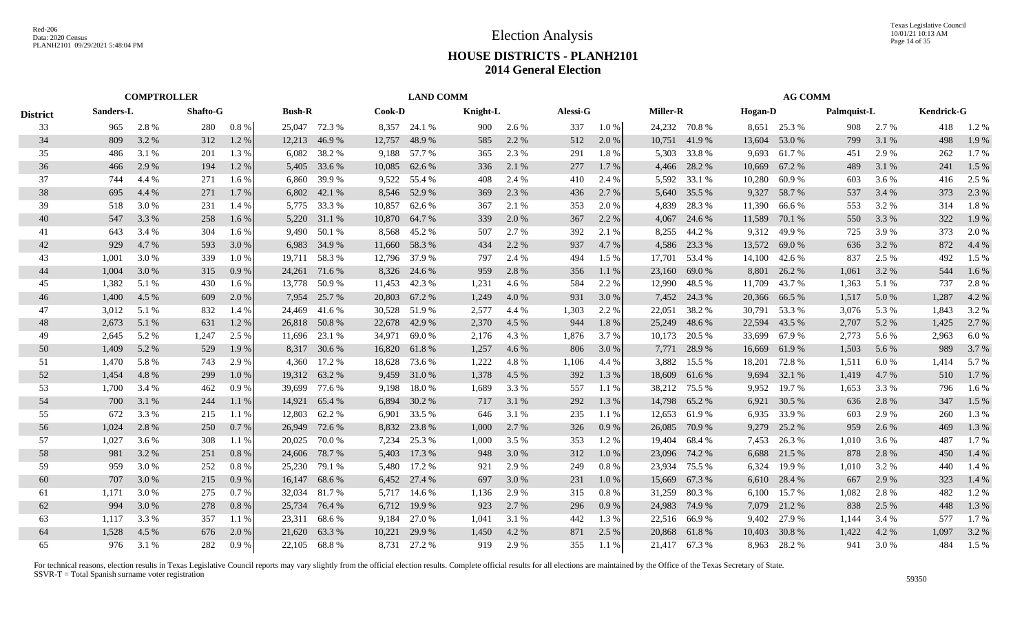| <b>District</b> | <b>Shafto-G</b><br>2.8 %<br>280<br>965 |           |                             |        |        |                                                                                                                                                                                                        |        |                                                                                                                                                                                                          | Alessi-G         |          |       |          |        |                                                                                                                                                         |        |                                                |                       |             |                   |
|-----------------|----------------------------------------|-----------|-----------------------------|--------|--------|--------------------------------------------------------------------------------------------------------------------------------------------------------------------------------------------------------|--------|----------------------------------------------------------------------------------------------------------------------------------------------------------------------------------------------------------|------------------|----------|-------|----------|--------|---------------------------------------------------------------------------------------------------------------------------------------------------------|--------|------------------------------------------------|-----------------------|-------------|-------------------|
|                 |                                        |           | 0.8%                        |        |        |                                                                                                                                                                                                        | 24.1 % | 900                                                                                                                                                                                                      | 2.6 %            | 337      | 1.0 % |          |        |                                                                                                                                                         |        | 908                                            | 2.7 %                 | 418         | 1.2%              |
| 809             | 3.2 %                                  | 312       | 1.2%                        | 12,213 | 46.9%  | 12,757                                                                                                                                                                                                 | 48.9%  | 585                                                                                                                                                                                                      | 2.2 %            | 512      | 2.0 % | 10,751   | 41.9%  | 13,604                                                                                                                                                  | 53.0 % | 799                                            | 3.1 %                 | 498         | 1.9%              |
| 486             | 3.1 %                                  | 201       | 1.3 %                       | 6,082  | 38.2 % | 9,188                                                                                                                                                                                                  | 57.7 % | 365                                                                                                                                                                                                      | 2.3 %            | 291      | 1.8%  | 5,303    | 33.8%  | 9,693                                                                                                                                                   | 61.7%  | 451                                            | 2.9 %                 | 262         | 1.7%              |
| 466             | 2.9 %                                  | 194       | 1.2 %                       | 5,405  | 33.6 % | 10,085                                                                                                                                                                                                 | 62.6 % | 336                                                                                                                                                                                                      | 2.1 %            | 277      | 1.7 % | 4,466    | 28.2 % | 10,669                                                                                                                                                  | 67.2 % | 489                                            | 3.1 %                 | 241         | 1.5 %             |
| 744             | 4.4 %                                  | 271       | 1.6 %                       |        | 39.9 % |                                                                                                                                                                                                        | 55.4 % | 408                                                                                                                                                                                                      | 2.4 %            | 410      | 2.4 % |          | 33.1 % | 10,280                                                                                                                                                  | 60.9%  | 603                                            | 3.6 %                 | 416         | 2.5 %             |
| 695             | 4.4 %                                  | 271       | 1.7 %                       | 6,802  | 42.1 % |                                                                                                                                                                                                        | 52.9 % | 369                                                                                                                                                                                                      | 2.3 %            | 436      | 2.7 % | 5,640    | 35.5 % | 9,327                                                                                                                                                   | 58.7%  | 537                                            | 3.4 %                 | 373         | 2.3 %             |
| 518             | 3.0%                                   | 231       | 1.4 %                       |        | 33.3 % | 10,857                                                                                                                                                                                                 | 62.6 % | 367                                                                                                                                                                                                      | 2.1 %            | 353      | 2.0 % | 4,839    | 28.3%  | 11,390                                                                                                                                                  | 66.6 % | 553                                            | 3.2 %                 | 314         | 1.8%              |
| 547             | 3.3 %                                  | 258       | 1.6 %                       |        | 31.1 % |                                                                                                                                                                                                        | 64.7 % | 339                                                                                                                                                                                                      | 2.0%             | 367      | 2.2 % | 4,067    | 24.6 % | 11,589                                                                                                                                                  | 70.1 % | 550                                            | 3.3 %                 | 322         | 1.9%              |
| 643             | 3.4 %                                  | 304       | $1.6\%$                     |        | 50.1 % | 8,568                                                                                                                                                                                                  | 45.2 % | 507                                                                                                                                                                                                      | 2.7 %            | 392      | 2.1 % | 8,255    | 44.2 % | 9,312                                                                                                                                                   | 49.9%  | 725                                            | 3.9%                  | 373         | 2.0%              |
| 929             | 4.7 %                                  | 593       | 3.0 %                       | 6,983  | 34.9 % | 11,660                                                                                                                                                                                                 | 58.3 % | 434                                                                                                                                                                                                      | 2.2 %            | 937      | 4.7 % | 4,586    | 23.3 % | 13,572                                                                                                                                                  | 69.0%  | 636                                            | 3.2 %                 | 872         | 4.4 %             |
| 1,001           | 3.0%                                   | 339       | 1.0%                        | 19,711 | 58.3%  | 12,796                                                                                                                                                                                                 | 37.9 % | 797                                                                                                                                                                                                      | 2.4 %            | 494      | 1.5 % | 17,701   | 53.4 % | 14,100                                                                                                                                                  | 42.6 % | 837                                            | 2.5 %                 | 492         | 1.5 %             |
| 1,004           | 3.0 %                                  | 315       | 0.9%                        |        | 71.6 % |                                                                                                                                                                                                        | 24.6 % | 959                                                                                                                                                                                                      | 2.8%             | 356      | 1.1%  | 23,160   | 69.0%  | 8,801                                                                                                                                                   | 26.2 % | 1,061                                          | 3.2 %                 | 544         | $1.6\%$           |
| 1,382           | 5.1 %                                  | 430       | 1.6 %                       |        | 50.9%  |                                                                                                                                                                                                        | 42.3 % | 1,231                                                                                                                                                                                                    | 4.6 %            | 584      | 2.2 % | 12,990   | 48.5 % | 11,709                                                                                                                                                  | 43.7 % | 1,363                                          | 5.1 %                 | 737         | 2.8%              |
| 1,400           | 4.5 %                                  | 609       | 2.0 %                       | 7,954  | 25.7 % | 20,803                                                                                                                                                                                                 | 67.2 % | 1,249                                                                                                                                                                                                    | 4.0%             | 931      | 3.0%  |          | 24.3 % | 20,366                                                                                                                                                  | 66.5%  | 1,517                                          | 5.0 %                 | 1,287       | 4.2 %             |
| 3,012           | 5.1 %                                  | 832       | 1.4 %                       |        | 41.6%  |                                                                                                                                                                                                        |        | 2,577                                                                                                                                                                                                    | 4.4 %            | 1,303    | 2.2 % | 22,051   | 38.2%  | 30,791                                                                                                                                                  | 53.3 % | 3,076                                          | 5.3 %                 | 1,843       | 3.2 %             |
| 2,673           | 5.1 %                                  | 631       | 1.2%                        |        |        |                                                                                                                                                                                                        | 42.9 % | 2,370                                                                                                                                                                                                    | 4.5 %            | 944      | 1.8%  |          | 48.6 % | 22,594                                                                                                                                                  | 43.5 % | 2,707                                          | 5.2 %                 | 1,425       | 2.7 %             |
| 2,645           | 5.2 %                                  | 1,247     | 2.5 %                       |        | 23.1 % |                                                                                                                                                                                                        | 69.0 % | 2,176                                                                                                                                                                                                    | 4.3 %            | 1,876    | 3.7 % |          |        | 33,699                                                                                                                                                  | 67.9 % | 2,773                                          | 5.6 %                 | 2,963       | 6.0%              |
| 1,409           | 5.2 %                                  | 529       | 1.9 %                       | 8,317  | 30.6 % |                                                                                                                                                                                                        | 61.8%  | 1,257                                                                                                                                                                                                    | 4.6 %            | 806      | 3.0 % | 7,771    | 28.9%  | 16,669                                                                                                                                                  | 61.9%  | 1,503                                          | 5.6 %                 | 989         | 3.7 %             |
| 1,470           | 5.8 %                                  | 743       | 2.9 %                       | 4,360  | 17.2 % | 18,628                                                                                                                                                                                                 | 73.6 % | 1,222                                                                                                                                                                                                    | 4.8%             | 1,106    | 4.4 % | 3,882    | 15.5 % | 18,201                                                                                                                                                  | 72.8%  | 1,511                                          | 6.0%                  | 1,414       | 5.7 %             |
| 1,454           | 4.8%                                   | 299       | 1.0 %                       |        | 63.2 % | 9,459                                                                                                                                                                                                  | 31.0 % | 1,378                                                                                                                                                                                                    | 4.5 %            | 392      | 1.3 % | 18,609   | 61.6 % | 9,694                                                                                                                                                   | 32.1 % | 1,419                                          | 4.7 %                 | 510         | 1.7 %             |
| 1,700           | 3.4 %                                  | 462       | 0.9%                        | 39,699 | 77.6 % | 9,198                                                                                                                                                                                                  | 18.0%  | 1,689                                                                                                                                                                                                    | 3.3 %            | 557      | 1.1 % |          | 75.5 % | 9,952                                                                                                                                                   | 19.7 % | 1,653                                          | 3.3 %                 | 796         | 1.6 %             |
| 700             | 3.1 %                                  | 244       | 1.1 %                       | 14,921 | 65.4 % | 6,894                                                                                                                                                                                                  | 30.2 % | 717                                                                                                                                                                                                      | 3.1 %            | 292      | 1.3 % | 14,798   | 65.2 % | 6,921                                                                                                                                                   | 30.5 % | 636                                            | 2.8 %                 | 347         | 1.5 %             |
| 672             | 3.3 %                                  | 215       | 1.1 %                       | 12,803 | 62.2 % | 6,901                                                                                                                                                                                                  | 33.5 % | 646                                                                                                                                                                                                      | 3.1 %            | 235      | 1.1%  | 12,653   | 61.9%  | 6,935                                                                                                                                                   | 33.9 % | 603                                            | 2.9 %                 | 260         | 1.3 %             |
| 1,024           | 2.8%                                   | 250       | 0.7%                        |        | 72.6 % |                                                                                                                                                                                                        |        | 1,000                                                                                                                                                                                                    | 2.7%             | 326      | 0.9%  | 26,085   | 70.9 % | 9,279                                                                                                                                                   | 25.2 % | 959                                            | 2.6 %                 | 469         | 1.3%              |
| 1,027           | 3.6 %                                  | 308       | 1.1 %                       | 20,025 | 70.0 % |                                                                                                                                                                                                        | 25.3 % | 1,000                                                                                                                                                                                                    | 3.5 %            | 353      | 1.2%  | 19,404   | 68.4 % | 7,453                                                                                                                                                   | 26.3 % | 1,010                                          | 3.6 %                 | 487         | 1.7%              |
| 981             | 3.2 %                                  | 251       | 0.8 %                       |        | 78.7 % | 5,403                                                                                                                                                                                                  | 17.3 % | 948                                                                                                                                                                                                      | 3.0%             | 312      | 1.0%  |          | 74.2 % | 6,688                                                                                                                                                   | 21.5 % |                                                | 2.8 %                 | 450         | 1.4 %             |
| 959             | 3.0%                                   | 252       | 0.8%                        | 25,230 | 79.1 % | 5,480                                                                                                                                                                                                  | 17.2 % | 921                                                                                                                                                                                                      | 2.9 %            | 249      |       | 23,934   | 75.5 % | 6,324                                                                                                                                                   | 19.9%  | 1,010                                          | 3.2 %                 | 440         | 1.4 %             |
| 707             | 3.0 %                                  | 215       | 0.9%                        | 16,147 | 68.6 % |                                                                                                                                                                                                        |        | 697                                                                                                                                                                                                      | 3.0%             | 231      | 1.0%  | 15,669   | 67.3 % | 6,610                                                                                                                                                   | 28.4 % | 667                                            | 2.9 %                 | 323         | 1.4 %             |
| 1,171           | 3.0%                                   | 275       | 0.7%                        |        | 81.7%  |                                                                                                                                                                                                        |        | 1,136                                                                                                                                                                                                    | 2.9 %            | 315      | 0.8%  | 31,259   | 80.3%  | 6,100                                                                                                                                                   | 15.7 % | 1,082                                          | 2.8%                  | 482         | 1.2%              |
| 994             | 3.0%                                   | 278       | 0.8%                        |        | 76.4 % |                                                                                                                                                                                                        | 19.9 % | 923                                                                                                                                                                                                      | 2.7%             | 296      | 0.9%  |          | 74.9 % | 7,079                                                                                                                                                   | 21.2%  | 838                                            | 2.5 %                 | 448         | 1.3 %             |
| 1,117           |                                        | 357       | 1.1 %                       | 23,311 | 68.6%  |                                                                                                                                                                                                        | 27.0 % | 1,041                                                                                                                                                                                                    | 3.1 %            | 442      | 1.3%  |          |        | 9,402                                                                                                                                                   | 27.9 % | 1,144                                          | 3.4 %                 | 577         | 1.7%              |
| 1,528           | 4.5 %                                  | 676       | 2.0 %                       |        | 63.3%  | 10,221                                                                                                                                                                                                 | 29.9 % | 1,450                                                                                                                                                                                                    | 4.2 %            | 871      | 2.5 % |          | 61.8%  | 10,403                                                                                                                                                  | 30.8%  | 1,422                                          | 4.2%                  | 1.097       | 3.2 %             |
| 976             | 3.1 %                                  | 282       | 0.9%                        |        |        |                                                                                                                                                                                                        |        | 919                                                                                                                                                                                                      | 2.9 %            | 355      | 1.1 % |          |        |                                                                                                                                                         |        | 941                                            | 3.0 %                 | 484         | 1.5 %             |
|                 |                                        | Sanders-L | <b>COMPTROLLER</b><br>3.3 % |        |        | <b>Bush-R</b><br>25,047 72.3 %<br>6,860<br>5,775<br>5,220<br>9,490<br>24,261<br>13.778<br>24,469<br>26,818 50.8%<br>11,696<br>19,312<br>26,949<br>24,606<br>32,034<br>25,734<br>21,620<br>22,105 68.8% |        | Cook-D<br>8,357<br>9,522<br>8,546<br>10,870<br>8,326<br>11,453<br>30,528 51.9 %<br>22,678<br>34,971<br>16,820<br>8,832 23.8 %<br>7,234<br>6,452 27.4 %<br>5,717 14.6 %<br>6,712<br>9,184<br>8,731 27.2 % | <b>LAND COMM</b> | Knight-L |       | $0.8~\%$ |        | <b>Miller-R</b><br>24,232 70.8 %<br>5,592<br>7,452<br>25,249<br>10,173 20.5 %<br>38,212<br>23,096<br>24,983<br>22,516 66.9 %<br>20,868<br>21,417 67.3 % |        | <b>Hogan-D</b><br>8,651 25.3 %<br>8,963 28.2 % | <b>AG COMM</b><br>878 | Palmquist-L | <b>Kendrick-G</b> |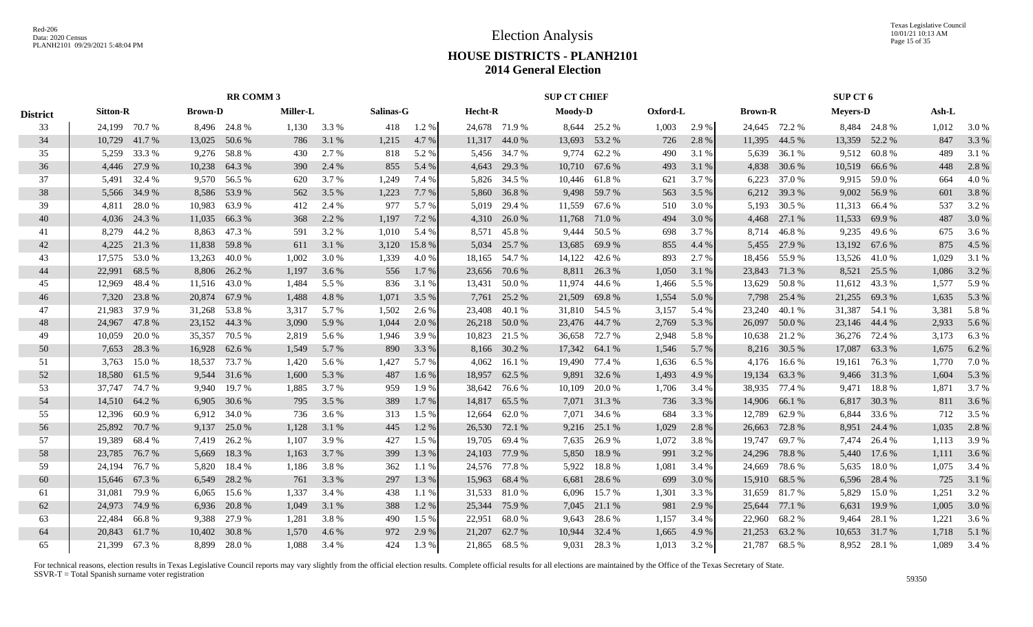Texas Legislative Council 10/01/21 10:13 AM Page 15 of 35

## **HOUSE DISTRICTS - PLANH2101 2014 General Election**

|                 |                 |                                                 |        | <b>RR COMM 3</b> |                 |       |           |         |         |               | <b>SUP CT CHIEF</b> |               |          |       |                |               | SUP CT 6        |               |       |       |
|-----------------|-----------------|-------------------------------------------------|--------|------------------|-----------------|-------|-----------|---------|---------|---------------|---------------------|---------------|----------|-------|----------------|---------------|-----------------|---------------|-------|-------|
| <b>District</b> | <b>Sitton-R</b> | <b>Brown-D</b><br>24,199 70.7 %<br>8,496 24.8 % |        |                  | <b>Miller-L</b> |       | Salinas-G |         | Hecht-R |               | Moody-D             |               | Oxford-L |       | <b>Brown-R</b> |               | <b>Meyers-D</b> |               | Ash-L |       |
| 33              |                 |                                                 |        |                  | 1,130           | 3.3 % | 418       | 1.2%    |         | 24,678 71.9 % |                     | 8,644 25.2 %  | 1,003    | 2.9%  |                | 24,645 72.2 % |                 | 8,484 24.8 %  | 1,012 | 3.0 % |
| 34              |                 | 10,729 41.7 %                                   | 13,025 | 50.6 %           | 786             | 3.1 % | 1,215     | 4.7 %   |         | 11,317 44.0 % | 13,693              | 53.2 %        | 726      | 2.8%  | 11,395         | 44.5 %        |                 | 13,359 52.2 % | 847   | 3.3 % |
| 35              | 5,259           | 33.3 %                                          | 9,276  | 58.8%            | 430             | 2.7 % | 818       | 5.2 %   |         | 5,456 34.7 %  | 9,774               | 62.2 %        | 490      | 3.1 % | 5,639          | 36.1 %        | 9,512           | 60.8%         | 489   | 3.1 % |
| 36              | 4,446           | 27.9 %                                          | 10,238 | 64.3 %           | 390             | 2.4 % | 855       | 5.4 %   |         | 4,643 29.3 %  | 10,710              | 67.6 %        | 493      | 3.1 % | 4,838          | 30.6 %        | 10,519          | 66.6 %        | 448   | 2.8 % |
| 37              |                 | 5,491 32.4 %                                    |        | 9,570 56.5 %     | 620             | 3.7 % | 1,249     | 7.4 %   |         | 5,826 34.5 %  | 10,446              | 61.8%         | 621      | 3.7 % | 6,223          | 37.0%         | 9,915           | 59.0%         | 664   | 4.0%  |
| 38              | 5,566           | 34.9 %                                          | 8,586  | 53.9%            | 562             | 3.5 % | 1,223     | 7.7 %   | 5,860   | 36.8%         | 9,498               | 59.7 %        | 563      | 3.5 % |                | 6,212 39.3 %  | 9,002           | 56.9%         | 601   | 3.8%  |
| 39              | 4.811           | 28.0%                                           | 10,983 | 63.9%            | 412             | 2.4 % | 977       | 5.7 %   | 5,019   | 29.4 %        | 11,559              | 67.6 %        | 510      | 3.0 % | 5,193          | 30.5 %        | 11,313          | 66.4 %        | 537   | 3.2%  |
| 40              | 4,036           | 24.3 %                                          | 11,035 | 66.3%            | 368             | 2.2 % | 1,197     | 7.2 %   |         | 4,310 26.0 %  | 11,768              | 71.0 %        | 494      | 3.0 % | 4,468          | 27.1 %        | 11,533          | 69.9%         | 487   | 3.0%  |
| 41              | 8.279           | 44.2 %                                          | 8,863  | 47.3 %           | 591             | 3.2 % | 1,010     | 5.4 %   | 8.571   | 45.8%         | 9.444               | 50.5 %        | 698      | 3.7 % | 8.714          | 46.8%         | 9,235           | 49.6 %        | 675   | 3.6 % |
| 42              | 4,225           | 21.3%                                           | 11,838 | 59.8%            | 611             | 3.1 % | 3,120     | 15.8%   | 5,034   | 25.7 %        | 13,685              | 69.9%         | 855      | 4.4 % | 5,455          | 27.9 %        | 13,192          | 67.6 %        | 875   | 4.5 % |
| 43              | 17,575          | 53.0%                                           | 13,263 | 40.0 %           | 1,002           | 3.0 % | 1,339     | 4.0%    |         | 18,165 54.7 % | 14,122              | 42.6 %        | 893      | 2.7 % | 18,456         | 55.9%         | 13,526          | 41.0 %        | 1,029 | 3.1 % |
| 44              | 22,991          | 68.5 %                                          | 8,806  | 26.2 %           | 1,197           | 3.6 % | 556       | $1.7\%$ |         | 23,656 70.6 % | 8,811               | 26.3 %        | 1,050    | 3.1 % | 23,843         | 71.3 %        | 8,521           | 25.5 %        | 1,086 | 3.2 % |
| 45              | 12,969          | 48.4%                                           | 11,516 | 43.0 %           | 1,484           | 5.5 % | 836       | 3.1 %   |         | 13,431 50.0 % | 11,974              | 44.6 %        | 1,466    | 5.5 % | 13,629         | 50.8%         |                 | 11,612 43.3 % | 1,577 | 5.9 % |
| 46              | 7,320           | 23.8%                                           | 20,874 | 67.9 %           | 1,488           | 4.8 % | 1,071     | 3.5 %   | 7,761   | 25.2 %        | 21,509              | 69.8%         | 1,554    | 5.0 % | 7,798          | 25.4 %        | 21,255          | 69.3%         | 1,635 | 5.3 % |
| 47              | 21,983          | 37.9 %                                          | 31,268 | 53.8%            | 3,317           | 5.7 % | 1,502     | 2.6 %   |         | 23,408 40.1 % |                     | 31,810 54.5 % | 3,157    | 5.4 % | 23,240         | 40.1 %        | 31,387 54.1 %   |               | 3,381 | 5.8 % |
| 48              | 24,967 47.8 %   |                                                 | 23,152 | 44.3 %           | 3,090           | 5.9%  | 1,044     | 2.0 %   |         | 26,218 50.0 % |                     | 23,476 44.7 % | 2,769    | 5.3 % | 26,097         | 50.0 %        | 23,146 44.4 %   |               | 2,933 | 5.6 % |
| 49              | 10,059          | 20.0 %                                          | 35,357 | 70.5 %           | 2,819           | 5.6 % | 1,946     | 3.9%    |         | 10,823 21.5 % |                     | 36,658 72.7 % | 2,948    | 5.8 % | 10,638         | 21.2 %        |                 | 36,276 72.4 % | 3,173 | 6.3 % |
| 50              | 7,653           | 28.3 %                                          | 16,928 | 62.6 %           | 1,549           | 5.7 % | 890       | 3.3 %   | 8,166   | 30.2 %        | 17,342              | 64.1 %        | 1,546    | 5.7 % | 8,216          | 30.5 %        | 17,087          | 63.3 %        | 1,675 | 6.2%  |
| 51              | 3.763           | 15.0 %                                          | 18,537 | 73.7 %           | 1,420           | 5.6 % | 1,427     | 5.7 %   | 4,062   | 16.1%         | 19,490              | 77.4 %        | 1,636    | 6.5 % | 4,176          | 16.6 %        | 19,161          | 76.3%         | 1,770 | 7.0%  |
| 52              | 18,580          | 61.5%                                           | 9.544  | 31.6 %           | 1,600           | 5.3 % | 487       | $1.6\%$ | 18,957  | 62.5 %        | 9,891               | 32.6 %        | 1,493    | 4.9 % | 19,134         | 63.3%         |                 | 9,466 31.3 %  | 1,604 | 5.3 % |
| 53              | 37,747          | 74.7%                                           | 9.940  | 19.7 %           | 1,885           | 3.7 % | 959       | 1.9%    | 38,642  | 76.6 %        | 10,109              | 20.0%         | 1,706    | 3.4 % | 38,935         | 77.4 %        | 9,471           | 18.8%         | 1,871 | 3.7 % |
| 54              | 14,510          | 64.2%                                           | 6,905  | 30.6 %           | 795             | 3.5 % | 389       | 1.7%    |         | 14,817 65.5 % |                     | 7,071 31.3 %  | 736      | 3.3 % | 14,906         | 66.1%         | 6,817           | 30.3%         | 811   | 3.6 % |
| 55              | 12,396          | 60.9%                                           | 6,912  | 34.0 %           | 736             | 3.6 % | 313       | 1.5 %   | 12,664  | 62.0%         | 7,071               | 34.6 %        | 684      | 3.3 % | 12,789         | 62.9%         | 6,844           | 33.6 %        | 712   | 3.5 % |
| 56              | 25,892          | 70.7%                                           | 9,137  | 25.0 %           | 1,128           | 3.1 % | 445       | 1.2%    |         | 26,530 72.1 % | 9,216               | 25.1 %        | 1,029    | 2.8 % | 26,663         | 72.8%         | 8,951           | 24.4 %        | 1,035 | 2.8 % |
| 57              | 19,389          | 68.4%                                           | 7,419  | 26.2 %           | 1,107           | 3.9%  | 427       | 1.5 %   |         | 19,705 69.4 % | 7,635               | 26.9%         | 1,072    | 3.8%  | 19,747         | 69.7%         | 7,474           | 26.4 %        | 1,113 | 3.9%  |
| 58              | 23,785          | 76.7 %                                          | 5,669  | 18.3 %           | 1,163           | 3.7 % | 399       | 1.3 %   |         | 24,103 77.9 % | 5,850               | 18.9%         | 991      | 3.2 % | 24,296         | 78.8%         | 5,440           | 17.6 %        | 1,111 | 3.6 % |
| 59              | 24,194          | 76.7%                                           | 5,820  | 18.4 %           | 1,186           | 3.8%  | 362       | 1.1 %   |         | 24,576 77.8 % | 5,922               | 18.8%         | 1,081    | 3.4 % | 24,669         | 78.6%         | 5,635           | 18.0%         | 1,075 | 3.4 % |
| 60              | 15,646          | 67.3 %                                          | 6,549  | 28.2 %           | 761             | 3.3 % | 297       | 1.3 %   |         | 15,963 68.4 % | 6,681               | 28.6 %        | 699      | 3.0 % | 15,910         | 68.5 %        | 6,596           | 28.4 %        | 725   | 3.1 % |
| 61              | 31,081          | 79.9%                                           | 6,065  | 15.6 %           | 1,337           | 3.4 % | 438       | 1.1 %   |         | 31,533 81.0 % | 6,096               | 15.7 %        | 1,301    | 3.3 % | 31,659         | 81.7%         | 5,829           | 15.0 %        | 1,251 | 3.2 % |
| 62              | 24,973          | 74.9%                                           | 6,936  | 20.8 %           | 1,049           | 3.1 % | 388       | 1.2%    | 25,344  | 75.9%         | 7,045               | 21.1 %        | 981      | 2.9 % | 25,644         | 77.1 %        | 6,631           | 19.9 %        | 1,005 | 3.0 % |
| 63              | 22,484          | 66.8%                                           | 9,388  | 27.9 %           | 1,281           | 3.8%  | 490       | 1.5 %   | 22,951  | 68.0%         | 9,643               | 28.6 %        | 1,157    | 3.4 % | 22,960         | 68.2%         | 9,464           | 28.1 %        | 1,221 | 3.6 % |
| 64              | 20,843          | 61.7%                                           | 10,402 | 30.8%            | 1,570           | 4.6 % | 972       | 2.9 %   | 21,207  | 62.7 %        | 10,944              | 32.4 %        | 1,665    | 4.9 % | 21,253         | 63.2%         | 10,653          | 31.7 %        | 1,718 | 5.1 % |
| 65              |                 | 21.399 67.3 %                                   | 8.899  | 28.0%            | 1.088           | 3.4 % | 424       | 1.3 %   |         | 21,865 68.5 % |                     | 9,031 28.3 %  | 1,013    | 3.2 % | 21,787         | 68.5 %        |                 | 8,952 28.1 %  | 1.089 | 3.4 % |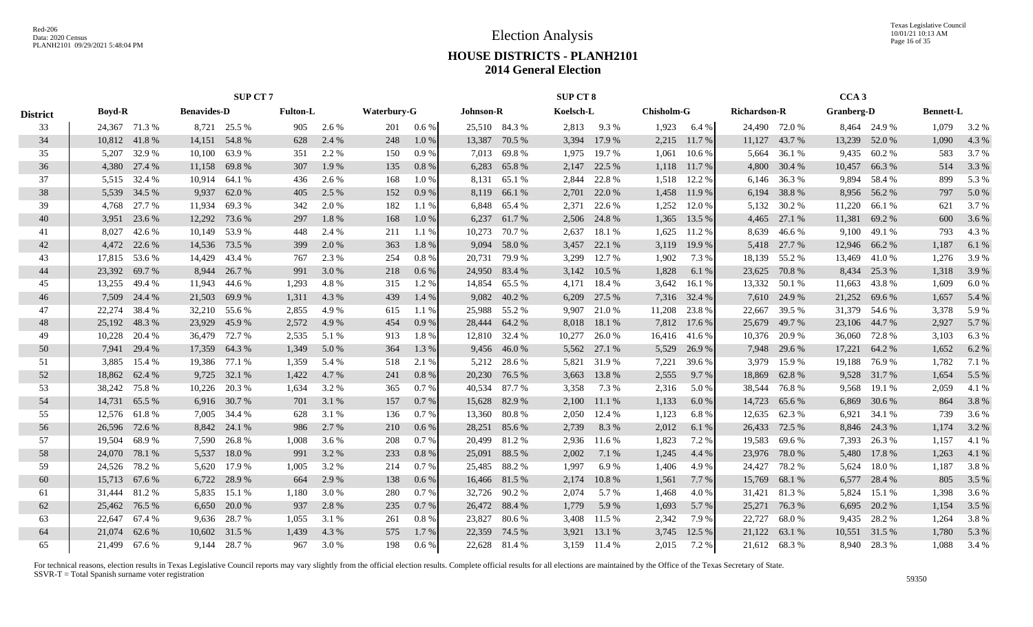Texas Legislative Council 10/01/21 10:13 AM Page 16 of 35

## **HOUSE DISTRICTS - PLANH2101 2014 General Election**

|                 |               |                                                     |        | <b>SUP CT 7</b> |                 |       |                    |         |                  |               | <b>SUP CT 8</b> |              |                   |               |                     |               | CCA <sub>3</sub> |               |                  |       |
|-----------------|---------------|-----------------------------------------------------|--------|-----------------|-----------------|-------|--------------------|---------|------------------|---------------|-----------------|--------------|-------------------|---------------|---------------------|---------------|------------------|---------------|------------------|-------|
| <b>District</b> | <b>Boyd-R</b> | <b>Benavides-D</b><br>24,367 71.3 %<br>8,721 25.5 % |        |                 | <b>Fulton-L</b> |       | <b>Waterbury-G</b> |         | <b>Johnson-R</b> |               | Koelsch-L       |              | <b>Chisholm-G</b> |               | <b>Richardson-R</b> |               | Granberg-D       |               | <b>Bennett-L</b> |       |
| 33              |               |                                                     |        |                 | 905             | 2.6 % | 201                | $0.6\%$ |                  | 25,510 84.3 % | 2,813           | 9.3%         | 1,923             | 6.4 %         |                     | 24,490 72.0 % |                  | 8,464 24.9 %  | 1,079            | 3.2 % |
| 34              | 10,812 41.8 % |                                                     | 14,151 | 54.8%           | 628             | 2.4 % | 248                | 1.0%    | 13,387           | 70.5 %        | 3,394           | 17.9 %       | 2,215             | 11.7 %        | 11,127              | 43.7 %        | 13,239           | 52.0 %        | 1,090            | 4.3 % |
| 35              | 5,207         | 32.9%                                               | 10,100 | 63.9%           | 351             | 2.2 % | 150                | 0.9%    | 7,013            | 69.8%         | 1,975           | 19.7%        | 1,061             | 10.6 %        | 5,664               | 36.1 %        | 9,435            | 60.2%         | 583              | 3.7 % |
| 36              | 4,380         | 27.4 %                                              | 11,158 | 69.8%           | 307             | 1.9 % | 135                | 0.8 %   | 6,283            | 65.8%         | 2,147           | 22.5 %       | 1,118             | 11.7 %        | 4,800               | 30.4 %        | 10,457           | 66.3%         | 514              | 3.3 % |
| 37              |               | 5,515 32.4 %                                        | 10,914 | 64.1 %          | 436             | 2.6 % | 168                | 1.0%    | 8,131            | 65.1 %        | 2,844           | 22.8%        | 1,518             | 12.2 %        | 6,146               | 36.3 %        | 9,894            | 58.4 %        | 899              | 5.3 % |
| 38              |               | 5,539 34.5 %                                        | 9,937  | 62.0 %          | 405             | 2.5 % | 152                | 0.9%    | 8,119            | 66.1 %        | 2,701           | 22.0 %       | 1,458             | 11.9 %        | 6,194               | 38.8%         | 8,956            | 56.2 %        | 797              | 5.0 % |
| 39              | 4,768         | 27.7 %                                              | 11,934 | 69.3%           | 342             | 2.0 % | 182                | 1.1%    | 6,848            | 65.4 %        | 2,371           | 22.6 %       | 1,252             | 12.0%         | 5,132               | 30.2 %        | 11,220           | 66.1 %        | 621              | 3.7%  |
| 40              | 3,951         | 23.6 %                                              | 12,292 | 73.6 %          | 297             | 1.8%  | 168                | 1.0%    | 6,237            | 61.7%         | 2,506           | 24.8%        | 1,365             | 13.5 %        | 4,465               | 27.1 %        | 11,381           | 69.2%         | 600              | 3.6 % |
| 41              | 8,027         | 42.6 %                                              | 10,149 | 53.9%           | 448             | 2.4 % | 211                | 1.1%    | 10,273           | 70.7%         | 2,637           | 18.1 %       | 1,625             | 11.2 %        | 8,639               | 46.6%         | 9,100            | 49.1 %        | 793              | 4.3%  |
| 42              | 4,472         | 22.6 %                                              | 14,536 | 73.5 %          | 399             | 2.0 % | 363                | 1.8%    | 9,094            | 58.0%         | 3,457           | 22.1 %       | 3,119             | 19.9 %        | 5,418               | 27.7 %        | 12,946           | 66.2%         | 1,187            | 6.1%  |
| 43              | 17,815        | 53.6 %                                              | 14,429 | 43.4 %          | 767             | 2.3 % | 254                | 0.8%    | 20,731           | 79.9%         | 3,299           | 12.7 %       | 1,902             | 7.3 %         | 18,139              | 55.2 %        | 13,469           | 41.0%         | 1,276            | 3.9%  |
| 44              | 23,392        | 69.7 %                                              | 8.944  | 26.7 %          | 991             | 3.0 % | 218                | 0.6%    |                  | 24,950 83.4 % | 3,142           | 10.5 %       | 1,828             | 6.1 %         | 23,625              | 70.8%         | 8,434            | 25.3 %        | 1,318            | 3.9%  |
| 45              | 13,255        | 49.4 %                                              | 11,943 | 44.6 %          | 1,293           | 4.8%  | 315                | $1.2\%$ |                  | 14,854 65.5 % | 4,171           | 18.4 %       | 3,642             | 16.1 %        | 13,332              | 50.1 %        | 11,663           | 43.8%         | 1,609            | 6.0%  |
| 46              | 7,509         | 24.4 %                                              | 21,503 | 69.9%           | 1,311           | 4.3 % | 439                | 1.4 %   | 9,082            | 40.2%         | 6,209           | 27.5 %       | 7,316             | 32.4 %        | 7,610               | 24.9 %        | 21,252           | 69.6 %        | 1,657            | 5.4 % |
| 47              | 22,274        | 38.4 %                                              | 32,210 | 55.6 %          | 2.855           | 4.9%  | 615                | 1.1%    |                  | 25,988 55.2 % | 9,907           | 21.0%        | 11,208            | 23.8%         | 22,667              | 39.5 %        | 31,379 54.6 %    |               | 3,378            | 5.9%  |
| 48              | 25,192 48.3 % |                                                     | 23,929 | 45.9%           | 2,572           | 4.9 % | 454                | 0.9%    |                  | 28,444 64.2 % | 8,018           | 18.1 %       | 7,812             | 17.6 %        | 25,679              | 49.7%         |                  | 23,106 44.7 % | 2,927            | 5.7%  |
| 49              | 10,228        | 20.4 %                                              | 36,479 | 72.7 %          | 2,535           | 5.1 % | 913                | 1.8%    |                  | 12,810 32.4 % | 10,277          | 26.0%        |                   | 16,416 41.6 % | 10,376              | 20.9 %        | 36,060           | 72.8%         | 3,103            | 6.3%  |
| 50              | 7,941         | 29.4 %                                              | 17,359 | 64.3%           | 1,349           | 5.0 % | 364                | 1.3 %   | 9,456            | 46.0%         |                 | 5,562 27.1 % | 5,529             | 26.9%         | 7,948               | 29.6 %        | 17,221           | 64.2 %        | 1,652            | 6.2%  |
| 51              | 3,885         | 15.4 %                                              | 19,386 | 77.1 %          | 1,359           | 5.4 % | 518                | 2.1 %   | 5,212            | 28.6 %        | 5,821           | 31.9%        | 7,221             | 39.6 %        | 3,979               | 15.9%         | 19,188           | 76.9%         | 1,782            | 7.1 % |
| 52              | 18,862        | 62.4 %                                              | 9,725  | 32.1 %          | 1,422           | 4.7 % | 241                | 0.8 %   | 20,230           | 76.5 %        | 3,663           | 13.8%        | 2,555             | 9.7 %         | 18,869              | 62.8%         | 9,528            | 31.7 %        | 1,654            | 5.5 % |
| 53              | 38,242        | 75.8%                                               | 10,226 | 20.3 %          | 1,634           | 3.2 % | 365                | 0.7%    | 40,534           | 87.7 %        | 3,358           | 7.3 %        | 2,316             | 5.0 %         | 38,544              | 76.8%         | 9,568            | 19.1 %        | 2,059            | 4.1 % |
| 54              | 14,731        | 65.5 %                                              | 6,916  | 30.7%           | 701             | 3.1 % | 157                | 0.7%    | 15,628           | 82.9%         | 2,100           | 11.1 %       | 1,133             | 6.0%          | 14,723              | 65.6 %        | 6,869            | 30.6 %        | 864              | 3.8%  |
| 55              | 12,576        | 61.8%                                               | 7,005  | 34.4 %          | 628             | 3.1 % | 136                | 0.7%    | 13,360           | 80.8%         | 2,050           | 12.4 %       | 1,123             | 6.8%          | 12,635              | 62.3%         | 6,921            | 34.1 %        | 739              | 3.6%  |
| 56              | 26,596 72.6 % |                                                     | 8,842  | 24.1 %          | 986             | 2.7 % | 210                | $0.6\%$ |                  | 28,251 85.6 % | 2,739           | 8.3%         | 2,012             | 6.1%          | 26,433              | 72.5 %        | 8,846            | 24.3 %        | 1,174            | 3.2 % |
| 57              | 19,504        | 68.9%                                               | 7,590  | 26.8%           | 1,008           | 3.6 % | 208                | 0.7%    | 20,499           | 81.2%         | 2,936           | 11.6 %       | 1,823             | 7.2 %         | 19,583              | 69.6%         | 7,393            | 26.3 %        | 1,157            | 4.1 % |
| 58              | 24,070        | 78.1 %                                              | 5,537  | 18.0%           | 991             | 3.2 % | 233                | 0.8%    | 25,091           | 88.5 %        | 2,002           | 7.1 %        | 1,245             | 4.4 %         | 23,976              | 78.0%         | 5,480            | 17.8 %        | 1,263            | 4.1 % |
| 59              | 24,526        | 78.2 %                                              | 5,620  | 17.9%           | 1,005           | 3.2 % | 214                | 0.7%    | 25,485           | 88.2%         | 1,997           | 6.9%         | 1,406             | 4.9%          | 24,427              | 78.2%         | 5,624            | 18.0%         | 1,187            | 3.8%  |
| 60              | 15,713        | 67.6 %                                              | 6,722  | 28.9%           | 664             | 2.9 % | 138                | $0.6\%$ |                  | 16,466 81.5 % | 2,174           | 10.8%        | 1,561             | 7.7 %         | 15,769              | 68.1 %        | 6,577            | 28.4 %        | 805              | 3.5 % |
| 61              | 31,444        | 81.2%                                               | 5,835  | 15.1 %          | 1,180           | 3.0 % | 280                | 0.7%    | 32,726           | 90.2%         | 2,074           | 5.7 %        | 1,468             | 4.0 %         | 31,421              | 81.3%         | 5,824            | 15.1 %        | 1,398            | 3.6 % |
| 62              | 25,462        | 76.5 %                                              | 6,650  | 20.0 %          | 937             | 2.8 % | 235                | 0.7%    |                  | 26,472 88.4 % | 1,779           | 5.9%         | 1,693             | 5.7 %         | 25,271              | 76.3%         | 6,695            | 20.2 %        | 1,154            | 3.5 % |
| 63              | 22,647        | 67.4 %                                              | 9,636  | 28.7 %          | 1,055           | 3.1 % | 261                | 0.8%    | 23,827           | 80.6%         | 3,408           | 11.5 %       | 2,342             | 7.9%          | 22,727              | 68.0%         | 9,435            | 28.2 %        | 1,264            | 3.8%  |
| 64              | 21,074        | 62.6 %                                              | 10,602 | 31.5 %          | 1,439           | 4.3 % | 575                | 1.7%    | 22,359           | 74.5 %        | 3,921           | 13.1 %       | 3,745             | 12.5 %        | 21,122              | 63.1 %        | 10,551           | 31.5 %        | 1,780            | 5.3 % |
| 65              | 21.499 67.6 % |                                                     |        | 9,144 28.7 %    | 967             | 3.0 % | 198                | 0.6 %   |                  | 22,628 81.4 % |                 | 3,159 11.4 % | 2,015             | 7.2 %         |                     | 21,612 68.3 % |                  | 8,940 28.3 %  | 1,088            | 3.4 % |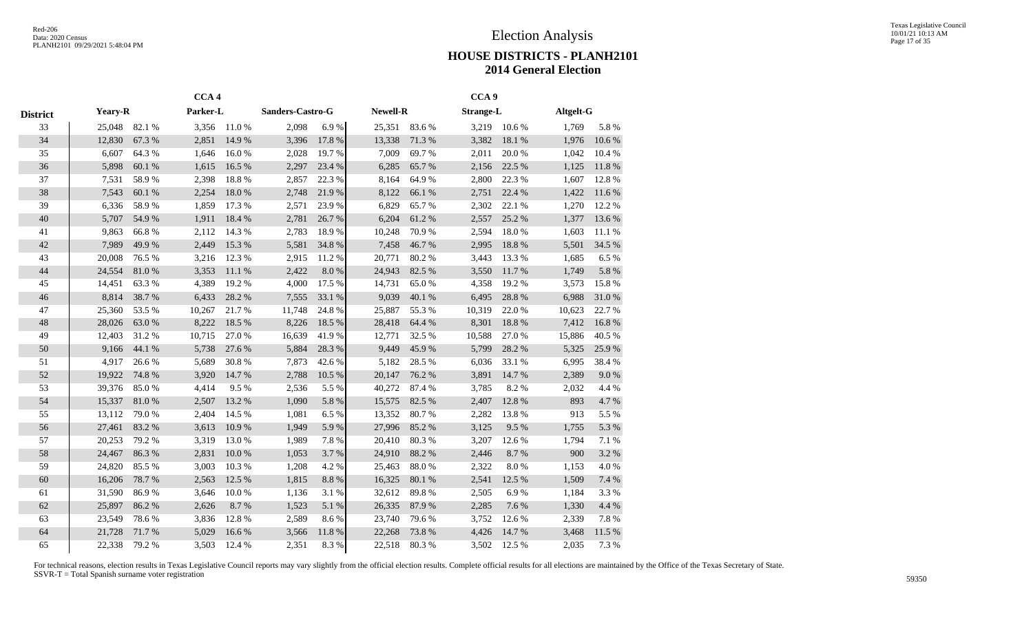|                 |                |        | CCA <sub>4</sub> |        |                  |            |                 |        | CCA <sub>9</sub> |           |           |            |
|-----------------|----------------|--------|------------------|--------|------------------|------------|-----------------|--------|------------------|-----------|-----------|------------|
| <b>District</b> | <b>Yeary-R</b> |        | Parker-L         |        | Sanders-Castro-G |            | <b>Newell-R</b> |        | <b>Strange-L</b> |           | Altgelt-G |            |
| 33              | 25,048         | 82.1 % | 3,356            | 11.0%  | 2,098            | 6.9%       | 25,351          | 83.6%  | 3,219            | 10.6%     | 1,769     | 5.8%       |
| 34              | 12,830         | 67.3%  | 2,851            | 14.9 % | 3,396            | 17.8 %     | 13,338          | 71.3%  | 3,382            | 18.1 %    | 1,976     | 10.6 %     |
| 35              | 6,607          | 64.3%  | 1,646            | 16.0%  | 2,028            | 19.7%      | 7,009           | 69.7%  | 2,011            | 20.0%     | 1,042     | 10.4 %     |
| 36              | 5,898          | 60.1 % | 1,615            | 16.5 % | 2,297            | 23.4 %     | 6,285           | 65.7%  | 2,156            | 22.5 %    | 1,125     | 11.8 %     |
| 37              | 7,531          | 58.9%  | 2,398            | 18.8%  | 2,857            | 22.3 %     | 8,164           | 64.9%  | 2,800            | 22.3 %    | 1,607     | 12.8%      |
| 38              | 7,543          | 60.1 % | 2,254            | 18.0%  | 2,748            | 21.9%      | 8,122           | 66.1%  | 2,751            | 22.4 %    | 1,422     | 11.6 %     |
| 39              | 6,336          | 58.9%  | 1,859            | 17.3 % | 2,571            | 23.9%      | 6,829           | 65.7%  | 2,302            | 22.1 %    | 1,270     | 12.2 %     |
| 40              | 5,707          | 54.9%  | 1,911            | 18.4%  | 2,781            | 26.7%      | 6,204           | 61.2%  | 2,557            | 25.2 %    | 1,377     | 13.6 %     |
| 41              | 9,863          | 66.8%  | 2,112            | 14.3 % | 2,783            | 18.9%      | 10,248          | 70.9%  | 2,594            | 18.0%     | 1,603     | 11.1 %     |
| 42              | 7,989          | 49.9%  | 2,449            | 15.3 % | 5,581            | 34.8%      | 7,458           | 46.7%  | 2,995            | 18.8 %    | 5,501     | 34.5 %     |
| 43              | 20,008         | 76.5 % | 3,216            | 12.3 % | 2,915            | 11.2%      | 20,771          | 80.2%  | 3,443            | 13.3 %    | 1,685     | 6.5%       |
| 44              | 24,554         | 81.0%  | 3,353            | 11.1%  | 2,422            | 8.0%       | 24,943          | 82.5 % | 3,550            | 11.7%     | 1,749     | 5.8 %      |
| 45              | 14,451         | 63.3%  | 4,389            | 19.2 % | 4,000            | 17.5 %     | 14,731          | 65.0%  | 4,358            | 19.2%     | 3,573     | 15.8%      |
| 46              | 8,814          | 38.7%  | 6,433            | 28.2%  | 7,555            | 33.1 %     | 9,039           | 40.1 % | 6,495            | 28.8 %    | 6,988     | $31.0\ \%$ |
| 47              | 25,360         | 53.5%  | 10,267           | 21.7%  | 11,748           | 24.8%      | 25,887          | 55.3%  | 10,319           | 22.0%     | 10,623    | 22.7 %     |
| 48              | 28,026         | 63.0%  | 8,222            | 18.5%  | 8,226            | 18.5 %     | 28,418          | 64.4 % | 8,301            | 18.8%     | 7,412     | 16.8%      |
| 49              | 12,403         | 31.2%  | 10,715           | 27.0%  | 16,639           | 41.9%      | 12,771          | 32.5 % | 10,588           | 27.0%     | 15,886    | 40.5 %     |
| 50              | 9,166          | 44.1 % | 5,738            | 27.6%  | 5,884            | 28.3 %     | 9,449           | 45.9%  | 5,799            | 28.2 %    | 5,325     | 25.9%      |
| 51              | 4,917          | 26.6%  | 5,689            | 30.8%  | 7,873            | 42.6%      | 5,182           | 28.5 % | 6,036            | 33.1 %    | 6,995     | 38.4%      |
| 52              | 19,922         | 74.8%  | 3,920            | 14.7 % | 2,788            | 10.5 %     | 20,147          | 76.2 % | 3,891            | 14.7 %    | 2,389     | $9.0\ \%$  |
| 53              | 39,376         | 85.0%  | 4,414            | 9.5%   | 2,536            | 5.5 %      | 40,272          | 87.4 % | 3,785            | 8.2%      | 2,032     | 4.4 %      |
| 54              | 15,337         | 81.0%  | 2,507            | 13.2 % | 1,090            | 5.8%       | 15,575          | 82.5 % | 2,407            | 12.8 %    | 893       | 4.7%       |
| 55              | 13,112         | 79.0%  | 2,404            | 14.5 % | 1,081            | 6.5 %      | 13,352          | 80.7%  | 2,282            | 13.8%     | 913       | 5.5 %      |
| 56              | 27,461         | 83.2%  | 3,613            | 10.9%  | 1,949            | 5.9%       | 27,996          | 85.2%  | 3,125            | 9.5 %     | 1,755     | 5.3 %      |
| 57              | 20,253         | 79.2 % | 3,319            | 13.0 % | 1,989            | 7.8%       | 20,410          | 80.3%  | 3,207            | 12.6 %    | 1,794     | 7.1 %      |
| 58              | 24,467         | 86.3%  | 2,831            | 10.0%  | 1,053            | 3.7%       | 24,910          | 88.2%  | 2,446            | 8.7%      | 900       | 3.2 %      |
| 59              | 24,820         | 85.5%  | 3,003            | 10.3%  | 1,208            | 4.2 %      | 25,463          | 88.0%  | 2,322            | $8.0\ \%$ | 1,153     | 4.0%       |
| 60              | 16,206         | 78.7%  | 2,563            | 12.5 % | 1,815            | $8.8\ \%$  | 16,325          | 80.1%  | 2,541            | 12.5 %    | 1,509     | 7.4 %      |
| 61              | 31,590         | 86.9%  | 3,646            | 10.0%  | 1,136            | 3.1 %      | 32,612          | 89.8%  | 2,505            | 6.9%      | 1,184     | 3.3%       |
| 62              | 25,897         | 86.2%  | 2,626            | 8.7%   | 1,523            | 5.1 %      | 26,335          | 87.9%  | 2,285            | 7.6 %     | 1,330     | 4.4 %      |
| 63              | 23,549         | 78.6%  | 3,836            | 12.8%  | 2,589            | 8.6%       | 23,740          | 79.6%  | 3,752            | 12.6 %    | 2,339     | 7.8 %      |
| 64              | 21,728         | 71.7%  | 5,029            | 16.6%  | 3,566            | $11.8\ \%$ | 22,268          | 73.8%  | 4,426            | 14.7%     | 3,468     | 11.5 %     |
| 65              | 22,338         | 79.2 % | 3,503            | 12.4 % | 2,351            | 8.3%       | 22,518          | 80.3%  | 3,502            | 12.5 %    | 2,035     | 7.3 %      |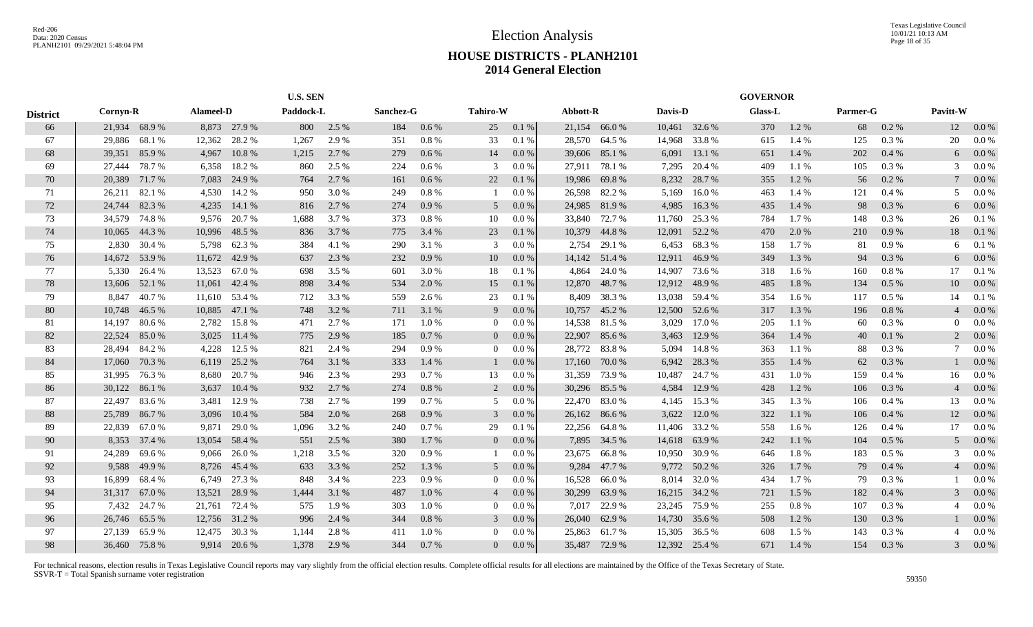|                 |          |               |        | Alameel-D    |           | <b>U.S. SEN</b> |           |       |                |          |               |               |         |               | <b>GOVERNOR</b> |       |          |         |                         |         |
|-----------------|----------|---------------|--------|--------------|-----------|-----------------|-----------|-------|----------------|----------|---------------|---------------|---------|---------------|-----------------|-------|----------|---------|-------------------------|---------|
| <b>District</b> | Cornyn-R |               |        |              | Paddock-L |                 | Sanchez-G |       | Tahiro-W       |          | Abbott-R      |               | Davis-D |               | <b>Glass-L</b>  |       | Parmer-G |         | Pavitt-W                |         |
| 66              |          | 21,934 68.9 % |        | 8,873 27.9 % | 800       | 2.5 %           | 184       | 0.6 % | 25             | 0.1 %    |               | 21,154 66.0 % |         | 10,461 32.6 % | 370             | 1.2%  | 68       | $0.2\%$ | 12                      | $0.0\%$ |
| 67              | 29,886   | 68.1 %        | 12,362 | 28.2 %       | 1.267     | 2.9 %           | 351       | 0.8%  | 33             | 0.1%     | 28,570        | 64.5 %        | 14,968  | 33.8%         | 615             | 1.4 % | 125      | $0.3\%$ | 20                      | 0.0 %   |
| 68              | 39,351   | 85.9%         | 4,967  | 10.8%        | 1,215     | 2.7 %           | 279       | 0.6%  | 14             | $0.0\%$  | 39,606        | 85.1 %        | 6,091   | 13.1 %        | 651             | 1.4 % | 202      | 0.4%    | 6                       | 0.0 %   |
| 69              | 27,444   | 78.7%         | 6,358  | 18.2 %       | 860       | 2.5 %           | 224       | 0.6%  | 3              | $0.0\%$  | 27,911        | 78.1 %        | 7,295   | 20.4 %        | 409             | 1.1 % | 105      | 0.3 %   | $\mathcal{R}$           | $0.0\%$ |
| 70              | 20,389   | 71.7%         | 7,083  | 24.9 %       | 764       | 2.7 %           | 161       | 0.6%  | 22             | 0.1%     | 19,986        | 69.8%         | 8,232   | 28.7 %        | 355             | 1.2%  | 56       | 0.2 %   |                         | $0.0\%$ |
| 71              | 26,211   | 82.1 %        | 4,530  | 14.2 %       | 950       | 3.0 %           | 249       | 0.8%  |                | $0.0\%$  | 26,598        | 82.2 %        | 5,169   | 16.0%         | 463             | 1.4 % | 121      | 0.4%    | .5                      | 0.0 %   |
| 72              | 24,744   | 82.3 %        | 4,235  | 14.1 %       | 816       | 2.7 %           | 274       | 0.9%  | 5              | 0.0 %    | 24,985        | 81.9%         | 4,985   | 16.3%         | 435             | 1.4 % | 98       | 0.3 %   | 6                       | 0.0 %   |
| 73              |          | 34,579 74.8 % | 9,576  | 20.7 %       | 1,688     | 3.7 %           | 373       | 0.8%  | 10             | $0.0\%$  |               | 33,840 72.7 % | 11,760  | 25.3 %        | 784             | 1.7%  | 148      | 0.3 %   | 26                      | 0.1%    |
| 74              |          | 10,065 44.3 % | 10,996 | 48.5 %       | 836       | 3.7 %           | 775       | 3.4 % | 23             | 0.1%     | 10,379        | 44.8%         | 12,091  | 52.2 %        | 470             | 2.0 % | 210      | 0.9%    | 18                      | 0.1%    |
| 75              | 2,830    | 30.4 %        | 5,798  | 62.3 %       | 384       | 4.1 %           | 290       | 3.1 % | 3              | 0.0 %    | 2,754         | 29.1 %        | 6,453   | 68.3%         | 158             | 1.7%  | 81       | $0.9\%$ | 6                       | 0.1%    |
| 76              | 14,672   | 53.9%         | 11,672 | 42.9 %       | 637       | 2.3 %           | 232       | 0.9%  | 10             | 0.0 %    |               | 14,142 51.4 % | 12,911  | 46.9%         | 349             | 1.3%  | 94       | 0.3%    | 6                       | $0.0\%$ |
| 77              | 5,330    | 26.4 %        | 13,523 | 67.0 %       | 698       | 3.5 %           | 601       | 3.0%  | 18             | 0.1%     | 4,864         | 24.0 %        | 14,907  | 73.6 %        | 318             | 1.6 % | 160      | $0.8\%$ | 17                      | 0.1%    |
| 78              | 13,606   | 52.1 %        | 11,061 | 42.4 %       | 898       | 3.4 %           | 534       | 2.0 % | 15             | 0.1%     | 12,870        | 48.7 %        | 12,912  | 48.9%         | 485             | 1.8%  | 134      | 0.5%    | 10                      | $0.0\%$ |
| 79              | 8,847    | 40.7%         | 11,610 | 53.4 %       | 712       | 3.3 %           | 559       | 2.6 % | 23             | 0.1%     | 8,409         | 38.3 %        | 13,038  | 59.4 %        | 354             | 1.6 % | 117      | $0.5\%$ | 14                      | 0.1%    |
| 80              | 10,748   | 46.5 %        | 10,885 | 47.1 %       | 748       | 3.2 %           | 711       | 3.1 % | 9              | 0.0 %    | 10,757        | 45.2 %        | 12,500  | 52.6 %        | 317             | 1.3 % | 196      | 0.8%    |                         | 0.0 %   |
| 81              | 14,197   | 80.6%         | 2,782  | 15.8%        | 471       | 2.7 %           | 171       | 1.0%  | $\overline{0}$ | $0.0\%$  |               | 14,538 81.5 % | 3,029   | 17.0 %        | 205             | 1.1 % | 60       | $0.3\%$ | $\Omega$                | 0.0 %   |
| 82              | 22,524   | 85.0%         | 3,025  | 11.4 %       | 775       | 2.9 %           | 185       | 0.7%  | $\overline{0}$ | $0.0 \%$ | 22,907        | 85.6%         | 3,463   | 12.9 %        | 364             | 1.4 % | 40       | 0.1%    | 2                       | 0.0 %   |
| 83              | 28,494   | 84.2 %        | 4.228  | 12.5 %       | 821       | 2.4 %           | 294       | 0.9%  | $\Omega$       | 0.0 %    |               | 28,772 83.8 % | 5,094   | 14.8 %        | 363             | 1.1%  | 88       | 0.3 %   |                         | 0.0 %   |
| 84              | 17,060   | 70.3 %        | 6,119  | 25.2 %       | 764       | 3.1 %           | 333       | 1.4 % |                | 0.0 %    | 17,160        | 70.0 %        | 6.942   | 28.3 %        | 355             | 1.4 % | 62       | 0.3%    |                         | 0.0 %   |
| 85              | 31,995   | 76.3%         | 8,680  | 20.7 %       | 946       | 2.3 %           | 293       | 0.7%  | 13             | 0.0 %    | 31,359        | 73.9 %        | 10,487  | 24.7 %        | 431             | 1.0%  | 159      | 0.4%    | 16                      | 0.0 %   |
| 86              | 30,122   | 86.1%         | 3,637  | 10.4%        | 932       | 2.7 %           | 274       | 0.8%  | 2              | 0.0 %    | 30,296        | 85.5 %        | 4,584   | 12.9 %        | 428             | 1.2%  | 106      | $0.3\%$ | $\overline{4}$          | 0.0 %   |
| 87              | 22,497   | 83.6 %        | 3,481  | 12.9 %       | 738       | 2.7 %           | 199       | 0.7%  | .5             | $0.0\%$  | 22,470        | 83.0%         | 4,145   | 15.3 %        | 345             | 1.3 % | 106      | $0.4\%$ | 13                      | 0.0 %   |
| 88              | 25,789   | 86.7%         | 3,096  | 10.4%        | 584       | 2.0 %           | 268       | 0.9%  | 3              | 0.0 %    | 26,162        | 86.6%         | 3,622   | 12.0 %        | 322             | 1.1 % | 106      | 0.4%    | 12                      | 0.0 %   |
| -89             | 22,839   | 67.0 %        | 9,871  | 29.0 %       | 1,096     | 3.2 %           | 240       | 0.7%  | 29             | 0.1%     | 22,256        | 64.8%         | 11,406  | 33.2 %        | 558             | 1.6 % | 126      | 0.4%    | 17                      | 0.0 %   |
| 90              |          | 8,353 37.4 %  | 13,054 | 58.4 %       | 551       | 2.5 %           | 380       | 1.7 % | $\overline{0}$ | $0.0 \%$ | 7,895         | 34.5 %        | 14,618  | 63.9%         | 242             | 1.1%  | 104      | 0.5%    | $\overline{\mathbf{5}}$ | $0.0\%$ |
| 91              | 24,289   | 69.6%         | 9.066  | 26.0 %       | 1,218     | 3.5 %           | 320       | 0.9%  |                | 0.0 %    | 23,675        | 66.8 %        | 10.950  | 30.9%         | 646             | 1.8%  | 183      | $0.5\%$ | $\mathcal{R}$           | 0.0 %   |
| 92              | 9,588    | 49.9 %        | 8,726  | 45.4 %       | 633       | 3.3 %           | 252       | 1.3%  | 5              | $0.0\%$  | 9,284         | 47.7 %        |         | 9,772 50.2 %  | 326             | 1.7%  | 79       | 0.4%    |                         | $0.0\%$ |
| 93              | 16,899   | 68.4 %        | 6,749  | 27.3 %       | 848       | 3.4 %           | 223       | 0.9%  | $\overline{0}$ | 0.0 %    | 16,528        | 66.0%         | 8,014   | 32.0 %        | 434             | 1.7 % | 79       | 0.3 %   |                         | 0.0 %   |
| 94              | 31,317   | 67.0 %        | 13,521 | 28.9 %       | 1,444     | 3.1 %           | 487       | 1.0%  | $\overline{4}$ | $0.0\%$  | 30,299        | 63.9%         | 16,215  | 34.2 %        | 721             | 1.5 % | 182      | 0.4%    | 3                       | 0.0 %   |
| 95              | 7,432    | 24.7 %        | 21,761 | 72.4 %       | 575       | 1.9%            | 303       | 1.0%  | $\overline{0}$ | $0.0\%$  | 7,017         | 22.9 %        | 23,245  | 75.9 %        | 255             | 0.8%  | 107      | 0.3 %   |                         | $0.0\%$ |
| 96              | 26,746   | 65.5 %        | 12,756 | 31.2 %       | 996       | 2.4 %           | 344       | 0.8%  | 3              | 0.0 %    | 26,040        | 62.9 %        |         | 14,730 35.6 % | 508             | 1.2%  | 130      | 0.3%    |                         | 0.0 %   |
| 97              | 27,139   | 65.9%         | 12,475 | 30.3 %       | 1,144     | 2.8 %           | 411       | 1.0%  | $\overline{0}$ | 0.0 %    | 25,863        | 61.7%         | 15,305  | 36.5 %        | 608             | 1.5 % | 143      | $0.3\%$ |                         | 0.0 %   |
| 98              |          | 36,460 75.8 % |        | 9,914 20.6 % | 1,378     | 2.9 %           | 344       | 0.7%  | $\mathbf{0}$   | 0.0 %    | 35,487 72.9 % |               |         | 12,392 25.4 % | 671             | 1.4 % | 154      | 0.3%    | 3                       | 0.0 %   |
|                 |          |               |        |              |           |                 |           |       |                |          |               |               |         |               |                 |       |          |         |                         |         |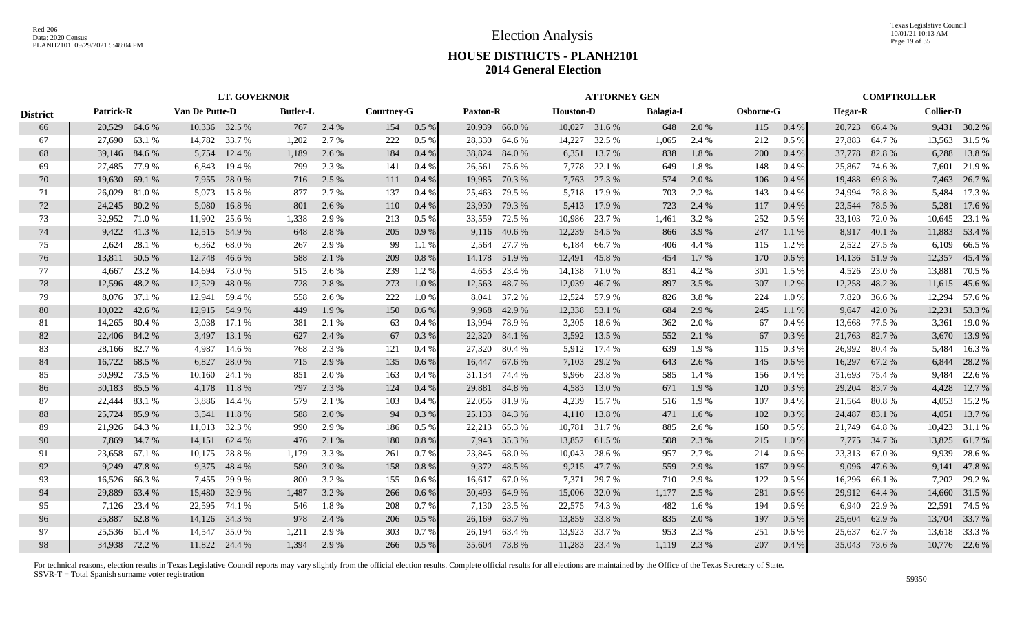Texas Legislative Council 10/01/21 10:13 AM Page 19 of 35

## **HOUSE DISTRICTS - PLANH2101 2014 General Election**

|                 |                  |               |                |               | <b>LT. GOVERNOR</b> |       |            |         |          |               |                  | <b>ATTORNEY GEN</b> |           |       |            |         |                |               | <b>COMPTROLLER</b> |               |
|-----------------|------------------|---------------|----------------|---------------|---------------------|-------|------------|---------|----------|---------------|------------------|---------------------|-----------|-------|------------|---------|----------------|---------------|--------------------|---------------|
| <b>District</b> | <b>Patrick-R</b> |               | Van De Putte-D |               | <b>Butler-L</b>     |       | Courtney-G |         | Paxton-R |               | <b>Houston-D</b> |                     | Balagia-L |       | Osborne-G  |         | <b>Hegar-R</b> |               | <b>Collier-D</b>   |               |
| 66              |                  | 20,529 64.6 % |                | 10,336 32.5 % | 767                 | 2.4 % | 154        | $0.5\%$ |          | 20,939 66.0 % |                  | 10,027 31.6 %       | 648       | 2.0 % | 115        | 0.4%    |                | 20,723 66.4 % |                    | 9,431 30.2 %  |
| 67              | 27,690           | 63.1 %        | 14,782         | 33.7 %        | 1,202               | 2.7 % | 222        | $0.5\%$ | 28,330   | 64.6 %        | 14,227           | 32.5 %              | 1,065     | 2.4 % | 212        | 0.5%    | 27,883         | 64.7%         | 13,563             | 31.5 %        |
| 68              | 39,146 84.6 %    |               | 5,754          | 12.4 %        | 1,189               | 2.6 % | 184        | 0.4%    |          | 38,824 84.0 % | 6,351            | 13.7 %              | 838       | 1.8%  | <b>200</b> | 0.4%    |                | 37,778 82.8 % | 6,288              | 13.8%         |
| 69              | 27,485 77.9 %    |               | 6.843          | 19.4 %        | 799                 | 2.3 % | 141        | 0.4%    | 26,561   | 75.6%         | 7,778            | 22.1 %              | 649       | 1.8%  | 148        | 0.4%    | 25,867         | 74.6 %        | 7,601              | 21.9%         |
| 70              | 19,630           | 69.1 %        | 7,955          | 28.0%         | 716                 | 2.5 % | 111        | 0.4%    | 19,985   | 70.3 %        | 7,763            | 27.3 %              | 574       | 2.0 % | 106        | 0.4%    | 19,488         | 69.8%         |                    | 7,463 26.7 %  |
| 71              | 26,029           | 81.0%         | 5,073          | 15.8%         | 877                 | 2.7 % | 137        | 0.4%    | 25,463   | 79.5 %        | 5,718            | 17.9 %              | 703       | 2.2 % | 143        | 0.4%    | 24,994         | 78.8%         | 5,484              | 17.3 %        |
| 72              |                  | 24,245 80.2 % | 5,080          | 16.8%         | 801                 | 2.6 % | 110        | 0.4%    |          | 23,930 79.3 % |                  | 5,413 17.9 %        | 723       | 2.4 % | 117        | 0.4%    | 23,544         | 78.5 %        | 5,281              | 17.6 %        |
| 73              | 32,952           | 71.0%         | 11,902         | 25.6 %        | 1,338               | 2.9 % | 213        | $0.5\%$ |          | 33,559 72.5 % | 10,986           | 23.7 %              | 1,461     | 3.2 % | 252        | $0.5\%$ | 33,103         | 72.0 %        |                    | 10,645 23.1 % |
| 74              |                  | 9,422 41.3 %  | 12,515         | 54.9%         | 648                 | 2.8%  | 205        | 0.9%    |          | 9,116 40.6 %  | 12,239           | 54.5 %              | 866       | 3.9 % | 247        | 1.1%    |                | 8,917 40.1 %  |                    | 11,883 53.4 % |
| 75              | 2,624            | 28.1 %        | 6,362          | 68.0%         | 267                 | 2.9 % | -99        | 1.1 %   | 2,564    | 27.7 %        | 6,184            | 66.7%               | 406       | 4.4 % | 115        | 1.2%    | 2,522          | 27.5 %        | 6,109              | 66.5%         |
| 76              | 13,811           | 50.5 %        | 12,748         | 46.6 %        | 588                 | 2.1 % | 209        | 0.8%    |          | 14,178 51.9 % | 12,491           | 45.8%               | 454       | 1.7 % | 170        | 0.6%    |                | 14,136 51.9 % | 12,357             | 45.4 %        |
| 77              | 4.667            | 23.2 %        | 14.694         | 73.0 %        | 515                 | 2.6 % | 239        | 1.2 %   | 4,653    | 23.4 %        | 14,138           | 71.0 %              | 831       | 4.2 % | 301        | $1.5\%$ |                | 4,526 23.0 %  | 13,881             | 70.5 %        |
| 78              | 12,596           | 48.2 %        | 12,529         | 48.0%         | 728                 | 2.8 % | 273        | $1.0\%$ |          | 12,563 48.7 % | 12,039           | 46.7%               | 897       | 3.5 % | 307        | 1.2 %   |                | 12,258 48.2 % |                    | 11,615 45.6 % |
| 79              |                  | 8,076 37.1 %  |                | 12,941 59.4 % | 558                 | 2.6 % | 222        | 1.0%    | 8,041    | 37.2 %        |                  | 12,524 57.9 %       | 826       | 3.8%  | 224        | 1.0%    |                | 7,820 36.6 %  |                    | 12,294 57.6 % |
| 80              |                  | 10,022 42.6 % |                | 12,915 54.9 % | 449                 | 1.9%  | 150        | 0.6 %   |          | 9,968 42.9 %  | 12,338           | 53.1 %              | 684       | 2.9 % | 245        | 1.1%    |                | 9,647 42.0 %  | 12,231             | 53.3 %        |
| -81             |                  | 14,265 80.4 % | 3,038          | 17.1 %        | 381                 | 2.1 % | 63         | 0.4%    | 13.994   | 78.9%         | 3,305            | 18.6 %              | 362       | 2.0 % | 67         | 0.4%    |                | 13,668 77.5 % |                    | 3,361 19.0 %  |
| 82              |                  | 22,406 84.2 % | 3,497          | 13.1 %        | 627                 | 2.4 % | 67         | $0.3\%$ |          | 22,320 84.1 % | 3,592            | 13.5 %              | 552       | 2.1 % | 67         | 0.3%    |                | 21,763 82.7 % |                    | 3,670 13.9 %  |
| 83              |                  | 28,166 82.7 % | 4.987          | 14.6 %        | 768                 | 2.3 % | 121        | 0.4%    | 27,320   | 80.4 %        |                  | 5,912 17.4 %        | 639       | 1.9%  | 115        | 0.3%    | 26,992         | 80.4 %        | 5,484              | 16.3%         |
| 84              | 16,722           | 68.5 %        | 6,827          | 28.0%         | 715                 | 2.9 % | 135        | 0.6%    | 16,447   | 67.6 %        | 7,103            | 29.2 %              | 643       | 2.6 % | 145        | 0.6%    | 16,297         | 67.2 %        | 6,844              | 28.2 %        |
| 85              | 30,992           | 73.5 %        | 10,160         | 24.1 %        | 851                 | 2.0 % | 163        | 0.4%    | 31,134   | 74.4 %        | 9,966            | 23.8%               | 585       | 1.4 % | 156        | 0.4%    | 31,693         | 75.4 %        | 9,484              | 22.6 %        |
| 86              | 30,183           | 85.5 %        | 4,178          | 11.8 %        | 797                 | 2.3 % | 124        | 0.4%    |          | 29,881 84.8 % | 4,583            | 13.0 %              | 671       | 1.9 % | 120        | 0.3 %   | 29,204         | 83.7 %        | 4,428              | 12.7 %        |
| 87              | 22,444           | 83.1 %        |                | 3,886 14.4 %  | 579                 | 2.1 % | 103        | 0.4%    |          | 22,056 81.9 % | 4,239            | 15.7 %              | 516       | 1.9 % | 107        | 0.4%    | 21,564         | 80.8 %        | 4,053              | 15.2 %        |
| 88              | 25,724           | 85.9%         | 3,541          | 11.8 %        | 588                 | 2.0 % | 94         | 0.3%    |          | 25,133 84.3 % | 4,110            | 13.8%               | 471       | 1.6%  | 102        | 0.3 %   | 24,487         | 83.1 %        | 4,051              | 13.7 %        |
| -89             | 21,926           | 64.3 %        | 11,013         | 32.3 %        | 990                 | 2.9 % | 186        | $0.5\%$ |          | 22,213 65.3 % | 10,781           | 31.7 %              | 885       | 2.6 % | 160        | 0.5 %   |                | 21,749 64.8 % | 10,423             | 31.1 %        |
| 90              |                  | 7,869 34.7 %  | 14,151         | 62.4 %        | 476                 | 2.1 % | 180        | 0.8%    |          | 7,943 35.3 %  | 13,852           | 61.5 %              | 508       | 2.3 % | 215        | 1.0%    |                | 7,775 34.7 %  | 13,825             | 61.7%         |
| 91              | 23.658           | 67.1 %        | 10.175         | 28.8%         | 1.179               | 3.3 % | 261        | 0.7%    |          | 23,845 68.0 % | 10,043           | 28.6%               | 957       | 2.7 % | 214        | 0.6%    |                | 23,313 67.0 % | 9.939              | 28.6%         |
| 92              | 9,249            | 47.8%         | 9,375          | 48.4 %        | 580                 | 3.0 % | 158        | 0.8%    |          | 9,372 48.5 %  | 9,215            | 47.7 %              | 559       | 2.9 % | 167        | 0.9%    |                | 9,096 47.6 %  | 9,141              | 47.8%         |
| 93              | 16,526           | 66.3%         | 7,455          | 29.9 %        | 800                 | 3.2 % | 155        | $0.6\%$ |          | 16,617 67.0 % | 7,371            | 29.7 %              | 710       | 2.9 % | 122        | 0.5%    | 16,296         | 66.1 %        | 7,202              | 29.2 %        |
| 94              | 29,889           | 63.4 %        | 15,480         | 32.9 %        | 1,487               | 3.2 % | 266        | $0.6\%$ |          | 30,493 64.9 % | 15,006           | 32.0 %              | 1,177     | 2.5 % | 281        | $0.6\%$ |                | 29,912 64.4 % | 14,660             | 31.5 %        |
| 95              |                  | 7,126 23.4 %  | 22,595         | 74.1 %        | 546                 | 1.8%  | 208        | 0.7%    |          | 7,130 23.5 %  | 22,575           | 74.3 %              | 482       | 1.6 % | 194        | $0.6\%$ | 6.940          | 22.9 %        | 22,591             | 74.5 %        |
| 96              | 25,887           | 62.8%         | 14,126 34.3 %  |               | 978                 | 2.4 % | 206        | $0.5\%$ | 26,169   | 63.7 %        | 13,859           | 33.8%               | 835       | 2.0 % | 197        | 0.5 %   | 25,604         | 62.9%         |                    | 13,704 33.7 % |
| 97              |                  | 25,536 61.4 % | 14,547         | 35.0 %        | 1.211               | 2.9 % | 303        | 0.7%    |          | 26,194 63.4 % | 13,923           | 33.7 %              | 953       | 2.3 % | 251        | 0.6%    | 25,637         | 62.7%         |                    | 13,618 33.3 % |
| 98              |                  | 34,938 72.2 % |                | 11,822 24.4 % | 1.394               | 2.9 % | 266        | 0.5%    |          | 35,604 73.8 % |                  | 11,283 23.4 %       | 1.119     | 2.3 % | 207        | 0.4%    |                | 35,043 73.6 % |                    | 10,776 22.6 % |
|                 |                  |               |                |               |                     |       |            |         |          |               |                  |                     |           |       |            |         |                |               |                    |               |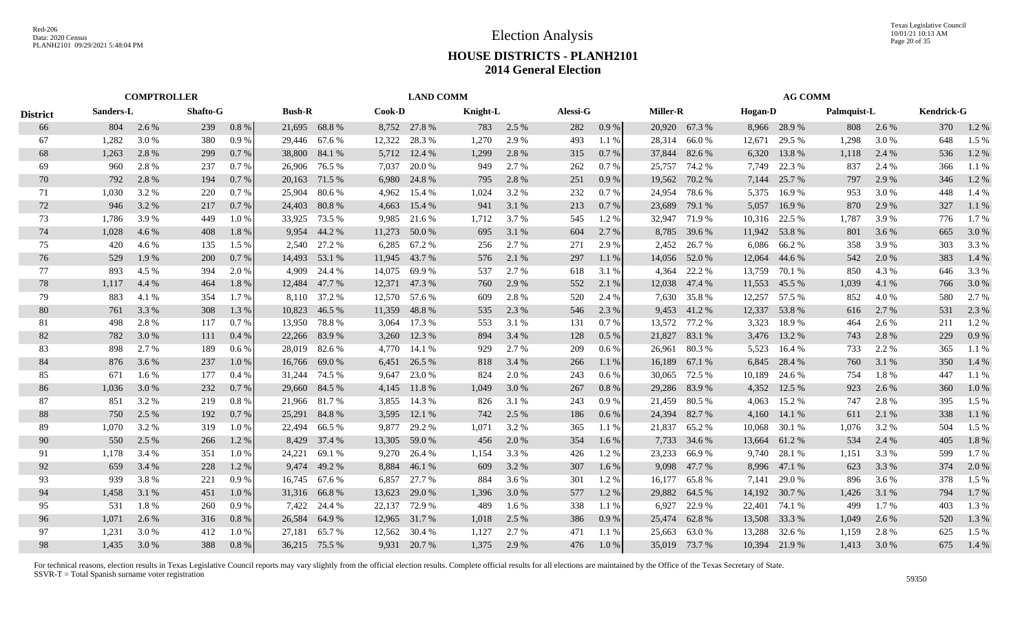|                 |       | <b>COMPTROLLER</b>                           |     |         |               |               |        | <b>LAND COMM</b> |          |       |          |           |                 |               |                | <b>AG COMM</b> |             |       |            |         |
|-----------------|-------|----------------------------------------------|-----|---------|---------------|---------------|--------|------------------|----------|-------|----------|-----------|-----------------|---------------|----------------|----------------|-------------|-------|------------|---------|
| <b>District</b> |       | Sanders-L<br>Shafto-G<br>804<br>2.6 %<br>239 |     |         | <b>Bush-R</b> |               | Cook-D |                  | Knight-L |       | Alessi-G |           | <b>Miller-R</b> |               | <b>Hogan-D</b> |                | Palmquist-L |       | Kendrick-G |         |
| 66              |       |                                              |     | 0.8%    |               | 21,695 68.8 % |        | 8,752 27.8 %     | 783      | 2.5 % | 282      | $0.9\ \%$ |                 | 20,920 67.3 % |                | 8,966 28.9%    | 808         | 2.6 % | 370        | 1.2 %   |
| 67              | 1,282 | 3.0%                                         | 380 | 0.9%    | 29,446        | 67.6 %        | 12,322 | 28.3 %           | 1,270    | 2.9 % | 493      | 1.1%      | 28,314          | 66.0%         | 12,671         | 29.5 %         | 1,298       | 3.0 % | 648        | 1.5 %   |
| 68              | 1,263 | 2.8%                                         | 299 | 0.7%    | 38,800        | 84.1 %        | 5,712  | 12.4 %           | 1,299    | 2.8%  | 315      | 0.7%      | 37,844          | 82.6 %        | 6,320          | 13.8%          | 1,118       | 2.4 % | 536        | 1.2%    |
| 69              | 960   | 2.8%                                         | 237 | 0.7%    | 26,906        | 76.5 %        | 7,037  | 20.0 %           | 949      | 2.7 % | 262      | 0.7%      | 25,757          | 74.2 %        | 7,749          | 22.3 %         | 837         | 2.4 % | 366        | 1.1%    |
| 70              | 792   | 2.8%                                         | 194 | 0.7%    | 20,163        | 71.5 %        | 6,980  | 24.8%            | 795      | 2.8%  | 251      | 0.9%      | 19,562          | 70.2 %        | 7,144          | 25.7 %         | 797         | 2.9 % | 346        | 1.2%    |
| 71              | 1,030 | 3.2 %                                        | 220 | 0.7%    | 25,904        | 80.6%         | 4,962  | 15.4 %           | 1,024    | 3.2 % | 232      | 0.7 %     | 24,954          | 78.6%         | 5,375          | 16.9%          | 953         | 3.0 % | 448        | 1.4 %   |
| 72              | 946   | 3.2 %                                        | 217 | 0.7%    | 24,403        | 80.8%         | 4,663  | 15.4 %           | 941      | 3.1 % | 213      | 0.7%      | 23,689          | 79.1 %        | 5,057          | 16.9%          | 870         | 2.9 % | 327        | 1.1 %   |
| 73              | 1,786 | 3.9 %                                        | 449 | 1.0%    | 33,925        | 73.5 %        | 9,985  | 21.6 %           | 1,712    | 3.7%  | 545      | 1.2%      | 32,947          | 71.9 %        | 10,316         | 22.5 %         | 1,787       | 3.9 % | 776        | 1.7 %   |
| 74              | 1,028 | 4.6 %                                        | 408 | 1.8%    | 9,954         | 44.2 %        | 11,273 | 50.0 %           | 695      | 3.1 % | 604      | 2.7%      | 8,785           | 39.6 %        | 11,942         | 53.8%          | 801         | 3.6 % | 665        | 3.0%    |
| 75              | 420   | 4.6 %                                        | 135 | 1.5 %   | 2.540         | 27.2 %        | 6,285  | 67.2 %           | 256      | 2.7 % | 271      | 2.9 %     | 2.452           | 26.7 %        | 6,086          | 66.2%          | 358         | 3.9%  | 303        | 3.3%    |
| 76              | 529   | 1.9%                                         | 200 | 0.7%    | 14,493        | 53.1 %        | 11,945 | 43.7 %           | 576      | 2.1 % | 297      | 1.1%      | 14,056          | 52.0 %        | 12,064         | 44.6 %         | 542         | 2.0 % | 383        | 1.4 %   |
| 77              | 893   | 4.5 %                                        | 394 | 2.0 %   | 4.909         | 24.4 %        | 14,075 | 69.9 %           | 537      | 2.7 % | 618      | 3.1 %     | 4.364           | 22.2 %        | 13,759         | 70.1 %         | 850         | 4.3 % | 646        | 3.3 %   |
| 78              | 1,117 | 4.4 %                                        | 464 | 1.8%    | 12,484        | 47.7 %        | 12,371 | 47.3 %           | 760      | 2.9 % | 552      | 2.1 %     | 12,038          | 47.4 %        | 11,553         | 45.5 %         | 1,039       | 4.1 % | 766        | 3.0 %   |
| 79              | 883   | 4.1 %                                        | 354 | 1.7%    | 8,110         | 37.2 %        |        | 12,570 57.6 %    | 609      | 2.8%  | 520      | 2.4 %     | 7,630           | 35.8%         | 12,257         | 57.5 %         | 852         | 4.0 % | 580        | 2.7 %   |
| 80              | 761   | 3.3 %                                        | 308 | 1.3 %   | 10,823        | 46.5 %        | 11,359 | 48.8%            | 535      | 2.3 % | 546      | 2.3 %     | 9,453           | 41.2%         | 12,337         | 53.8%          | 616         | 2.7 % | 531        | 2.3 %   |
| 81              | 498   | 2.8%                                         | 117 | 0.7%    | 13,950        | 78.8%         | 3,064  | 17.3 %           | 553      | 3.1 % | 131      | 0.7%      | 13,572          | 77.2 %        | 3,323          | 18.9%          | 464         | 2.6 % | 211        | 1.2%    |
| 82              | 782   | 3.0 %                                        | 111 | 0.4%    | 22,266        | 83.9%         | 3,260  | 12.3 %           | 894      | 3.4 % | 128      | 0.5%      | 21,827          | 83.1 %        | 3,476          | 13.2 %         | 743         | 2.8 % | 229        | 0.9%    |
| 83              | 898   | 2.7 %                                        | 189 | 0.6%    | 28,019        | 82.6 %        |        | 4,770 14.1 %     | 929      | 2.7 % | 209      | 0.6 %     | 26.961          | 80.3%         | 5,523          | 16.4 %         | 733         | 2.2 % | 365        | 1.1%    |
| 84              | 876   | 3.6 %                                        | 237 | 1.0%    | 16.766        | 69.0%         | 6,451  | 26.5 %           | 818      | 3.4 % | 266      | 1.1%      | 16,189          | 67.1 %        | 6,845          | 28.4 %         | 760         | 3.1 % | 350        | 1.4 %   |
| 85              | 671   | 1.6 %                                        | 177 | 0.4%    | 31,244        | 74.5 %        | 9,647  | 23.0 %           | 824      | 2.0 % | 243      | 0.6 %     | 30,065          | 72.5 %        | 10,189         | 24.6 %         | 754         | 1.8%  | 447        | 1.1 %   |
| 86              | 1,036 | 3.0 %                                        | 232 | 0.7%    | 29,660        | 84.5 %        | 4,145  | 11.8%            | 1,049    | 3.0 % | 267      | 0.8%      | 29,286          | 83.9%         | 4,352          | 12.5 %         | 923         | 2.6 % | 360        | $1.0\%$ |
| 87              | 851   | 3.2 %                                        | 219 | 0.8 %   | 21,966        | 81.7%         | 3,855  | 14.3 %           | 826      | 3.1 % | 243      | 0.9%      | 21,459          | 80.5 %        | 4,063          | 15.2 %         | 747         | 2.8%  | 395        | 1.5 %   |
| 88              | 750   | 2.5 %                                        | 192 | 0.7%    | 25,291        | 84.8%         | 3,595  | 12.1 %           | 742      | 2.5 % | 186      | 0.6%      | 24,394          | 82.7%         | 4,160          | 14.1 %         | 611         | 2.1 % | 338        | 1.1 %   |
| 89              | 1,070 | 3.2 %                                        | 319 | 1.0%    | 22,494        | 66.5 %        | 9,877  | 29.2 %           | 1,071    | 3.2 % | 365      | 1.1%      | 21,837          | 65.2%         | 10,068         | 30.1 %         | 1,076       | 3.2 % | 504        | 1.5 %   |
| 90              | 550   | 2.5 %                                        | 266 | 1.2%    | 8,429         | 37.4 %        | 13,305 | 59.0 %           | 456      | 2.0%  | 354      | 1.6 %     | 7,733           | 34.6 %        | 13,664         | 61.2%          | 534         | 2.4 % | 405        | 1.8%    |
| 91              | 1.178 | 3.4 %                                        | 351 | 1.0%    | 24,221        | 69.1 %        | 9,270  | 26.4 %           | 1,154    | 3.3 % | 426      | 1.2%      | 23,233          | 66.9%         | 9.740          | 28.1 %         | 1,151       | 3.3 % | 599        | 1.7%    |
| 92              | 659   | 3.4 %                                        | 228 | 1.2%    | 9,474         | 49.2%         | 8,884  | 46.1 %           | 609      | 3.2%  | 307      | 1.6 %     | 9,098           | 47.7 %        | 8,996          | 47.1 %         | 623         | 3.3 % | 374        | 2.0%    |
| 93              | 939   | 3.8%                                         | 221 | 0.9%    | 16,745        | 67.6 %        | 6,857  | 27.7 %           | 884      | 3.6 % | 301      | 1.2%      | 16,177          | 65.8%         | 7,141          | 29.0%          | 896         | 3.6 % | 378        | 1.5 %   |
| 94              | 1,458 | 3.1 %                                        | 451 | $1.0\%$ | 31,316        | 66.8%         | 13,623 | 29.0 %           | 1,396    | 3.0 % | 577      | 1.2%      | 29,882          | 64.5 %        | 14,192         | 30.7 %         | 1,426       | 3.1 % | 794        | 1.7%    |
| 95              | 531   | 1.8%                                         | 260 | 0.9%    | 7,422         | 24.4 %        | 22,137 | 72.9 %           | 489      | 1.6 % | 338      | 1.1 %     | 6,927           | 22.9 %        | 22,401         | 74.1 %         | 499         | 1.7 % | 403        | 1.3%    |
| 96              | 1,071 | 2.6 %                                        | 316 | 0.8 %   | 26,584        | 64.9%         |        | 12,965 31.7 %    | 1,018    | 2.5 % | 386      | 0.9 %     | 25,474          | 62.8%         | 13,508         | 33.3 %         | 1,049       | 2.6 % | 520        | 1.3 %   |
| 97              | 1,231 | 3.0%                                         | 412 | 1.0%    | 27,181        | 65.7%         | 12,562 | 30.4 %           | 1,127    | 2.7 % | 471      | 1.1%      | 25,663          | 63.0%         | 13,288         | 32.6 %         | 1,159       | 2.8%  | 625        | 1.5 %   |
| 98              | 1,435 | 3.0%                                         | 388 | 0.8%    |               | 36,215 75.5 % | 9,931  | 20.7 %           | 1,375    | 2.9 % | 476      | 1.0%      |                 | 35,019 73.7 % | 10,394         | 21.9%          | 1,413       | 3.0 % | 675        | 1.4 %   |
|                 |       |                                              |     |         |               |               |        |                  |          |       |          |           |                 |               |                |                |             |       |            |         |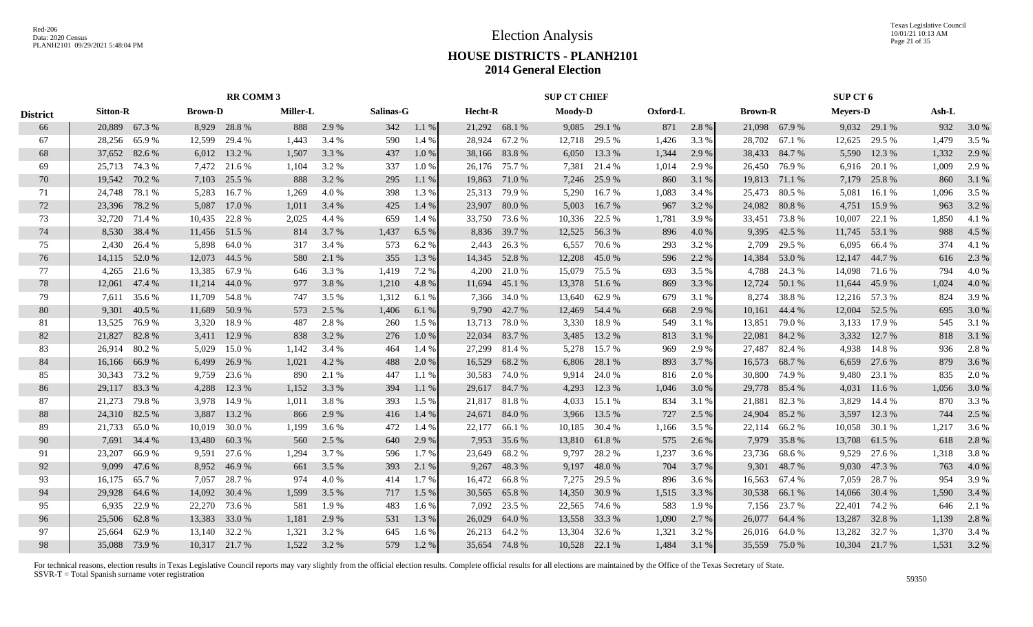Texas Legislative Council 10/01/21 10:13 AM Page 21 of 35

## **HOUSE DISTRICTS - PLANH2101 2014 General Election**

|                 |                 |                                                 |               | <b>RR COMM 3</b> |                 |       |           |         |         |               | <b>SUP CT CHIEF</b> |              |          |       |         |               | SUP CT 6        |               |       |       |
|-----------------|-----------------|-------------------------------------------------|---------------|------------------|-----------------|-------|-----------|---------|---------|---------------|---------------------|--------------|----------|-------|---------|---------------|-----------------|---------------|-------|-------|
| <b>District</b> | <b>Sitton-R</b> | <b>Brown-D</b><br>20,889 67.3 %<br>8,929 28.8 % |               |                  | <b>Miller-L</b> |       | Salinas-G |         | Hecht-R |               | Moody-D             |              | Oxford-L |       | Brown-R |               | <b>Meyers-D</b> |               | Ash-L |       |
| 66              |                 |                                                 |               |                  | 888             | 2.9 % | 342       | 1.1 %   |         | 21,292 68.1 % |                     | 9,085 29.1 % | 871      | 2.8%  |         | 21,098 67.9 % |                 | 9,032 29.1 %  | 932   | 3.0 % |
| 67              | 28,256          | 65.9%                                           | 12,599        | 29.4 %           | 1,443           | 3.4 % | 590       | 1.4 %   |         | 28,924 67.2 % | 12,718              | 29.5 %       | 1,426    | 3.3 % | 28,702  | 67.1 %        | 12,625          | 29.5 %        | 1,479 | 3.5 % |
| 68              | 37,652          | 82.6 %                                          | 6,012         | 13.2 %           | 1,507           | 3.3 % | 437       | $1.0\%$ |         | 38,166 83.8 % | 6,050               | 13.3 %       | 1,344    | 2.9 % | 38,433  | 84.7%         | 5,590           | 12.3 %        | 1,332 | 2.9 % |
| 69              | 25,713 74.3 %   |                                                 | 7,472         | 21.6 %           | 1,104           | 3.2 % | 337       | 1.0%    |         | 26,176 75.7 % | 7,381               | 21.4 %       | 1,014    | 2.9 % | 26,450  | 76.9%         | 6,916           | 20.1 %        | 1,009 | 2.9 % |
| 70              | 19,542          | 70.2%                                           | 7,103         | 25.5 %           | 888             | 3.2 % | 295       | 1.1 %   | 19,863  | 71.0 %        | 7,246               | 25.9%        | 860      | 3.1 % | 19,813  | 71.1 %        | 7,179           | 25.8%         | 860   | 3.1 % |
| 71              | 24,748          | 78.1 %                                          | 5,283         | 16.7 %           | 1,269           | 4.0%  | 398       | 1.3%    | 25,313  | 79.9 %        | 5,290               | 16.7%        | 1,083    | 3.4 % | 25,473  | 80.5%         | 5,081           | 16.1 %        | 1,096 | 3.5 % |
| 72              | 23,396 78.2 %   |                                                 | 5,087         | 17.0 %           | 1,011           | 3.4 % | 425       | 1.4 %   |         | 23,907 80.0 % | 5,003               | 16.7%        | 967      | 3.2%  | 24,082  | 80.8%         | 4,751           | 15.9%         | 963   | 3.2 % |
| 73              | 32,720 71.4 %   |                                                 | 10,435        | 22.8 %           | 2,025           | 4.4 % | 659       | 1.4 %   |         | 33,750 73.6 % | 10,336              | 22.5 %       | 1,781    | 3.9%  | 33,451  | 73.8%         | 10,007          | 22.1 %        | 1,850 | 4.1 % |
| 74              |                 | 8,530 38.4 %                                    | 11,456        | 51.5 %           | 814             | 3.7 % | 1,437     | 6.5 %   |         | 8,836 39.7 %  | 12,525              | 56.3%        | 896      | 4.0 % | 9,395   | 42.5 %        |                 | 11,745 53.1 % | 988   | 4.5 % |
| 75              | 2,430           | 26.4 %                                          | 5,898         | 64.0 %           | 317             | 3.4 % | 573       | 6.2 %   | 2,443   | 26.3 %        | 6,557               | 70.6 %       | 293      | 3.2 % | 2,709   | 29.5 %        | 6,095           | 66.4 %        | 374   | 4.1 % |
| 76              | 14,115          | 52.0 %                                          | 12,073        | 44.5 %           | 580             | 2.1 % | 355       | 1.3 %   | 14,345  | 52.8%         | 12,208              | 45.0%        | 596      | 2.2 % | 14,384  | 53.0 %        | 12,147          | 44.7 %        | 616   | 2.3 % |
| 77              | 4,265           | 21.6 %                                          | 13,385        | 67.9%            | 646             | 3.3 % | 1,419     | 7.2 %   | 4,200   | 21.0 %        | 15,079              | 75.5 %       | 693      | 3.5 % | 4,788   | 24.3 %        | 14,098          | 71.6 %        | 794   | 4.0%  |
| 78              | 12,061          | 47.4 %                                          | 11,214        | 44.0 %           | 977             | 3.8%  | 1,210     | 4.8%    |         | 11,694 45.1 % | 13,378              | 51.6%        | 869      | 3.3 % | 12,724  | 50.1 %        | 11,644          | 45.9%         | 1,024 | 4.0 % |
| 79              | 7.611           | 35.6 %                                          | 11,709        | 54.8%            | 747             | 3.5 % | 1,312     | 6.1 %   |         | 7,366 34.0 %  | 13,640              | 62.9%        | 679      | 3.1 % | 8,274   | 38.8%         |                 | 12,216 57.3 % | 824   | 3.9%  |
| 80              | 9.301           | 40.5 %                                          | 11,689        | 50.9%            | 573             | 2.5 % | 1,406     | 6.1 %   |         | 9,790 42.7 %  | 12,469              | 54.4 %       | 668      | 2.9 % | 10,161  | 44.4 %        | 12,004          | 52.5 %        | 695   | 3.0%  |
| 81              | 13,525          | 76.9%                                           | 3,320         | 18.9%            | 487             | 2.8%  | 260       | 1.5 %   |         | 13,713 78.0 % | 3,330               | 18.9%        | 549      | 3.1 % | 13,851  | 79.0%         | 3,133           | 17.9 %        | 545   | 3.1 % |
| 82              | 21,827          | 82.8%                                           | 3,411         | 12.9 %           | 838             | 3.2 % | 276       | $1.0\%$ | 22,034  | 83.7 %        | 3,485               | 13.2 %       | 813      | 3.1 % | 22,081  | 84.2%         | 3,332           | 12.7 %        | 818   | 3.1 % |
| 83              | 26,914          | 80.2%                                           | 5,029         | 15.0 %           | 1,142           | 3.4 % | 464       | 1.4 %   | 27,299  | 81.4 %        | 5,278               | 15.7 %       | 969      | 2.9 % | 27,487  | 82.4 %        | 4,938           | 14.8 %        | 936   | 2.8%  |
| 84              | 16,166          | 66.9%                                           | 6,499         | 26.9 %           | 1,021           | 4.2 % | 488       | 2.0 %   | 16,529  | 68.2%         | 6,806               | 28.1 %       | 893      | 3.7 % | 16,573  | 68.7%         | 6,659           | 27.6 %        | 879   | 3.6 % |
| 85              | 30,343          | 73.2 %                                          | 9,759         | 23.6 %           | 890             | 2.1 % | 447       | 1.1%    | 30,583  | 74.0 %        | 9,914               | 24.0 %       | 816      | 2.0 % | 30,800  | 74.9 %        | 9,480           | 23.1 %        | 835   | 2.0 % |
| 86              | 29,117          | 83.3 %                                          | 4,288         | 12.3 %           | 1,152           | 3.3 % | 394       | 1.1%    |         | 29,617 84.7 % | 4,293               | 12.3 %       | 1,046    | 3.0 % | 29,778  | 85.4 %        | 4,031           | 11.6 %        | 1,056 | 3.0 % |
| 87              | 21,273          | 79.8%                                           | 3,978         | 14.9 %           | 1,011           | 3.8%  | 393       | $1.5\%$ |         | 21,817 81.8 % | 4,033               | 15.1 %       | 834      | 3.1 % | 21,881  | 82.3%         | 3,829           | 14.4 %        | 870   | 3.3 % |
| 88              | 24,310          | 82.5 %                                          | 3,887         | 13.2 %           | 866             | 2.9 % | 416       | 1.4 %   | 24,671  | 84.0%         | 3,966               | 13.5 %       | 727      | 2.5 % | 24,904  | 85.2%         | 3,597           | 12.3 %        | 744   | 2.5 % |
| 89              | 21,733          | 65.0%                                           | 10,019        | 30.0%            | 1,199           | 3.6 % | 472       | 1.4 %   | 22,177  | 66.1%         | 10,185              | 30.4 %       | 1,166    | 3.5 % | 22,114  | 66.2%         | 10,058          | 30.1 %        | 1,217 | 3.6 % |
| 90              | 7,691           | 34.4 %                                          | 13,480        | 60.3%            | 560             | 2.5 % | 640       | 2.9 %   | 7,953   | 35.6 %        | 13,810              | 61.8%        | 575      | 2.6 % | 7,979   | 35.8%         | 13,708          | 61.5 %        | 618   | 2.8 % |
| 91              | 23,207          | 66.9%                                           | 9,591         | 27.6 %           | 1,294           | 3.7 % | 596       | 1.7%    | 23,649  | 68.2%         | 9,797               | 28.2 %       | 1,237    | 3.6 % | 23,736  | 68.6%         | 9,529           | 27.6 %        | 1,318 | 3.8%  |
| 92              | 9,099           | 47.6 %                                          | 8,952         | 46.9%            | 661             | 3.5 % | 393       | 2.1 %   | 9,267   | 48.3%         | 9,197               | 48.0%        | 704      | 3.7 % | 9,301   | 48.7%         | 9,030           | 47.3 %        | 763   | 4.0 % |
| 93              | 16,175          | 65.7%                                           | 7,057         | 28.7 %           | 974             | 4.0 % | 414       | 1.7 %   | 16,472  | 66.8%         | 7,275               | 29.5 %       | 896      | 3.6 % | 16,563  | 67.4 %        | 7,059           | 28.7 %        | 954   | 3.9 % |
| 94              | 29,928          | 64.6 %                                          | 14,092        | 30.4 %           | 1,599           | 3.5 % | 717       | $1.5\%$ |         | 30,565 65.8 % | 14,350              | 30.9%        | 1,515    | 3.3 % | 30,538  | 66.1 %        | 14,066          | 30.4 %        | 1,590 | 3.4 % |
| 95              | 6,935           | 22.9 %                                          | 22,270        | 73.6 %           | 581             | 1.9%  | 483       | 1.6 %   | 7,092   | 23.5 %        | 22,565              | 74.6 %       | 583      | 1.9 % |         | 7,156 23.7 %  |                 | 22,401 74.2 % | 646   | 2.1 % |
| 96              | 25,506          | 62.8%                                           | 13,383        | 33.0 %           | 1,181           | 2.9 % | 531       | 1.3 %   | 26,029  | 64.0 %        | 13,558              | 33.3 %       | 1,090    | 2.7 % | 26,077  | 64.4 %        | 13,287          | 32.8%         | 1,139 | 2.8 % |
| 97              | 25,664          | 62.9%                                           | 13,140        | 32.2 %           | 1,321           | 3.2 % | 645       | 1.6 %   |         | 26,213 64.2 % | 13,304              | 32.6 %       | 1,321    | 3.2 % | 26,016  | 64.0%         | 13,282          | 32.7 %        | 1,370 | 3.4 % |
| 98              | 35,088 73.9 %   |                                                 | 10,317 21.7 % |                  | 1,522           | 3.2 % | 579       | 1.2%    |         | 35,654 74.8 % | 10.528              | 22.1 %       | 1,484    | 3.1 % |         | 35.559 75.0 % |                 | 10,304 21.7 % | 1,531 | 3.2 % |
|                 |                 |                                                 |               |                  |                 |       |           |         |         |               |                     |              |          |       |         |               |                 |               |       |       |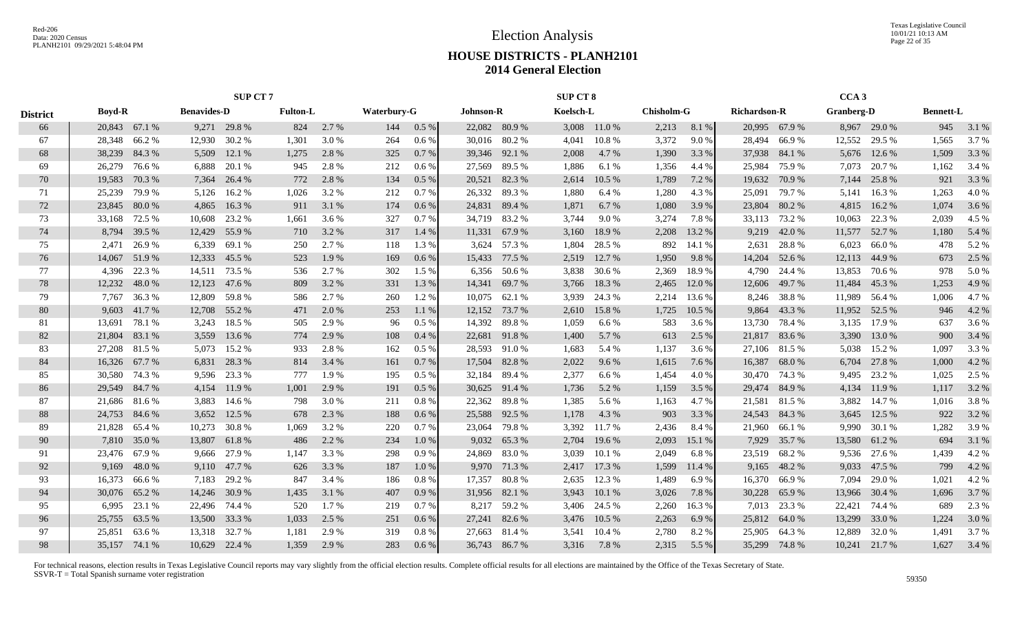Texas Legislative Council 10/01/21 10:13 AM Page 22 of 35

## **HOUSE DISTRICTS - PLANH2101 2014 General Election**

|                 |                 |                                                       |                | <b>SUP CT 7</b>  |                 |                |                    |              |                  |                 | <b>SUP CT 8</b> |                  |                   |                |                     |                | CCA <sub>3</sub>  |                  |                  |               |
|-----------------|-----------------|-------------------------------------------------------|----------------|------------------|-----------------|----------------|--------------------|--------------|------------------|-----------------|-----------------|------------------|-------------------|----------------|---------------------|----------------|-------------------|------------------|------------------|---------------|
| <b>District</b> | <b>Boyd-R</b>   | <b>Benavides-D</b><br>20,843 67.1 %<br>9,271<br>29.8% |                |                  | <b>Fulton-L</b> |                | <b>Waterbury-G</b> |              | <b>Johnson-R</b> |                 | Koelsch-L       |                  | <b>Chisholm-G</b> |                | <b>Richardson-R</b> |                | <b>Granberg-D</b> |                  | <b>Bennett-L</b> |               |
| 66              |                 |                                                       |                |                  | 824             | 2.7%           | 144                | 0.5 %        |                  | 22,082 80.9 %   |                 | 3,008 11.0 %     | 2,213             | 8.1 %          |                     | 20,995 67.9 %  |                   | 8,967 29.0 %     | 945              | 3.1 %         |
| 67              | 28,348 66.2 %   |                                                       | 12,930         | 30.2 %           | 1,301           | 3.0 %          | 264                | $0.6\%$      |                  | 30,016 80.2 %   | 4,041           | 10.8%            | 3,372             | 9.0 %          | 28,494              | 66.9%          | 12,552            | 29.5 %           | 1,565            | 3.7%          |
| 68              | 38,239          | 84.3%                                                 | 5,509          | 12.1 %           | 1,275           | 2.8 %          | 325                | 0.7%         |                  | 39,346 92.1 %   | 2,008           | 4.7 %            | 1,390             | 3.3 %          | 37,938              | 84.1 %         | 5,676             | 12.6 %           | 1,509            | 3.3 %         |
| 69              | 26,279          | 76.6%                                                 | 6,888          | 20.1 %           | 945             | 2.8%           | 212                | $0.6\%$      | 27,569           | 89.5 %          | 1,886           | 6.1 %            | 1,356             | 4.4 %          | 25,984              | 75.9%          | 7,073             | 20.7 %           | 1,162            | 3.4 %         |
| 70              | 19,583          | 70.3%                                                 | 7,364          | 26.4 %           | 772             | 2.8 %          | 134                | 0.5%         | 20,521           | 82.3%           | 2,614           | 10.5 %           | 1,789             | 7.2 %          | 19,632              | 70.9%          | 7,144             | 25.8%            | 921              | 3.3 %         |
| 71              | 25,239          | 79.9%                                                 | 5,126          | 16.2%            | 1,026           | 3.2 %          | 212                | 0.7%         | 26,332           | 89.3%           | 1,880           | 6.4%             | 1,280             | 4.3 %          | 25,091              | 79.7 %         | 5,141             | 16.3%            | 1,263            | 4.0%          |
| 72              | 23,845          | 80.0%                                                 | 4,865          | 16.3%            | 911             | 3.1 %          | 174                | 0.6 %        |                  | 24,831 89.4 %   | 1,871           | 6.7%             | 1,080             | 3.9%           | 23,804              | 80.2%          | 4,815             | 16.2%            | 1,074            | 3.6 %         |
| 73              | 33,168          | 72.5 %                                                | 10,608         | 23.2 %           | 1,661           | 3.6 %          | 327                | 0.7%         |                  | 34,719 83.2 %   | 3,744           | 9.0%             | 3,274             | 7.8%           |                     | 33,113 73.2 %  | 10,063            | 22.3 %           | 2,039            | 4.5 %         |
| 74              | 8,794           | 39.5 %                                                | 12,429         | 55.9%            | 710             | 3.2 %          | 317                | 1.4 %        | 11,331           | 67.9 %          | 3,160           | 18.9%            | 2,208             | 13.2 %         | 9,219               | 42.0 %         | 11,577            | 52.7 %           | 1,180            | 5.4 %         |
| 75              | 2,471           | 26.9%                                                 | 6,339          | 69.1 %           | 250             | 2.7 %          | 118                | 1.3 %        | 3,624            | 57.3 %          | 1,804           | 28.5 %           | 892               | 14.1 %         | 2,631               | 28.8%          | 6,023             | 66.0%            | 478              | 5.2 %         |
| 76              | 14,067          | 51.9%                                                 | 12,333         | 45.5 %           | 523             | 1.9 %          | 169                | 0.6%         | 15,433           | 77.5 %          | 2,519           | 12.7 %           | 1,950             | 9.8%           | 14,204              | 52.6 %         | 12,113            | 44.9%            | 673              | 2.5 %         |
| 77              | 4,396           | 22.3 %                                                | 14,511         | 73.5 %           | 536             | 2.7 %          | 302                | 1.5 %        | 6,356            | 50.6 %          | 3,838           | 30.6 %           | 2,369             | 18.9%          | 4,790               | 24.4 %         | 13,853            | 70.6 %           | 978              | 5.0 %         |
| 78              | 12,232          | 48.0%                                                 | 12,123         | 47.6 %           | 809             | 3.2 %          | 331                | 1.3%         | 14,341           | 69.7 %          | 3,766           | 18.3%            | 2,465             | 12.0 %         | 12,606              | 49.7 %         | 11,484            | 45.3 %           | 1,253            | 4.9 %         |
| 79              | 7.767           | 36.3%                                                 | 12,809         | 59.8%            | 586             | 2.7 %          | 260                | 1.2%         |                  | 10,075 62.1 %   | 3,939           | 24.3 %           | 2,214             | 13.6 %         | 8,246               | 38.8%          | 11,989            | 56.4 %           | 1,006            | 4.7%          |
| 80              | 9.603           | 41.7%                                                 | 12,708         | 55.2 %           | 471             | 2.0 %          | 253                | 1.1%         |                  | 12,152 73.7 %   | 2,610           | 15.8%            | 1,725             | 10.5 %         | 9,864               | 43.3%          | 11,952 52.5 %     |                  | 946              | 4.2 %         |
| 81              | 13,691          | 78.1 %                                                | 3,243          | 18.5 %           | 505             | 2.9%           | 96                 | 0.5%         |                  | 14,392 89.8 %   | 1,059           | 6.6%             | 583               | 3.6 %          | 13,730              | 78.4%          | 3,135             | 17.9 %           | 637              | 3.6 %         |
| 82              | 21,804 83.1 %   |                                                       | 3,559          | 13.6 %           | 774             | 2.9 %          | 108                | 0.4%         |                  | 22,681 91.8 %   | 1,400           | 5.7 %            | 613               | 2.5 %          |                     | 21,817 83.6 %  | 3,390             | 13.0 %           | 900              | 3.4 %         |
| 83              | 27,208 81.5 %   |                                                       | 5,073          | 15.2 %           | 933             | 2.8%           | 162                | 0.5%         | 28,593           | 91.0 %          | 1,683           | 5.4 %            | 1,137             | 3.6 %          |                     | 27,106 81.5 %  | 5,038             | 15.2 %           | 1,097            | 3.3 %         |
| 84              | 16,326          | 67.7 %                                                | 6,831          | 28.3 %           | 814             | 3.4 %          | 161                | 0.7%         | 17,504           | 82.8%           | 2,022           | 9.6 %            | 1,615             | 7.6 %          | 16,387              | 68.0%          | 6,704             | 27.8 %           | 1,000            | 4.2 %         |
| 85              | 30,580          | 74.3 %                                                | 9,596          | 23.3 %           | 777             | 1.9%           | 195                | $0.5\%$      | 32,184           | 89.4 %          | 2,377           | 6.6 %            | 1,454             | 4.0 %          | 30,470              | 74.3 %         | 9,495             | 23.2 %           | 1,025            | 2.5 %         |
| 86              | 29,549          | 84.7%                                                 | 4,154          | 11.9 %           | 1,001           | 2.9 %          | 191                | $0.5\%$      | 30,625           | 91.4 %          | 1,736           | 5.2 %            | 1,159             | 3.5 %          | 29,474              | 84.9%          | 4,134             | 11.9 %           | 1,117            | 3.2 %         |
| 87              | 21,686          | 81.6 %                                                | 3,883          | 14.6 %           | 798             | 3.0 %          | 211                | 0.8 %        | 22,362           | 89.8 %          | 1,385           | 5.6 %            | 1,163             | 4.7 %          | 21,581              | 81.5%          | 3,882             | 14.7 %           | 1,016            | 3.8%          |
| 88              | 24,753          | 84.6%                                                 | 3,652          | 12.5 %           | 678             | 2.3 %          | 188                | 0.6%         | 25,588           | 92.5 %          | 1,178           | 4.3 %            | 903               | 3.3 %          | 24,543              | 84.3%          | 3,645             | 12.5 %           | 922              | 3.2 %         |
| 89              | 21,828          | 65.4 %                                                | 10,273         | 30.8%            | 1,069           | 3.2 %          | 220                | 0.7%         | 23,064           | 79.8%           | 3,392           | 11.7 %           | 2,436             | 8.4 %          | 21,960              | 66.1%          | 9,990             | 30.1 %           | 1,282            | 3.9%          |
| 90              |                 | 7,810 35.0 %                                          | 13,807         | 61.8%            | 486             | 2.2 %          | 234                | 1.0%         |                  | 9,032 65.3 %    | 2,704           | 19.6 %           | 2,093             | 15.1 %         | 7,929               | 35.7%          | 13,580            | 61.2%            | 694              | 3.1 %         |
| 91<br>92        | 23,476 67.9 %   |                                                       | 9,666          | 27.9 %<br>47.7 % | 1,147           | 3.3 %          | 298                | 0.9%         | 24,869           | 83.0%           | 3,039           | 10.1%            | 2,049             | 6.8%           | 23,519              | 68.2%          | 9,536             | 27.6 %           | 1,439<br>799     | 4.2 %         |
| 93              | 9,169<br>16,373 | 48.0%<br>66.6 %                                       | 9,110<br>7,183 | 29.2 %           | 626<br>847      | 3.3 %<br>3.4 % | 187<br>186         | 1.0%<br>0.8% | 9,970<br>17,357  | 71.3 %<br>80.8% | 2,417<br>2,635  | 17.3 %<br>12.3 % | 1,599<br>1,489    | 11.4 %<br>6.9% | 9,165<br>16,370     | 48.2%<br>66.9% | 9,033<br>7,094    | 47.5 %<br>29.0 % | 1,021            | 4.2 %<br>4.2% |
| 94              | 30,076          | 65.2%                                                 | 14,246         | 30.9 %           | 1,435           | 3.1 %          | 407                | 0.9%         | 31,956           | 82.1 %          | 3,943           | 10.1 %           | 3,026             | 7.8%           | 30,228              | 65.9%          | 13,966            | 30.4 %           | 1,696            | 3.7 %         |
| 95              | 6,995           | 23.1 %                                                | 22,496         | 74.4 %           | 520             | 1.7 %          | 219                | 0.7%         | 8,217            | 59.2 %          | 3,406           | 24.5 %           | 2,260             | 16.3%          | 7,013               | 23.3 %         | 22,421            | 74.4 %           | 689              | 2.3 %         |
| 96              | 25,755          | 63.5%                                                 | 13,500         | 33.3 %           | 1,033           | 2.5 %          | 251                | 0.6 %        | 27,241           | 82.6 %          | 3,476           | 10.5 %           | 2,263             | 6.9%           | 25,812              | 64.0%          | 13,299            | 33.0 %           | 1,224            | 3.0 %         |
| 97              | 25,851          | 63.6%                                                 | 13,318         | 32.7 %           | 1,181           | 2.9 %          | 319                | 0.8%         | 27,663           | 81.4 %          | 3,541           | 10.4 %           | 2,780             | 8.2%           | 25,905              | 64.3 %         | 12,889            | 32.0%            | 1,491            | 3.7 %         |
| 98              | 35,157 74.1 %   |                                                       |                | 10,629 22.4 %    | 1.359           | 2.9 %          | 283                | $0.6\,\%$    |                  | 36,743 86.7 %   | 3,316           | 7.8 %            | 2,315             | 5.5 %          |                     | 35,299 74.8 %  |                   | 10,241 21.7 %    | 1.627            | 3.4 %         |
|                 |                 |                                                       |                |                  |                 |                |                    |              |                  |                 |                 |                  |                   |                |                     |                |                   |                  |                  |               |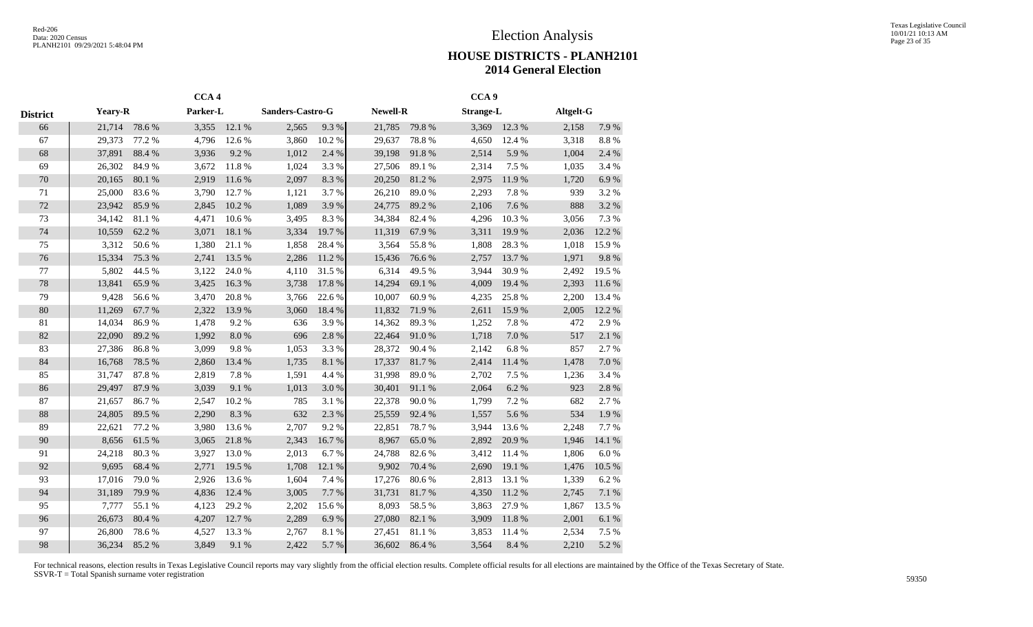|                 |                |        | CCA <sub>4</sub> |           |                  |        |                 |        | CCA <sub>9</sub> |           |           |           |
|-----------------|----------------|--------|------------------|-----------|------------------|--------|-----------------|--------|------------------|-----------|-----------|-----------|
| <b>District</b> | <b>Yeary-R</b> |        | Parker-L         |           | Sanders-Castro-G |        | <b>Newell-R</b> |        | <b>Strange-L</b> |           | Altgelt-G |           |
| 66              | 21,714         | 78.6%  | 3,355            | 12.1 %    | 2,565            | 9.3%   | 21,785          | 79.8%  | 3,369            | 12.3 %    | 2,158     | 7.9 %     |
| 67              | 29,373         | 77.2 % | 4,796            | 12.6%     | 3,860            | 10.2%  | 29,637          | 78.8%  | 4,650            | 12.4 %    | 3,318     | $8.8\ \%$ |
| 68              | 37,891         | 88.4%  | 3,936            | 9.2%      | 1,012            | 2.4 %  | 39,198          | 91.8%  | 2,514            | 5.9%      | 1,004     | 2.4 %     |
| 69              | 26,302         | 84.9%  | 3,672            | 11.8%     | 1,024            | 3.3%   | 27,506          | 89.1 % | 2,314            | 7.5 %     | 1,035     | 3.4 %     |
| $70\,$          | 20,165         | 80.1 % | 2,919            | 11.6 %    | 2,097            | 8.3%   | 20,250          | 81.2%  | 2,975            | 11.9%     | 1,720     | 6.9%      |
| 71              | 25,000         | 83.6%  | 3,790            | 12.7 %    | 1,121            | 3.7%   | 26,210          | 89.0%  | 2,293            | 7.8 %     | 939       | 3.2%      |
| 72              | 23,942         | 85.9%  | 2,845            | 10.2%     | 1,089            | 3.9%   | 24,775          | 89.2%  | 2,106            | 7.6%      | 888       | 3.2 %     |
| 73              | 34,142         | 81.1%  | 4,471            | 10.6%     | 3,495            | 8.3%   | 34,384          | 82.4%  | 4,296            | 10.3%     | 3,056     | 7.3%      |
| 74              | 10,559         | 62.2 % | 3,071            | 18.1 %    | 3,334            | 19.7%  | 11,319          | 67.9%  | 3,311            | 19.9%     | 2,036     | 12.2 %    |
| 75              | 3,312          | 50.6%  | 1,380            | 21.1%     | 1,858            | 28.4%  | 3,564           | 55.8%  | 1,808            | 28.3%     | 1,018     | 15.9%     |
| 76              | 15,334         | 75.3 % | 2,741            | 13.5 %    | 2,286            | 11.2 % | 15,436          | 76.6%  | 2,757            | 13.7%     | 1,971     | 9.8%      |
| 77              | 5,802          | 44.5 % | 3,122            | 24.0%     | 4,110            | 31.5%  | 6,314           | 49.5 % | 3,944            | 30.9%     | 2,492     | 19.5 %    |
| 78              | 13,841         | 65.9%  | 3,425            | 16.3%     | 3,738            | 17.8 % | 14,294          | 69.1 % | 4,009            | 19.4 %    | 2,393     | 11.6 %    |
| 79              | 9,428          | 56.6%  | 3,470            | 20.8%     | 3,766            | 22.6 % | 10,007          | 60.9%  | 4,235            | 25.8%     | 2,200     | 13.4 %    |
| $80\,$          | 11,269         | 67.7%  | 2,322            | 13.9%     | 3,060            | 18.4 % | 11,832          | 71.9%  | 2,611            | 15.9%     | 2,005     | 12.2 %    |
| 81              | 14,034         | 86.9%  | 1,478            | 9.2%      | 636              | 3.9%   | 14,362          | 89.3%  | 1,252            | 7.8 %     | 472       | 2.9%      |
| 82              | 22,090         | 89.2%  | 1,992            | $8.0\ \%$ | 696              | 2.8%   | 22,464          | 91.0%  | 1,718            | $7.0\ \%$ | 517       | 2.1 %     |
| 83              | 27,386         | 86.8%  | 3,099            | 9.8%      | 1,053            | 3.3%   | 28,372          | 90.4%  | 2,142            | 6.8%      | 857       | 2.7%      |
| 84              | 16,768         | 78.5 % | 2,860            | 13.4 %    | 1,735            | 8.1 %  | 17,337          | 81.7%  | 2,414            | 11.4 %    | 1,478     | $7.0\ \%$ |
| 85              | 31,747         | 87.8%  | 2,819            | 7.8 %     | 1,591            | 4.4 %  | 31,998          | 89.0%  | 2,702            | 7.5 %     | 1,236     | 3.4 %     |
| 86              | 29,497         | 87.9%  | 3,039            | 9.1%      | 1,013            | 3.0%   | 30,401          | 91.1 % | 2,064            | 6.2%      | 923       | 2.8 %     |
| 87              | 21,657         | 86.7%  | 2,547            | 10.2%     | 785              | 3.1%   | 22,378          | 90.0%  | 1,799            | 7.2 %     | 682       | 2.7%      |
| 88              | 24,805         | 89.5 % | 2,290            | 8.3%      | 632              | 2.3 %  | 25,559          | 92.4 % | 1,557            | 5.6%      | 534       | 1.9%      |
| 89              | 22,621         | 77.2 % | 3,980            | 13.6%     | 2,707            | 9.2%   | 22,851          | 78.7%  | 3,944            | 13.6%     | 2,248     | 7.7%      |
| 90              | 8,656          | 61.5%  | 3,065            | 21.8 %    | 2,343            | 16.7%  | 8,967           | 65.0%  | 2,892            | 20.9%     | 1,946     | 14.1 %    |
| 91              | 24,218         | 80.3%  | 3,927            | 13.0%     | 2,013            | 6.7%   | 24,788          | 82.6%  | 3,412            | 11.4 %    | 1,806     | 6.0%      |
| 92              | 9,695          | 68.4%  | 2,771            | 19.5 %    | 1,708            | 12.1 % | 9,902           | 70.4 % | 2,690            | 19.1 %    | 1,476     | 10.5 %    |
| 93              | 17,016         | 79.0%  | 2,926            | 13.6%     | 1,604            | 7.4 %  | 17,276          | 80.6%  | 2,813            | 13.1 %    | 1,339     | 6.2%      |
| 94              | 31,189         | 79.9%  | 4,836            | 12.4 %    | 3,005            | 7.7%   | 31,731          | 81.7%  | 4,350            | 11.2 %    | 2,745     | $7.1~\%$  |
| 95              | 7,777          | 55.1 % | 4,123            | 29.2 %    | 2,202            | 15.6%  | 8,093           | 58.5 % | 3,863            | 27.9%     | 1,867     | 13.5 %    |
| 96              | 26,673         | 80.4 % | 4,207            | 12.7 %    | 2,289            | 6.9%   | 27,080          | 82.1 % | 3,909            | 11.8 %    | 2,001     | $6.1~\%$  |
| 97              | 26,800         | 78.6%  | 4,527            | 13.3 %    | 2,767            | 8.1%   | 27,451          | 81.1 % | 3,853            | 11.4 %    | 2,534     | 7.5 %     |
| 98              | 36,234         | 85.2%  | 3,849            | 9.1 %     | 2,422            | 5.7%   | 36,602          | 86.4%  | 3,564            | 8.4 %     | 2,210     | 5.2 %     |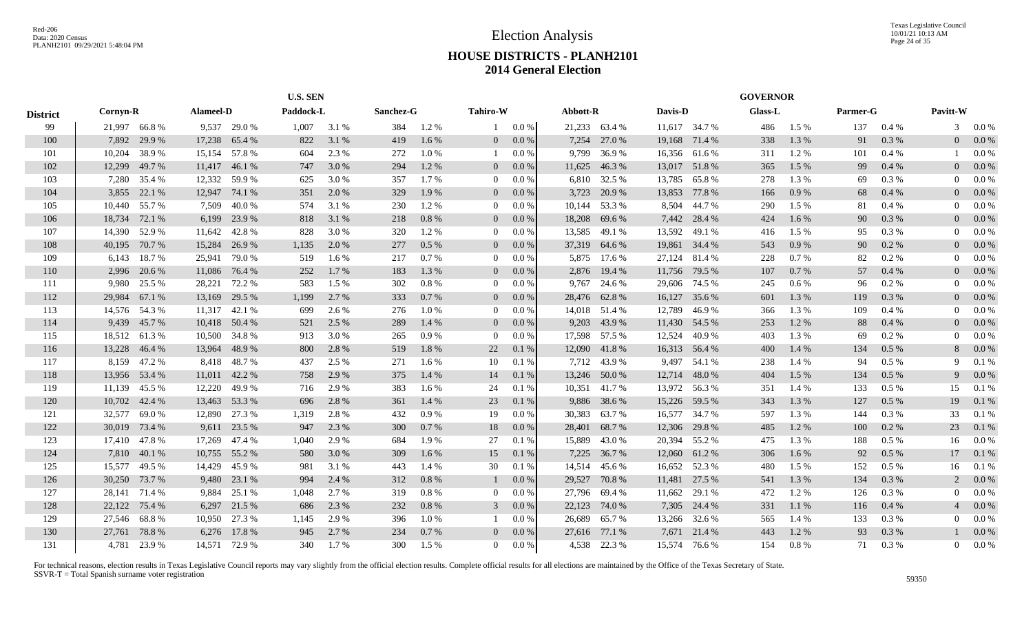|                 |              |               |           |               | <b>U.S. SEN</b> |       |           |           |                 |         |          |               |         |               | <b>GOVERNOR</b> |           |          |          |                |         |
|-----------------|--------------|---------------|-----------|---------------|-----------------|-------|-----------|-----------|-----------------|---------|----------|---------------|---------|---------------|-----------------|-----------|----------|----------|----------------|---------|
| <b>District</b> | Cornyn-R     |               | Alameel-D |               | Paddock-L       |       | Sanchez-G |           | <b>Tahiro-W</b> |         | Abbott-R |               | Davis-D |               | Glass-L         |           | Parmer-G |          | Pavitt-W       |         |
| 99              | 21,997 66.8% |               |           | 9,537 29.0 %  | 1,007           | 3.1 % | 384       | 1.2%      | $\mathbf{1}$    | 0.0 %   |          | 21,233 63.4 % |         | 11,617 34.7 % | 486             | $1.5\%$   | 137      | 0.4%     | 3              | $0.0\%$ |
| 100             | 7,892        | 29.9 %        | 17,238    | 65.4 %        | 822             | 3.1 % | 419       | 1.6 %     | $\overline{0}$  | $0.0\%$ | 7,254    | 27.0 %        | 19,168  | 71.4 %        | 338             | 1.3 %     | 91       | 0.3 %    | 0              | $0.0\%$ |
| 101             | 10,204       | 38.9%         | 15,154    | 57.8%         | 604             | 2.3 % | 272       | 1.0%      |                 | 0.0 %   | 9,799    | 36.9%         |         | 16,356 61.6 % | 311             | 1.2%      | 101      | 0.4%     |                | 0.0 %   |
| 102             | 12,299       | 49.7 %        | 11,417    | 46.1 %        | 747             | 3.0 % | 294       | 1.2%      | $\overline{0}$  | $0.0\%$ | 11,625   | 46.3%         | 13,017  | 51.8%         | 365             | 1.5 %     | 99       | 0.4%     | 0              | $0.0\%$ |
| 103             | 7,280        | 35.4 %        | 12,332    | 59.9 %        | 625             | 3.0 % | 357       | 1.7%      | $\overline{0}$  | $0.0\%$ | 6,810    | 32.5 %        | 13,785  | 65.8%         | 278             | 1.3 %     | 69       | 0.3 %    | 0              | $0.0\%$ |
| 104             | 3,855        | 22.1 %        | 12,947    | 74.1 %        | 351             | 2.0 % | 329       | 1.9%      | $\overline{0}$  | $0.0\%$ | 3,723    | 20.9 %        | 13,853  | 77.8 %        | 166             | 0.9%      | 68       | 0.4%     | 0              | $0.0\%$ |
| 105             | 10,440       | 55.7 %        | 7,509     | 40.0%         | 574             | 3.1 % | 230       | 1.2%      | $\overline{0}$  | $0.0\%$ | 10,144   | 53.3 %        | 8,504   | 44.7 %        | 290             | 1.5 %     | 81       | 0.4%     | 0              | 0.0 %   |
| 106             | 18,734       | 72.1 %        | 6,199     | 23.9 %        | 818             | 3.1 % | 218       | 0.8 %     | $\overline{0}$  | $0.0\%$ | 18,208   | 69.6 %        |         | 7,442 28.4 %  | 424             | 1.6 %     | 90       | 0.3 %    |                | $0.0\%$ |
| 107             | 14,390       | 52.9%         | 11,642    | 42.8%         | 828             | 3.0 % | 320       | 1.2%      | $\overline{0}$  | $0.0\%$ | 13,585   | 49.1 %        | 13,592  | 49.1 %        | 416             | 1.5 %     | 95       | 0.3%     | 0              | $0.0\%$ |
| 108             | 40,195       | 70.7 %        | 15,284    | 26.9%         | 1,135           | 2.0%  | 277       | $0.5\ \%$ | $\overline{0}$  | $0.0\%$ | 37,319   | 64.6 %        | 19,861  | 34.4 %        | 543             | $0.9\ \%$ | 90       | 0.2 %    |                | $0.0\%$ |
| 109             | 6,143        | 18.7%         | 25,941    | 79.0%         | 519             | 1.6 % | 217       | 0.7 %     | $\overline{0}$  | 0.0 %   | 5,875    | 17.6 %        | 27,124  | 81.4 %        | 228             | 0.7%      | 82       | 0.2 %    |                | $0.0\%$ |
| 110             | 2,996        | 20.6 %        | 11,086    | 76.4 %        | 252             | 1.7 % | 183       | 1.3%      | $\overline{0}$  | $0.0\%$ | 2,876    | 19.4 %        | 11,756  | 79.5 %        | 107             | 0.7 %     | 57       | 0.4%     | 0              | $0.0\%$ |
| 111             | 9,980        | 25.5 %        | 28,221    | 72.2 %        | 583             | 1.5 % | 302       | 0.8%      | $\overline{0}$  | $0.0\%$ | 9,767    | 24.6 %        |         | 29,606 74.5 % | 245             | 0.6 %     | 96       | 0.2 %    | 0              | $0.0\%$ |
| 112             | 29,984       | 67.1 %        | 13,169    | 29.5 %        | 1,199           | 2.7 % | 333       | 0.7%      | $\overline{0}$  | $0.0\%$ | 28,476   | 62.8%         | 16,127  | 35.6 %        | 601             | 1.3%      | 119      | 0.3%     | 0              | $0.0\%$ |
| 113             |              | 14,576 54.3 % |           | 11,317 42.1 % | 699             | 2.6 % | 276       | 1.0%      | $\overline{0}$  | $0.0\%$ |          | 14,018 51.4 % | 12,789  | 46.9%         | 366             | 1.3%      | 109      | 0.4%     | 0              | 0.0 %   |
| 114             | 9,439        | 45.7%         |           | 10,418 50.4 % | 521             | 2.5 % | 289       | 1.4 %     | $\overline{0}$  | $0.0\%$ | 9,203    | 43.9%         |         | 11,430 54.5 % | 253             | 1.2%      | 88       | 0.4%     |                | $0.0\%$ |
| 115             |              | 18,512 61.3%  | 10,500    | 34.8%         | 913             | 3.0 % | 265       | 0.9%      | $\overline{0}$  | 0.0 %   |          | 17,598 57.5 % | 12,524  | 40.9%         | 403             | 1.3 %     | 69       | $0.2 \%$ | 0              | $0.0\%$ |
| 116             | 13,228       | 46.4 %        | 13,964    | 48.9%         | 800             | 2.8 % | 519       | 1.8%      | 22              | 0.1%    | 12,090   | 41.8%         |         | 16,313 56.4 % | 400             | 1.4 %     | 134      | $0.5\%$  | 8              | $0.0\%$ |
| 117             | 8,159        | 47.2 %        | 8,418     | 48.7%         | 437             | 2.5 % | 271       | 1.6 %     | 10              | 0.1%    | 7,712    | 43.9%         | 9,497   | 54.1 %        | 238             | 1.4 %     | 94       | $0.5\%$  | 9              | 0.1%    |
| 118             | 13,956       | 53.4 %        | 11,011    | 42.2 %        | 758             | 2.9 % | 375       | 1.4 %     | 14              | 0.1%    | 13,246   | 50.0 %        | 12,714  | 48.0%         | 404             | 1.5 %     | 134      | $0.5\%$  | 9              | $0.0\%$ |
| 119             | 11,139       | 45.5 %        | 12,220    | 49.9 %        | 716             | 2.9 % | 383       | 1.6 %     | 24              | 0.1%    | 10,351   | 41.7 %        | 13,972  | 56.3 %        | 351             | 1.4 %     | 133      | $0.5\%$  | 15             | 0.1%    |
| 120             | 10,702       | 42.4 %        | 13,463    | 53.3 %        | 696             | 2.8 % | 361       | 1.4 %     | 23              | 0.1%    | 9,886    | 38.6 %        | 15,226  | 59.5 %        | 343             | 1.3%      | 127      | $0.5\%$  | 19             | 0.1%    |
| 121             | 32,577       | 69.0%         | 12,890    | 27.3 %        | 1,319           | 2.8 % | 432       | 0.9%      | 19              | 0.0 %   | 30,383   | 63.7 %        | 16,577  | 34.7 %        | 597             | 1.3%      | 144      | 0.3%     | 33             | 0.1%    |
| 122             | 30,019       | 73.4 %        | 9,611     | 23.5 %        | 947             | 2.3 % | 300       | 0.7%      | 18              | 0.0 %   | 28,401   | 68.7%         | 12,306  | 29.8%         | 485             | 1.2%      | 100      | $0.2 \%$ | 23             | 0.1%    |
| 123             | 17,410       | 47.8%         | 17,269    | 47.4 %        | 1,040           | 2.9 % | 684       | 1.9%      | 27              | 0.1%    | 15,889   | 43.0 %        |         | 20,394 55.2 % | 475             | 1.3%      | 188      | $0.5\%$  | 16             | 0.0 %   |
| 124             | 7,810        | 40.1 %        | 10,755    | 55.2 %        | 580             | 3.0 % | 309       | 1.6%      | 15              | 0.1%    | 7,225    | 36.7 %        | 12,060  | 61.2%         | 306             | 1.6 %     | 92       | 0.5 %    | 17             | 0.1%    |
| 125             | 15,577       | 49.5 %        | 14,429    | 45.9%         | 981             | 3.1 % | 443       | 1.4 %     | 30              | 0.1%    | 14,514   | 45.6 %        | 16,652  | 52.3 %        | 480             | 1.5 %     | 152      | $0.5\%$  | 16             | 0.1%    |
| 126             | 30,250       | 73.7%         | 9,480     | 23.1 %        | 994             | 2.4 % | 312       | 0.8 %     |                 | $0.0\%$ | 29,527   | 70.8%         | 11,481  | 27.5 %        | 541             | 1.3 %     | 134      | 0.3%     | $\overline{c}$ | $0.0\%$ |
| 127             | 28,141       | 71.4 %        | 9,884     | 25.1 %        | 1,048           | 2.7 % | 319       | 0.8%      | $\overline{0}$  | $0.0\%$ | 27,796   | 69.4 %        | 11,662  | 29.1 %        | 472             | 1.2%      | 126      | 0.3%     | 0              | $0.0\%$ |
| 128             | 22,122       | 75.4 %        | 6,297     | 21.5 %        | 686             | 2.3 % | 232       | 0.8 %     | $\mathbf{3}$    | $0.0\%$ | 22,123   | 74.0 %        | 7,305   | 24.4 %        | 331             | 1.1%      | 116      | 0.4%     | $\overline{4}$ | $0.0\%$ |
| 129             | 27,546       | 68.8%         | 10,950    | 27.3 %        | 1,145           | 2.9 % | 396       | 1.0%      |                 | 0.0 %   | 26,689   | 65.7%         | 13,266  | 32.6 %        | 565             | 1.4 %     | 133      | 0.3%     | 0              | 0.0 %   |
| 130             | 27.761       | 78.8%         |           | 6,276 17.8 %  | 945             | 2.7 % | 234       | 0.7%      | $\overline{0}$  | $0.0\%$ | 27,616   | 77.1 %        | 7,671   | 21.4 %        | 443             | 1.2%      | 93       | 0.3%     |                | $0.0\%$ |
| 131             |              | 4,781 23.9 %  |           | 14,571 72.9 % | 340             | 1.7 % | 300       | 1.5 %     | $\Omega$        | 0.0 %   |          | 4,538 22.3 %  |         | 15,574 76.6 % | 154             | 0.8%      | 71       | 0.3%     | 0              | $0.0\%$ |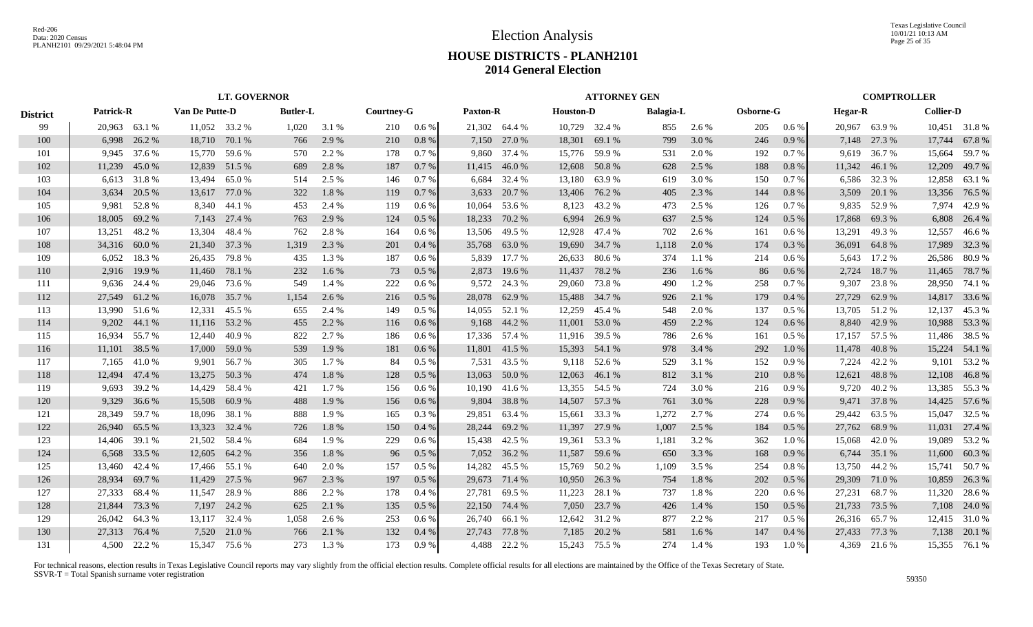Texas Legislative Council 10/01/21 10:13 AM Page 25 of 35

## **HOUSE DISTRICTS - PLANH2101 2014 General Election**

|                 |               |              |                       |               | <b>LT. GOVERNOR</b> |       |            |         |                 |               |                  | <b>ATTORNEY GEN</b> |                  |         |           |         |                |               | <b>COMPTROLLER</b> |               |
|-----------------|---------------|--------------|-----------------------|---------------|---------------------|-------|------------|---------|-----------------|---------------|------------------|---------------------|------------------|---------|-----------|---------|----------------|---------------|--------------------|---------------|
| <b>District</b> | Patrick-R     |              | <b>Van De Putte-D</b> |               | <b>Butler-L</b>     |       | Courtney-G |         | <b>Paxton-R</b> |               | <b>Houston-D</b> |                     | <b>Balagia-L</b> |         | Osborne-G |         | <b>Hegar-R</b> |               | <b>Collier-D</b>   |               |
| -99             | 20,963 63.1 % |              |                       | 11,052 33.2 % | 1,020               | 3.1 % | 210        | 0.6 %   |                 | 21,302 64.4 % |                  | 10,729 32.4 %       | 855              | 2.6 %   | 205       | $0.6\%$ |                | 20,967 63.9%  |                    | 10,451 31.8 % |
| 100             | 6,998         | 26.2 %       | 18,710                | 70.1 %        | 766                 | 2.9 % | 210        | 0.8%    |                 | 7,150 27.0 %  | 18,301           | 69.1 %              | 799              | 3.0 %   | 246       | 0.9%    |                | 7,148 27.3 %  | 17,744             | 67.8%         |
| 101             |               | 9,945 37.6 % |                       | 15,770 59.6 % | 570                 | 2.2 % | 178        | 0.7%    | 9,860           | 37.4 %        | 15,776           | 59.9%               | 531              | 2.0 %   | 192       | 0.7 %   |                | 9,619 36.7%   | 15,664             | 59.7 %        |
| 102             | 11,239        | 45.0%        | 12,839                | 51.5 %        | 689                 | 2.8 % | 187        | 0.7%    | 11,415          | 46.0%         | 12,608           | 50.8%               | 628              | 2.5 %   | 188       | 0.8%    |                | 11,342 46.1 % | 12,209             | 49.7%         |
| 103             |               | 6,613 31.8 % | 13,494                | 65.0%         | 514                 | 2.5 % | 146        | 0.7%    | 6,684           | 32.4 %        | 13,180           | 63.9%               | 619              | 3.0 %   | 150       | 0.7%    | 6,586          | 32.3 %        | 12,858             | 63.1 %        |
| 104             | 3,634         | 20.5 %       | 13,617                | 77.0 %        | 322                 | 1.8%  | 119        | 0.7%    | 3,633           | 20.7 %        | 13,406           | 76.2 %              | 405              | 2.3 %   | 144       | 0.8%    | 3,509          | 20.1 %        | 13,356             | 76.5 %        |
| 105             | 9,981         | 52.8%        |                       | 8,340 44.1 %  | 453                 | 2.4 % | 119        | $0.6\%$ | 10,064          | 53.6 %        | 8,123            | 43.2 %              | 473              | 2.5 %   | 126       | 0.7%    | 9,835          | 52.9 %        | 7,974              | 42.9%         |
| 106             | 18,005        | 69.2%        | 7,143                 | 27.4 %        | 763                 | 2.9 % | 124        | 0.5%    | 18,233          | 70.2 %        | 6,994            | 26.9%               | 637              | 2.5 %   | 124       | 0.5%    | 17,868         | 69.3%         | 6,808              | 26.4 %        |
| 107             | 13,251        | 48.2%        | 13,304                | 48.4 %        | 762                 | 2.8 % | 164        | $0.6\%$ | 13,506          | 49.5 %        | 12,928           | 47.4 %              | 702              | 2.6 %   | 161       | 0.6 %   | 13,291         | 49.3 %        | 12,557             | 46.6%         |
| 108             | 34,316        | 60.0%        | 21,340                | 37.3 %        | 1,319               | 2.3 % | 201        | 0.4%    | 35,768          | 63.0%         | 19,690           | 34.7 %              | 1,118            | 2.0 %   | 174       | 0.3 %   | 36,091         | 64.8%         | 17,989             | 32.3 %        |
| 109             | 6,052         | 18.3%        | 26,435                | 79.8 %        | 435                 | 1.3%  | 187        | $0.6\%$ | 5,839           | 17.7 %        | 26,633           | 80.6 %              | 374              | $1.1\%$ | 214       | $0.6\%$ | 5,643          | 17.2 %        | 26,586             | 80.9%         |
| 110             | 2,916         | 19.9 %       | 11,460                | 78.1 %        | 232                 | 1.6%  | 73         | $0.5\%$ | 2,873           | 19.6 %        | 11,437           | 78.2%               | 236              | 1.6 %   | 86        | 0.6%    | 2,724          | 18.7%         | 11,465             | 78.7 %        |
| 111             |               | 9,636 24.4 % |                       | 29,046 73.6 % | 549                 | 1.4 % | 222        | $0.6\%$ |                 | 9,572 24.3 %  | 29,060           | 73.8%               | 490              | 1.2%    | 258       | 0.7%    | 9,307          | 23.8%         | 28,950             | 74.1 %        |
| 112             | 27,549        | 61.2%        |                       | 16,078 35.7 % | 1,154               | 2.6 % | 216        | 0.5%    |                 | 28,078 62.9 % |                  | 15,488 34.7 %       | 926              | 2.1 %   | 179       | 0.4%    | 27,729         | 62.9 %        |                    | 14,817 33.6 % |
| 113             | 13,990 51.6 % |              | 12,331                | 45.5 %        | 655                 | 2.4 % | 149        | $0.5\%$ |                 | 14,055 52.1 % | 12,259           | 45.4 %              | 548              | 2.0 %   | 137       | $0.5\%$ |                | 13,705 51.2 % | 12,137             | 45.3 %        |
| 114             | 9,202         | 44.1 %       |                       | 11,116 53.2 % | 455                 | 2.2 % | 116        | $0.6\%$ |                 | 9,168 44.2 %  | 11,001           | 53.0 %              | 459              | 2.2 %   | 124       | 0.6%    |                | 8,840 42.9 %  | 10,988             | 53.3 %        |
| 115             | 16.934        | 55.7 %       | 12,440                | 40.9%         | 822                 | 2.7 % | 186        | 0.6 %   |                 | 17,336 57.4 % | 11,916           | 39.5 %              | 786              | 2.6 %   | 161       | 0.5 %   | 17,157         | 57.5 %        | 11,486             | 38.5 %        |
| 116             | 11,101        | 38.5 %       | 17,000                | 59.0 %        | 539                 | 1.9%  | 181        | 0.6%    | 11,801          | 41.5 %        | 15,393           | 54.1 %              | 978              | 3.4 %   | 292       | 1.0%    | 11,478         | 40.8%         |                    | 15,224 54.1 % |
| 117             | 7,165         | 41.0 %       | 9,901                 | 56.7 %        | 305                 | 1.7%  | 84         | $0.5\%$ | 7,531           | 43.5 %        | 9,118            | 52.6 %              | 529              | 3.1 %   | 152       | 0.9%    | 7,224          | 42.2 %        | 9,101              | 53.2 %        |
| 118             | 12,494        | 47.4 %       | 13,275                | 50.3%         | 474                 | 1.8%  | 128        | $0.5\%$ | 13,063          | 50.0 %        | 12,063           | 46.1%               | 812              | 3.1 %   | 210       | 0.8%    | 12,621         | 48.8%         | 12,108             | 46.8%         |
| 119             | 9.693         | 39.2 %       | 14,429                | 58.4 %        | 421                 | 1.7%  | 156        | $0.6\%$ | 10,190          | 41.6 %        | 13,355           | 54.5 %              | 724              | 3.0 %   | 216       | 0.9%    | 9,720          | 40.2 %        |                    | 13,385 55.3 % |
| 120             | 9,329         | 36.6%        | 15,508                | 60.9%         | 488                 | 1.9%  | 156        | $0.6\%$ | 9,804           | 38.8%         |                  | 14,507 57.3 %       | 761              | 3.0%    | 228       | 0.9%    | 9,471          | 37.8%         |                    | 14,425 57.6 % |
| 121             | 28,349        | 59.7%        | 18,096                | 38.1 %        | 888                 | 1.9%  | 165        | $0.3\%$ | 29,851          | 63.4 %        | 15,661           | 33.3 %              | 1,272            | 2.7 %   | 274       | 0.6%    |                | 29,442 63.5 % |                    | 15,047 32.5 % |
| 122             | 26,940        | 65.5 %       | 13,323                | 32.4 %        | 726                 | 1.8%  | 150        | 0.4%    |                 | 28,244 69.2 % | 11,397           | 27.9 %              | 1,007            | 2.5 %   | 184       | 0.5 %   |                | 27,762 68.9 % | 11,031             | 27.4 %        |
| 123             | 14,406        | 39.1 %       | 21,502                | 58.4 %        | 684                 | 1.9%  | 229        | $0.6\%$ | 15.438          | 42.5 %        | 19,361           | 53.3 %              | 1,181            | 3.2 %   | 362       | 1.0%    | 15,068         | 42.0 %        | 19,089             | 53.2 %        |
| 124             | 6,568         | 33.5 %       | 12,605                | 64.2 %        | 356                 | 1.8%  | 96         | 0.5%    |                 | 7,052 36.2 %  | 11,587           | 59.6 %              | 650              | 3.3 %   | 168       | 0.9%    | 6,744          | 35.1 %        | 11,600             | 60.3%         |
| 125             | 13,460        | 42.4 %       | 17,466                | 55.1 %        | 640                 | 2.0%  | 157        | $0.5\%$ | 14,282          | 45.5 %        | 15,769           | 50.2%               | 1,109            | 3.5 %   | 254       | 0.8%    |                | 13,750 44.2 % | 15,741             | 50.7%         |
| 126             | 28,934        | 69.7%        | 11,429                | 27.5 %        | 967                 | 2.3 % | 197        | $0.5\%$ |                 | 29,673 71.4 % | 10,950           | 26.3 %              | 754              | 1.8%    | 202       | 0.5 %   | 29,309 71.0 %  |               | 10,859             | 26.3 %        |
| 127             | 27,333 68.4 % |              | 11,547                | 28.9%         | 886                 | 2.2 % | 178        | 0.4%    | 27,781          | 69.5 %        | 11,223           | 28.1 %              | 737              | 1.8%    | 220       | 0.6%    | 27,231         | 68.7 %        | 11,320             | 28.6 %        |
| 128             | 21,844        | 73.3 %       |                       | 7,197 24.2 %  | 625                 | 2.1 % | 135        | 0.5%    |                 | 22,150 74.4 % | 7,050            | 23.7 %              | 426              | 1.4 %   | 150       | 0.5 %   | 21,733 73.5 %  |               |                    | 7,108 24.0 %  |
| 129             | 26,042        | 64.3 %       | 13.117                | 32.4 %        | 1.058               | 2.6 % | 253        | $0.6\%$ |                 | 26,740 66.1 % |                  | 12,642 31.2 %       | 877              | 2.2 %   | 217       | $0.5\%$ |                | 26,316 65.7 % |                    | 12,415 31.0 % |
| 130             | 27,313        | 76.4 %       | 7.520                 | 21.0 %        | 766                 | 2.1 % | 132        | 0.4%    | 27,743          | 77.8%         | 7,185            | 20.2 %              | 581              | 1.6 %   | 147       | 0.4%    |                | 27,433 77.3 % |                    | 7,138 20.1 %  |
| 131             |               | 4.500 22.2 % |                       | 15.347 75.6 % | 273                 | 1.3%  | 173        | 0.9%    | 4.488           | 22.2 %        |                  | 15.243 75.5 %       | 274              | 1.4 %   | 193       | 1.0 %   |                | 4,369 21.6 %  |                    | 15,355 76.1 % |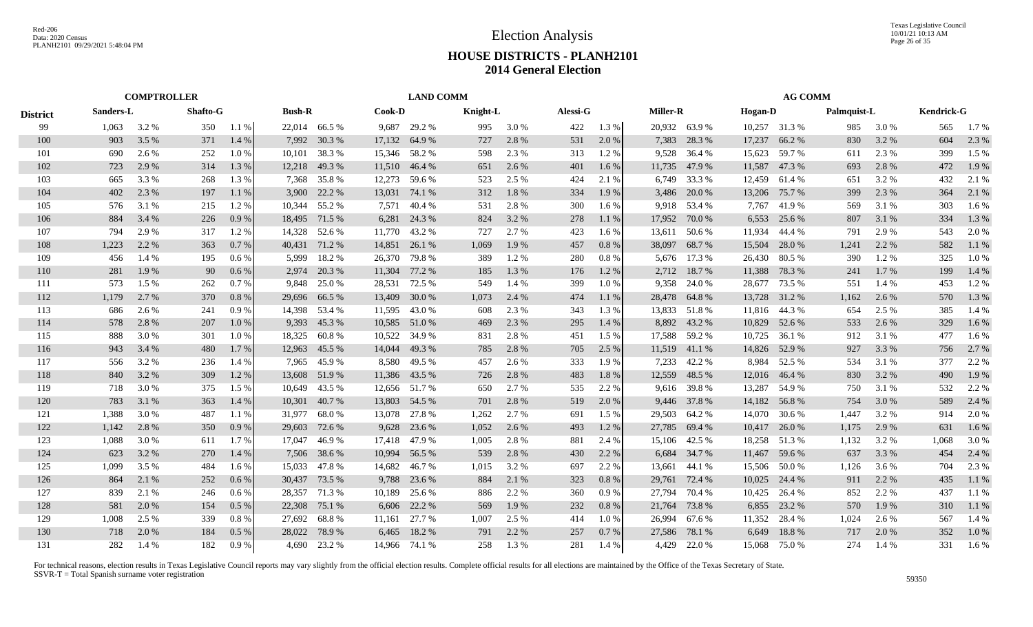|                 |           |       | <b>COMPTROLLER</b> |         |               |               |               | <b>LAND COMM</b> |          |       |          |          |                 |               |                | <b>AG COMM</b> |             |       |                   |         |
|-----------------|-----------|-------|--------------------|---------|---------------|---------------|---------------|------------------|----------|-------|----------|----------|-----------------|---------------|----------------|----------------|-------------|-------|-------------------|---------|
| <b>District</b> | Sanders-L |       | Shafto-G           |         | <b>Bush-R</b> |               | <b>Cook-D</b> |                  | Knight-L |       | Alessi-G |          | <b>Miller-R</b> |               | <b>Hogan-D</b> |                | Palmquist-L |       | <b>Kendrick-G</b> |         |
| 99              | 1,063     | 3.2 % | 350                | 1.1%    |               | 22,014 66.5 % | 9,687         | 29.2 %           | 995      | 3.0%  | 422      | 1.3%     |                 | 20,932 63.9 % |                | 10,257 31.3 %  | 985         | 3.0 % | 565               | 1.7%    |
| 100             | 903       | 3.5 % | 371                | 1.4 %   | 7,992         | 30.3 %        |               | 17,132 64.9 %    | 727      | 2.8%  | 531      | 2.0%     | 7,383           | 28.3%         | 17,237         | 66.2%          | 830         | 3.2 % | 604               | 2.3 %   |
| 101             | 690       | 2.6 % | 252                | 1.0%    | 10,101        | 38.3%         |               | 15,346 58.2 %    | 598      | 2.3 % | 313      | 1.2%     | 9,528           | 36.4 %        | 15,623         | 59.7%          | 611         | 2.3 % | 399               | 1.5 %   |
| 102             | 723       | 2.9 % | 314                | 1.3 %   | 12,218        | 49.3 %        |               | 11,510 46.4 %    | 651      | 2.6 % | 401      | 1.6%     | 11,735          | 47.9 %        | 11,587         | 47.3%          | 693         | 2.8 % | 472               | 1.9%    |
| 103             | 665       | 3.3 % | 268                | 1.3%    | 7,368         | 35.8%         | 12,273        | 59.6 %           | 523      | 2.5 % | 424      | 2.1 %    | 6.749           | 33.3 %        | 12,459         | 61.4 %         | 651         | 3.2 % | 432               | 2.1 %   |
| 104             | 402       | 2.3 % | 197                | 1.1%    | 3,900         | 22.2 %        | 13,031        | 74.1 %           | 312      | 1.8%  | 334      | 1.9%     | 3,486           | 20.0 %        | 13,206         | 75.7%          | 399         | 2.3 % | 364               | 2.1 %   |
| 105             | 576       | 3.1 % | 215                | 1.2%    | 10,344        | 55.2 %        | 7,571         | 40.4 %           | 531      | 2.8%  | 300      | 1.6%     | 9,918           | 53.4 %        | 7,767          | 41.9%          | 569         | 3.1 % | 303               | 1.6%    |
| 106             | 884       | 3.4 % | 226                | 0.9%    | 18,495        | 71.5 %        | 6,281         | 24.3 %           | 824      | 3.2%  | 278      | 1.1 %    | 17,952          | 70.0 %        | 6,553          | 25.6 %         | 807         | 3.1 % | 334               | 1.3%    |
| 107             | 794       | 2.9 % | 317                | 1.2%    | 14,328        | 52.6 %        |               | 11,770 43.2 %    | 727      | 2.7 % | 423      | 1.6%     | 13,611          | 50.6 %        | 11,934         | 44.4 %         | 791         | 2.9 % | 543               | 2.0 %   |
| 108             | 1,223     | 2.2 % | 363                | 0.7%    | 40,431        | 71.2 %        | 14,851        | 26.1 %           | 1,069    | 1.9%  | 457      | 0.8%     | 38,097          | 68.7%         | 15,504         | 28.0%          | 1,241       | 2.2 % | 582               | 1.1%    |
| 109             | 456       | 1.4 % | 195                | $0.6\%$ | 5,999         | 18.2%         | 26,370        | 79.8%            | 389      | 1.2%  | 280      | 0.8%     | 5,676           | 17.3 %        | 26,430         | 80.5%          | 390         | 1.2%  | 325               | 1.0%    |
| 110             | 281       | 1.9%  | 90                 | 0.6%    | 2.974         | 20.3 %        | 11,304        | 77.2 %           | 185      | 1.3%  | 176      | 1.2%     | 2,712           | 18.7%         | 11,388         | 78.3%          | 241         | 1.7 % | 199               | 1.4 %   |
| 111             | 573       | 1.5 % | 262                | 0.7%    | 9.848         | 25.0%         | 28,531        | 72.5 %           | 549      | 1.4 % | 399      | 1.0%     | 9,358           | 24.0 %        | 28,677         | 73.5 %         | 551         | 1.4 % | 453               | 1.2%    |
| 112             | 1,179     | 2.7%  | 370                | 0.8%    | 29,696        | 66.5 %        | 13,409        | 30.0%            | 1,073    | 2.4 % | 474      | 1.1 %    | 28,478          | 64.8%         | 13,728         | 31.2%          | 1,162       | 2.6 % | 570               | 1.3 %   |
| 113             | 686       | 2.6 % | 241                | 0.9%    | 14,398        | 53.4 %        | 11,595        | 43.0 %           | 608      | 2.3 % | 343      | 1.3%     | 13,833          | 51.8%         | 11,816         | 44.3 %         | 654         | 2.5 % | 385               | 1.4 %   |
| 114             | 578       | 2.8%  | 207                | 1.0%    | 9,393         | 45.3%         |               | 10,585 51.0 %    | 469      | 2.3 % | 295      | 1.4 %    |                 | 8,892 43.2 %  | 10,829         | 52.6 %         | 533         | 2.6 % | 329               | 1.6%    |
| 115             | 888       | 3.0 % | 301                | 1.0%    | 18,325        | 60.8%         |               | 10,522 34.9 %    | 831      | 2.8 % | 451      | 1.5 %    |                 | 17,588 59.2 % | 10,725         | 36.1 %         | 912         | 3.1 % | 477               | $1.6\%$ |
| 116             | 943       | 3.4 % | 480                | 1.7 %   | 12,963        | 45.5 %        | 14,044        | 49.3 %           | 785      | 2.8 % | 705      | 2.5 %    |                 | 11,519 41.1 % | 14,826         | 52.9 %         | 927         | 3.3 % | 756               | 2.7 %   |
| 117             | 556       | 3.2 % | 236                | 1.4 %   | 7,965         | 45.9%         | 8,580         | 49.5 %           | 457      | 2.6 % | 333      | 1.9%     | 7,233           | 42.2 %        | 8,984          | 52.5 %         | 534         | 3.1 % | 377               | 2.2 %   |
| 118             | 840       | 3.2 % | 309                | 1.2 %   | 13,608        | 51.9%         |               | 11,386 43.5 %    | 726      | 2.8%  | 483      | 1.8%     | 12,559          | 48.5 %        | 12,016         | 46.4 %         | 830         | 3.2 % | 490               | 1.9%    |
| 119             | 718       | 3.0 % | 375                | 1.5 %   | 10.649        | 43.5 %        |               | 12,656 51.7 %    | 650      | 2.7 % | 535      | 2.2 %    | 9.616           | 39.8%         | 13,287         | 54.9%          | 750         | 3.1 % | 532               | 2.2 %   |
| 120             | 783       | 3.1 % | 363                | 1.4 %   | 10,301        | 40.7%         |               | 13,803 54.5 %    | 701      | 2.8 % | 519      | 2.0%     | 9,446           | 37.8%         | 14,182         | 56.8%          | 754         | 3.0%  | 589               | 2.4 %   |
| 121             | 1,388     | 3.0%  | 487                | $1.1\%$ | 31,977        | 68.0%         | 13,078        | 27.8%            | 1,262    | 2.7 % | 691      | 1.5 %    | 29,503          | 64.2 %        | 14,070         | 30.6%          | 1,447       | 3.2 % | 914               | 2.0%    |
| 122             | 1,142     | 2.8%  | 350                | 0.9%    | 29,603        | 72.6 %        | 9,628         | 23.6 %           | 1,052    | 2.6 % | 493      | 1.2%     | 27,785          | 69.4 %        | 10,417         | 26.0%          | 1,175       | 2.9 % | 631               | 1.6 %   |
| 123             | 1,088     | 3.0%  | 611                | 1.7%    | 17,047        | 46.9%         | 17,418        | 47.9%            | 1,005    | 2.8%  | 881      | 2.4 %    | 15,106          | 42.5 %        | 18,258         | 51.3%          | 1,132       | 3.2%  | 1,068             | 3.0%    |
| 124             | 623       | 3.2 % | 270                | 1.4 %   | 7,506         | 38.6 %        | 10,994        | 56.5 %           | 539      | 2.8 % | 430      | 2.2 %    | 6,684           | 34.7 %        | 11,467         | 59.6 %         | 637         | 3.3 % | 454               | 2.4 %   |
| 125             | 1,099     | 3.5 % | 484                | 1.6 %   | 15,033        | 47.8%         | 14,682        | 46.7%            | 1,015    | 3.2 % | 697      | 2.2 %    | 13,661          | 44.1 %        | 15,506         | 50.0%          | 1,126       | 3.6 % | 704               | 2.3 %   |
| 126             | 864       | 2.1 % | 252                | $0.6\%$ | 30,437        | 73.5 %        | 9,788         | 23.6 %           | 884      | 2.1 % | 323      | 0.8%     | 29,761          | 72.4 %        | 10,025         | 24.4 %         | 911         | 2.2 % | 435               | 1.1%    |
| 127             | 839       | 2.1 % | 246                | $0.6\%$ | 28,357        | 71.3 %        | 10,189        | 25.6 %           | 886      | 2.2 % | 360      | 0.9%     | 27,794          | 70.4 %        | 10,425         | 26.4 %         | 852         | 2.2 % | 437               | 1.1%    |
| 128             | 581       | 2.0 % | 154                | $0.5\%$ | 22,308        | 75.1 %        | 6,606         | 22.2 %           | 569      | 1.9%  | 232      | $0.8~\%$ | 21,764          | 73.8%         | 6,855          | 23.2 %         | 570         | 1.9 % | 310               | 1.1 %   |
| 129             | 1.008     | 2.5 % | 339                | 0.8%    | 27,692        | 68.8%         | 11,161        | 27.7 %           | 1,007    | 2.5 % | 414      | $1.0\%$  | 26,994          | 67.6 %        | 11,352         | 28.4 %         | 1,024       | 2.6 % | 567               | 1.4 %   |
| 130             | 718       | 2.0%  | 184                | 0.5 %   | 28,022        | 78.9%         | 6,465         | 18.2 %           | 791      | 2.2 % | 257      | 0.7%     | 27,586          | 78.1 %        | 6,649          | 18.8%          | 717         | 2.0 % | 352               | 1.0%    |
| 131             | 282       | 1.4 % | 182                | 0.9%    | 4.690         | 23.2 %        |               | 14,966 74.1 %    | 258      | 1.3%  | 281      | 1.4 %    | 4.429           | 22.0%         | 15,068         | 75.0 %         | 274         | 1.4 % | 331               | $1.6\%$ |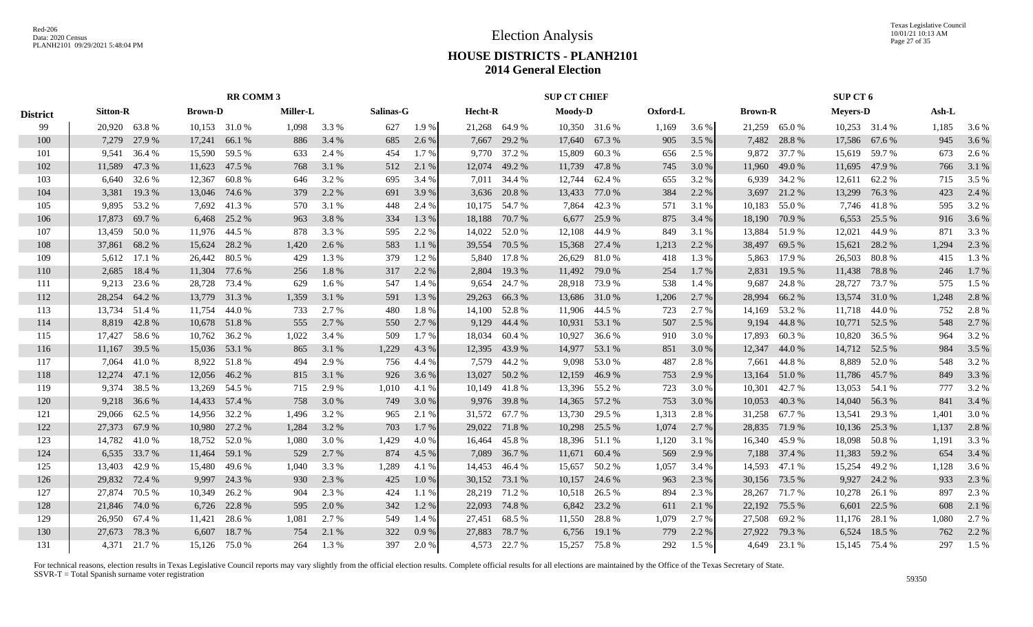Texas Legislative Council 10/01/21 10:13 AM Page 27 of 35

## **HOUSE DISTRICTS - PLANH2101 2014 General Election**

|        |                           |                                                                                                                                                                                                                |                  |                                                                                                                                                                                                                                                            |                                         |                                                                      |                                   |                                     |                |                                                                                                                                                                                                                                                                                                                                                                                                                                                                                                         |                                                         |                                                                                                                                                                                                       |              |                   |                                                                                                       |                                                                                                                                                                              |                  | Ash-L                                                                                                                                                                                                                                                                                                                                                                                                     |                                   |
|--------|---------------------------|----------------------------------------------------------------------------------------------------------------------------------------------------------------------------------------------------------------|------------------|------------------------------------------------------------------------------------------------------------------------------------------------------------------------------------------------------------------------------------------------------------|-----------------------------------------|----------------------------------------------------------------------|-----------------------------------|-------------------------------------|----------------|---------------------------------------------------------------------------------------------------------------------------------------------------------------------------------------------------------------------------------------------------------------------------------------------------------------------------------------------------------------------------------------------------------------------------------------------------------------------------------------------------------|---------------------------------------------------------|-------------------------------------------------------------------------------------------------------------------------------------------------------------------------------------------------------|--------------|-------------------|-------------------------------------------------------------------------------------------------------|------------------------------------------------------------------------------------------------------------------------------------------------------------------------------|------------------|-----------------------------------------------------------------------------------------------------------------------------------------------------------------------------------------------------------------------------------------------------------------------------------------------------------------------------------------------------------------------------------------------------------|-----------------------------------|
|        |                           |                                                                                                                                                                                                                |                  | 1,098                                                                                                                                                                                                                                                      | 3.3 %                                   | 627                                                                  |                                   |                                     |                |                                                                                                                                                                                                                                                                                                                                                                                                                                                                                                         |                                                         | 1,169                                                                                                                                                                                                 | 3.6 %        |                   |                                                                                                       |                                                                                                                                                                              |                  | 1,185                                                                                                                                                                                                                                                                                                                                                                                                     | 3.6 %                             |
| 7,279  |                           | 17,241                                                                                                                                                                                                         | 66.1 %           | 886                                                                                                                                                                                                                                                        | 3.4 %                                   | 685                                                                  | 2.6 %                             |                                     |                | 17,640                                                                                                                                                                                                                                                                                                                                                                                                                                                                                                  | 67.3 %                                                  | 905                                                                                                                                                                                                   | 3.5 %        |                   | 28.8%                                                                                                 |                                                                                                                                                                              |                  | 945                                                                                                                                                                                                                                                                                                                                                                                                       | 3.6 %                             |
| 9,541  | 36.4 %                    | 15,590                                                                                                                                                                                                         | 59.5 %           | 633                                                                                                                                                                                                                                                        | 2.4 %                                   | 454                                                                  | 1.7 %                             |                                     |                | 15,809                                                                                                                                                                                                                                                                                                                                                                                                                                                                                                  | 60.3%                                                   | 656                                                                                                                                                                                                   | 2.5 %        |                   | 37.7 %                                                                                                |                                                                                                                                                                              |                  | 673                                                                                                                                                                                                                                                                                                                                                                                                       | 2.6 %                             |
| 11,589 | 47.3 %                    | 11,623                                                                                                                                                                                                         |                  | 768                                                                                                                                                                                                                                                        | 3.1 %                                   | 512                                                                  | 2.1 %                             |                                     |                | 11,739                                                                                                                                                                                                                                                                                                                                                                                                                                                                                                  | 47.8%                                                   | 745                                                                                                                                                                                                   | 3.0 %        |                   | 49.0 %                                                                                                | 11,695                                                                                                                                                                       |                  | 766                                                                                                                                                                                                                                                                                                                                                                                                       | 3.1 %                             |
| 6,640  | 32.6 %                    | 12,367                                                                                                                                                                                                         | 60.8%            | 646                                                                                                                                                                                                                                                        | 3.2 %                                   | 695                                                                  | 3.4 %                             |                                     |                | 12,744                                                                                                                                                                                                                                                                                                                                                                                                                                                                                                  | 62.4 %                                                  | 655                                                                                                                                                                                                   | 3.2 %        |                   | 34.2 %                                                                                                |                                                                                                                                                                              |                  | 715                                                                                                                                                                                                                                                                                                                                                                                                       | 3.5 %                             |
| 3,381  | 19.3 %                    | 13,046                                                                                                                                                                                                         | 74.6 %           | 379                                                                                                                                                                                                                                                        | 2.2 %                                   | 691                                                                  | 3.9%                              |                                     |                | 13,433                                                                                                                                                                                                                                                                                                                                                                                                                                                                                                  | 77.0 %                                                  | 384                                                                                                                                                                                                   | 2.2 %        | 3,697             | 21.2%                                                                                                 | 13,299                                                                                                                                                                       | 76.3 %           | 423                                                                                                                                                                                                                                                                                                                                                                                                       | 2.4 %                             |
| 9.895  | 53.2 %                    | 7.692                                                                                                                                                                                                          |                  | 570                                                                                                                                                                                                                                                        | 3.1 %                                   | 448                                                                  | 2.4 %                             |                                     |                | 7,864                                                                                                                                                                                                                                                                                                                                                                                                                                                                                                   | 42.3%                                                   | 571                                                                                                                                                                                                   | 3.1 %        | 10,183            | 55.0%                                                                                                 |                                                                                                                                                                              |                  | 595                                                                                                                                                                                                                                                                                                                                                                                                       | 3.2 %                             |
| 17,873 | 69.7 %                    | 6,468                                                                                                                                                                                                          | 25.2 %           | 963                                                                                                                                                                                                                                                        | 3.8%                                    | 334                                                                  | 1.3%                              |                                     |                | 6,677                                                                                                                                                                                                                                                                                                                                                                                                                                                                                                   | 25.9%                                                   | 875                                                                                                                                                                                                   | 3.4 %        | 18,190            | 70.9%                                                                                                 | 6,553                                                                                                                                                                        |                  | 916                                                                                                                                                                                                                                                                                                                                                                                                       | 3.6 %                             |
| 13,459 | 50.0%                     | 11.976                                                                                                                                                                                                         | 44.5 %           | 878                                                                                                                                                                                                                                                        | 3.3 %                                   | 595                                                                  | 2.2 %                             |                                     |                | 12,108                                                                                                                                                                                                                                                                                                                                                                                                                                                                                                  | 44.9%                                                   | 849                                                                                                                                                                                                   | 3.1 %        | 13,884            | 51.9%                                                                                                 | 12,021                                                                                                                                                                       | 44.9%            | 871                                                                                                                                                                                                                                                                                                                                                                                                       | 3.3 %                             |
| 37,861 | 68.2%                     | 15,624                                                                                                                                                                                                         | 28.2 %           | 1,420                                                                                                                                                                                                                                                      | 2.6 %                                   | 583                                                                  | 1.1 %                             | 39,554                              | 70.5 %         | 15,368                                                                                                                                                                                                                                                                                                                                                                                                                                                                                                  | 27.4 %                                                  | 1,213                                                                                                                                                                                                 | 2.2 %        | 38,497            | 69.5 %                                                                                                | 15,621                                                                                                                                                                       | 28.2 %           | 1,294                                                                                                                                                                                                                                                                                                                                                                                                     | 2.3 %                             |
| 5,612  | 17.1 %                    | 26,442                                                                                                                                                                                                         | 80.5 %           | 429                                                                                                                                                                                                                                                        | 1.3 %                                   | 379                                                                  | 1.2%                              |                                     |                | 26,629                                                                                                                                                                                                                                                                                                                                                                                                                                                                                                  | 81.0%                                                   | 418                                                                                                                                                                                                   | 1.3 %        | 5,863             | 17.9 %                                                                                                | 26,503                                                                                                                                                                       | 80.8%            | 415                                                                                                                                                                                                                                                                                                                                                                                                       | 1.3 %                             |
| 2,685  | 18.4 %                    | 11,304                                                                                                                                                                                                         | 77.6 %           | 256                                                                                                                                                                                                                                                        | 1.8%                                    | 317                                                                  | 2.2 %                             | 2,804                               |                | 11,492                                                                                                                                                                                                                                                                                                                                                                                                                                                                                                  | 79.0 %                                                  | 254                                                                                                                                                                                                   | $1.7\%$      | 2,831             | 19.5 %                                                                                                | 11,438                                                                                                                                                                       |                  | 246                                                                                                                                                                                                                                                                                                                                                                                                       | 1.7%                              |
|        |                           |                                                                                                                                                                                                                |                  | 629                                                                                                                                                                                                                                                        | 1.6 %                                   | 547                                                                  | 1.4 %                             | 9,654                               |                | 28,918                                                                                                                                                                                                                                                                                                                                                                                                                                                                                                  | 73.9 %                                                  | 538                                                                                                                                                                                                   | 1.4 %        | 9,687             | 24.8%                                                                                                 |                                                                                                                                                                              |                  | 575                                                                                                                                                                                                                                                                                                                                                                                                       | 1.5 %                             |
| 28,254 | 64.2%                     |                                                                                                                                                                                                                |                  | 1,359                                                                                                                                                                                                                                                      | 3.1 %                                   | 591                                                                  | 1.3%                              | 29,263                              |                | 13,686                                                                                                                                                                                                                                                                                                                                                                                                                                                                                                  |                                                         | 1,206                                                                                                                                                                                                 | 2.7 %        | 28,994            | 66.2%                                                                                                 | 13,574                                                                                                                                                                       |                  | 1,248                                                                                                                                                                                                                                                                                                                                                                                                     | 2.8 %                             |
|        |                           | 11,754                                                                                                                                                                                                         |                  | 733                                                                                                                                                                                                                                                        | 2.7 %                                   | 480                                                                  | 1.8%                              |                                     |                |                                                                                                                                                                                                                                                                                                                                                                                                                                                                                                         |                                                         | 723                                                                                                                                                                                                   | 2.7 %        |                   | 53.2%                                                                                                 |                                                                                                                                                                              |                  | 752                                                                                                                                                                                                                                                                                                                                                                                                       | 2.8 %                             |
|        |                           |                                                                                                                                                                                                                |                  | 555                                                                                                                                                                                                                                                        | 2.7 %                                   | 550                                                                  | 2.7 %                             | 9,129                               |                |                                                                                                                                                                                                                                                                                                                                                                                                                                                                                                         | 53.1 %                                                  | 507                                                                                                                                                                                                   | 2.5 %        |                   | 44.8%                                                                                                 |                                                                                                                                                                              |                  | 548                                                                                                                                                                                                                                                                                                                                                                                                       | 2.7 %                             |
| 17.427 | 58.6%                     | 10,762                                                                                                                                                                                                         |                  | 1.022                                                                                                                                                                                                                                                      | 3.4 %                                   | 509                                                                  | 1.7 %                             | 18,034                              |                | 10,927                                                                                                                                                                                                                                                                                                                                                                                                                                                                                                  | 36.6 %                                                  | 910                                                                                                                                                                                                   | 3.0%         | 17,893            | 60.3%                                                                                                 |                                                                                                                                                                              |                  | 964                                                                                                                                                                                                                                                                                                                                                                                                       | 3.2 %                             |
| 11.167 | 39.5 %                    | 15,036                                                                                                                                                                                                         |                  | 865                                                                                                                                                                                                                                                        | 3.1 %                                   | 1,229                                                                | 4.3 %                             | 12,395                              |                | 14,977                                                                                                                                                                                                                                                                                                                                                                                                                                                                                                  | 53.1 %                                                  | 851                                                                                                                                                                                                   | 3.0 %        | 12,347            | 44.0%                                                                                                 |                                                                                                                                                                              |                  | 984                                                                                                                                                                                                                                                                                                                                                                                                       | 3.5 %                             |
| 7,064  | 41.0%                     | 8,922                                                                                                                                                                                                          |                  | 494                                                                                                                                                                                                                                                        | 2.9 %                                   | 756                                                                  | 4.4 %                             |                                     |                | 9,098                                                                                                                                                                                                                                                                                                                                                                                                                                                                                                   | 53.0%                                                   | 487                                                                                                                                                                                                   | 2.8%         | 7,661             | 44.8%                                                                                                 | 8,889                                                                                                                                                                        | 52.0%            | 548                                                                                                                                                                                                                                                                                                                                                                                                       | 3.2 %                             |
| 12,274 | 47.1 %                    | 12,056                                                                                                                                                                                                         | 46.2%            | 815                                                                                                                                                                                                                                                        | 3.1 %                                   | 926                                                                  | 3.6 %                             | 13,027                              |                | 12,159                                                                                                                                                                                                                                                                                                                                                                                                                                                                                                  | 46.9%                                                   | 753                                                                                                                                                                                                   | 2.9 %        | 13,164            | 51.0%                                                                                                 | 11,786                                                                                                                                                                       |                  | 849                                                                                                                                                                                                                                                                                                                                                                                                       | 3.3 %                             |
| 9.374  | 38.5 %                    |                                                                                                                                                                                                                |                  | 715                                                                                                                                                                                                                                                        | 2.9 %                                   | 1,010                                                                | 4.1 %                             |                                     |                | 13,396                                                                                                                                                                                                                                                                                                                                                                                                                                                                                                  |                                                         | 723                                                                                                                                                                                                   | 3.0%         | 10,301            | 42.7 %                                                                                                |                                                                                                                                                                              |                  | 777                                                                                                                                                                                                                                                                                                                                                                                                       | 3.2 %                             |
|        |                           |                                                                                                                                                                                                                |                  | 758                                                                                                                                                                                                                                                        |                                         |                                                                      |                                   |                                     |                |                                                                                                                                                                                                                                                                                                                                                                                                                                                                                                         |                                                         | 753                                                                                                                                                                                                   | 3.0 %        | 10,053            |                                                                                                       |                                                                                                                                                                              |                  |                                                                                                                                                                                                                                                                                                                                                                                                           | 3.4 %                             |
| 29,066 | 62.5 %                    | 14,956                                                                                                                                                                                                         |                  | 1,496                                                                                                                                                                                                                                                      | 3.2 %                                   | 965                                                                  | 2.1 %                             |                                     |                | 13,730                                                                                                                                                                                                                                                                                                                                                                                                                                                                                                  | 29.5 %                                                  | 1,313                                                                                                                                                                                                 | 2.8 %        | 31,258            |                                                                                                       |                                                                                                                                                                              |                  | 1,401                                                                                                                                                                                                                                                                                                                                                                                                     | 3.0%                              |
|        |                           | 10,980                                                                                                                                                                                                         |                  | 1,284                                                                                                                                                                                                                                                      | 3.2 %                                   | 703                                                                  | 1.7%                              |                                     |                | 10,298                                                                                                                                                                                                                                                                                                                                                                                                                                                                                                  | 25.5 %                                                  | 1,074                                                                                                                                                                                                 | 2.7 %        |                   |                                                                                                       |                                                                                                                                                                              |                  | 1,137                                                                                                                                                                                                                                                                                                                                                                                                     | 2.8 %                             |
| 14,782 |                           | 18,752                                                                                                                                                                                                         |                  | 1,080                                                                                                                                                                                                                                                      | 3.0 %                                   | 1,429                                                                | 4.0%                              |                                     |                |                                                                                                                                                                                                                                                                                                                                                                                                                                                                                                         |                                                         | 1,120                                                                                                                                                                                                 | 3.1 %        |                   |                                                                                                       | 18,098                                                                                                                                                                       | 50.8%            | 1,191                                                                                                                                                                                                                                                                                                                                                                                                     | 3.3 %                             |
|        |                           |                                                                                                                                                                                                                | 59.1 %           |                                                                                                                                                                                                                                                            |                                         |                                                                      |                                   |                                     |                |                                                                                                                                                                                                                                                                                                                                                                                                                                                                                                         |                                                         |                                                                                                                                                                                                       | 2.9 %        |                   |                                                                                                       |                                                                                                                                                                              |                  |                                                                                                                                                                                                                                                                                                                                                                                                           | 3.4 %                             |
|        |                           |                                                                                                                                                                                                                |                  |                                                                                                                                                                                                                                                            |                                         |                                                                      |                                   |                                     |                |                                                                                                                                                                                                                                                                                                                                                                                                                                                                                                         |                                                         |                                                                                                                                                                                                       | 3.4 %        |                   |                                                                                                       |                                                                                                                                                                              |                  |                                                                                                                                                                                                                                                                                                                                                                                                           | 3.6 %                             |
|        |                           | 9,997                                                                                                                                                                                                          |                  |                                                                                                                                                                                                                                                            |                                         |                                                                      | 1.0%                              |                                     |                |                                                                                                                                                                                                                                                                                                                                                                                                                                                                                                         |                                                         | 963                                                                                                                                                                                                   | 2.3 %        |                   |                                                                                                       | 9,927                                                                                                                                                                        |                  |                                                                                                                                                                                                                                                                                                                                                                                                           | 2.3 %                             |
| 27,874 |                           | 10,349                                                                                                                                                                                                         | 26.2 %           | 904                                                                                                                                                                                                                                                        | 2.3 %                                   | 424                                                                  | 1.1%                              |                                     |                | 10,518                                                                                                                                                                                                                                                                                                                                                                                                                                                                                                  |                                                         | 894                                                                                                                                                                                                   | 2.3 %        |                   |                                                                                                       | 10,278                                                                                                                                                                       | 26.1 %           | 897                                                                                                                                                                                                                                                                                                                                                                                                       | 2.3 %                             |
| 21,846 |                           | 6,726                                                                                                                                                                                                          |                  | 595                                                                                                                                                                                                                                                        |                                         |                                                                      | 1.2%                              |                                     |                |                                                                                                                                                                                                                                                                                                                                                                                                                                                                                                         |                                                         | 611                                                                                                                                                                                                   | 2.1 %        |                   |                                                                                                       | 6,601                                                                                                                                                                        |                  |                                                                                                                                                                                                                                                                                                                                                                                                           | 2.1 %                             |
| 26,950 |                           | 11,421                                                                                                                                                                                                         | 28.6 %           | 1,081                                                                                                                                                                                                                                                      |                                         | 549                                                                  | 1.4 %                             |                                     |                |                                                                                                                                                                                                                                                                                                                                                                                                                                                                                                         |                                                         | 1,079                                                                                                                                                                                                 |              |                   |                                                                                                       |                                                                                                                                                                              |                  | 1,080                                                                                                                                                                                                                                                                                                                                                                                                     | 2.7 %                             |
| 27.673 | 78.3%                     | 6,607                                                                                                                                                                                                          | 18.7%            | 754                                                                                                                                                                                                                                                        | 2.1 %                                   | 322                                                                  | 0.9%                              |                                     |                | 6,756                                                                                                                                                                                                                                                                                                                                                                                                                                                                                                   | 19.1 %                                                  | 779                                                                                                                                                                                                   | 2.2 %        | 27,922            | 79.3%                                                                                                 | 6,524                                                                                                                                                                        | 18.5 %           | 762                                                                                                                                                                                                                                                                                                                                                                                                       | 2.2 %                             |
|        |                           |                                                                                                                                                                                                                |                  | 264                                                                                                                                                                                                                                                        | 1.3 %                                   | 397                                                                  | 2.0 %                             |                                     |                |                                                                                                                                                                                                                                                                                                                                                                                                                                                                                                         |                                                         | 292                                                                                                                                                                                                   | 1.5 %        |                   |                                                                                                       |                                                                                                                                                                              |                  | 297                                                                                                                                                                                                                                                                                                                                                                                                       | 1.5 %                             |
|        | 9,218<br>13,403<br>29,832 | <b>Sitton-R</b><br>20,920 63.8 %<br>27.9 %<br>9,213 23.6 %<br>13,734 51.4 %<br>8,819 42.8%<br>36.6%<br>27,373 67.9 %<br>41.0 %<br>6,535 33.7 %<br>42.9%<br>72.4 %<br>70.5 %<br>74.0%<br>67.4 %<br>4,371 21.7 % | 11,464<br>15,480 | <b>Brown-D</b><br>10,153 31.0 %<br>47.5 %<br>41.3%<br>28,728 73.4 %<br>13,779 31.3 %<br>44.0 %<br>10,678 51.8 %<br>36.2 %<br>53.1 %<br>51.8%<br>13,269 54.5 %<br>14,433 57.4 %<br>32.2 %<br>27.2 %<br>52.0 %<br>49.6 %<br>24.3 %<br>22.8%<br>15,126 75.0 % | <b>RR COMM 3</b><br>529<br>1,040<br>930 | <b>Miller-L</b><br>3.0%<br>2.7 %<br>3.3 %<br>2.3 %<br>2.0 %<br>2.7 % | 749<br>874<br>1,289<br>425<br>342 | Salinas-G<br>3.0%<br>4.5 %<br>4.1 % | 1.9%<br>14,453 | Hecht-R<br>21,268 64.9 %<br>7,667 29.2 %<br>9,770 37.2 %<br>12,074 49.2 %<br>7,011 34.4 %<br>3,636 20.8%<br>10,175 54.7 %<br>18,188 70.7 %<br>14,022 52.0 %<br>17.8 %<br>5,840<br>19.3 %<br>24.7 %<br>66.3%<br>14,100 52.8 %<br>44.4 %<br>60.4 %<br>43.9 %<br>7,579 44.2 %<br>50.2 %<br>10,149 41.8 %<br>9,976 39.8 %<br>31,572 67.7 %<br>29,022 71.8 %<br>16,464 45.8 %<br>7,089 36.7 %<br>46.4 %<br>30,152 73.1 %<br>28,219 71.2 %<br>22,093 74.8 %<br>27,451 68.5 %<br>27,883 78.7 %<br>4,573 22.7 % | 14,365<br>11,671<br>15,657<br>10,157<br>6,842<br>11,550 | <b>SUP CT CHIEF</b><br>Moody-D<br>10,350 31.6 %<br>31.0 %<br>11,906 44.5 %<br>10,931<br>55.2 %<br>57.2 %<br>18,396 51.1 %<br>60.4 %<br>50.2 %<br>24.6 %<br>26.5 %<br>23.2 %<br>28.8%<br>15,257 75.8 % | 569<br>1,057 | Oxford-L<br>2.7 % | 7,482<br>9,872<br>11,960<br>6,939<br>14,169<br>9,194<br>7,188<br>14,593<br>28,267<br>22,192<br>27,508 | <b>Brown-R</b><br>21,259 65.0 %<br>40.3%<br>67.7 %<br>28,835<br>71.9 %<br>16,340 45.9 %<br>37.4 %<br>47.1 %<br>30,156<br>73.5 %<br>71.7 %<br>75.5 %<br>69.2%<br>4,649 23.1 % | 11,383<br>15,254 | SUP CT 6<br><b>Meyers-D</b><br>10,253 31.4 %<br>17,586 67.6 %<br>15,619 59.7 %<br>47.9 %<br>12,611 62.2 %<br>7,746 41.8 %<br>25.5 %<br>78.8%<br>28,727 73.7 %<br>31.0 %<br>11,718 44.0 %<br>10,771 52.5 %<br>10,820 36.5 %<br>14,712 52.5 %<br>45.7 %<br>13,053 54.1 %<br>14,040 56.3 %<br>13,541<br>29.3 %<br>10,136 25.3 %<br>59.2 %<br>49.2 %<br>24.2 %<br>22.5 %<br>28.1 %<br>11,176<br>15,145 75.4 % | 841<br>654<br>1,128<br>933<br>608 |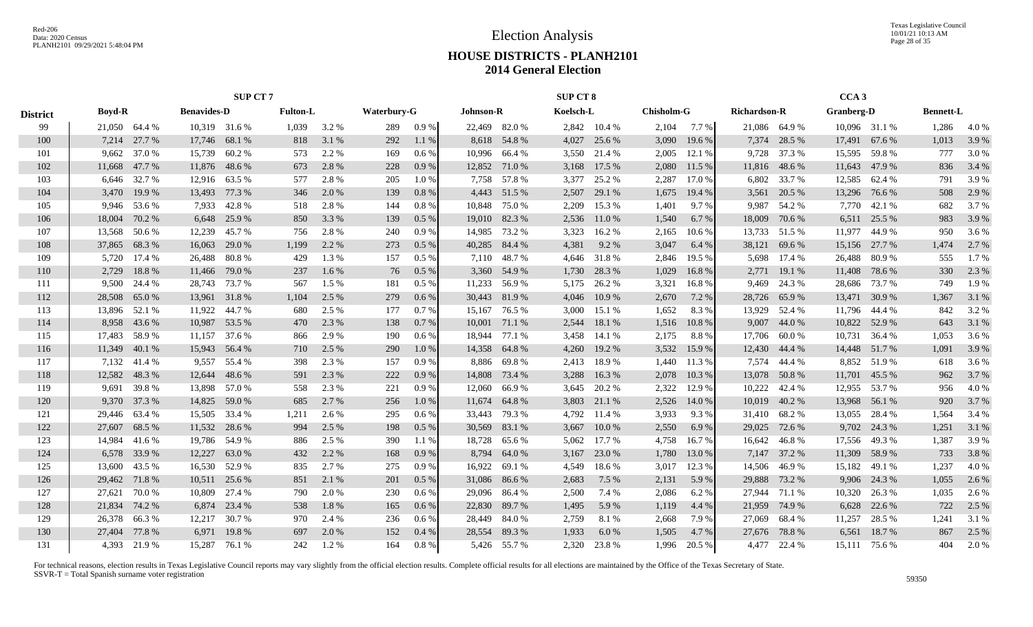|                 |               |               |                    | <b>SUP CT 7</b> |                 |       |             |         |                  |               | <b>SUP CT 8</b> |              |                   |        |                     |               | CCA <sub>3</sub>  |               |                  |       |
|-----------------|---------------|---------------|--------------------|-----------------|-----------------|-------|-------------|---------|------------------|---------------|-----------------|--------------|-------------------|--------|---------------------|---------------|-------------------|---------------|------------------|-------|
| <b>District</b> | <b>Boyd-R</b> |               | <b>Benavides-D</b> |                 | <b>Fulton-L</b> |       | Waterbury-G |         | <b>Johnson-R</b> |               | Koelsch-L       |              | <b>Chisholm-G</b> |        | <b>Richardson-R</b> |               | <b>Granberg-D</b> |               | <b>Bennett-L</b> |       |
| 99              | 21,050 64.4 % |               |                    | 10.319 31.6 %   | 1,039           | 3.2 % | 289         | 0.9%    |                  | 22,469 82.0 % |                 | 2,842 10.4 % | 2,104             | 7.7 %  |                     | 21,086 64.9 % |                   | 10,096 31.1 % | 1,286            | 4.0 % |
| 100             | 7,214         | 27.7 %        | 17,746             | 68.1 %          | 818             | 3.1 % | 292         | 1.1 %   |                  | 8,618 54.8%   | 4,027           | 25.6 %       | 3,090             | 19.6 % | 7,374               | 28.5 %        | 17,491            | 67.6 %        | 1,013            | 3.9%  |
| 101             | 9,662         | 37.0%         | 15,739             | 60.2%           | 573             | 2.2 % | 169         | $0.6\%$ | 10,996           | 66.4 %        | 3,550           | 21.4 %       | 2,005             | 12.1 % | 9,728               | 37.3 %        | 15,595            | 59.8%         | 777              | 3.0 % |
| 102             | 11,668        | 47.7 %        | 11,876             | 48.6 %          | 673             | 2.8 % | 228         | 0.9%    | 12,852           | 71.0 %        | 3,168           | 17.5 %       | 2,080             | 11.5 % | 11,816              | 48.6 %        | 11,643            | 47.9 %        | 836              | 3.4 % |
| 103             | 6,646         | 32.7 %        | 12,916             | 63.5 %          | 577             | 2.8%  | 205         | 1.0%    | 7,758            | 57.8 %        | 3,377           | 25.2 %       | 2,287             | 17.0 % | 6,802               | 33.7 %        | 12,585 62.4 %     |               | 791              | 3.9%  |
| 104             | 3,470         | 19.9 %        | 13,493             | 77.3 %          | 346             | 2.0 % | 139         | 0.8%    | 4,443            | 51.5 %        | 2,507           | 29.1 %       | 1,675             | 19.4 % | 3,561               | 20.5 %        | 13,296            | 76.6 %        | 508              | 2.9%  |
| 105             | 9,946         | 53.6%         | 7,933              | 42.8%           | 518             | 2.8%  | 144         | 0.8%    | 10,848           | 75.0%         | 2,209           | 15.3 %       | 1,401             | 9.7%   | 9,987               | 54.2 %        | 7,770             | 42.1 %        | 682              | 3.7%  |
| 106             | 18,004        | 70.2 %        | 6,648              | 25.9%           | 850             | 3.3 % | 139         | $0.5\%$ |                  | 19,010 82.3 % | 2,536           | 11.0 %       | 1,540             | 6.7%   | 18,009              | 70.6 %        | 6,511             | 25.5 %        | 983              | 3.9%  |
| 107             | 13,568        | 50.6 %        | 12,239             | 45.7 %          | 756             | 2.8%  | 240         | 0.9%    | 14,985           | 73.2 %        | 3,323           | 16.2%        | 2,165             | 10.6 % |                     | 13,733 51.5 % | 11,977            | 44.9 %        | 950              | 3.6 % |
| 108             | 37,865        | 68.3%         | 16,063             | 29.0 %          | 1,199           | 2.2 % | 273         | $0.5\%$ | 40,285           | 84.4 %        | 4,381           | 9.2%         | 3,047             | 6.4 %  | 38,121              | 69.6%         | 15,156            | 27.7 %        | 1,474            | 2.7%  |
| 109             | 5,720         | 17.4 %        | 26,488             | 80.8%           | 429             | 1.3%  | 157         | $0.5\%$ | 7,110            | 48.7%         | 4,646           | 31.8%        | 2,846             | 19.5 % | 5,698               | 17.4 %        | 26,488            | 80.9%         | 555              | 1.7%  |
| 110             | 2,729         | 18.8%         | 11,466             | 79.0 %          | 237             | 1.6%  | 76          | $0.5\%$ | 3,360            | 54.9 %        | 1,730           | 28.3%        | 1,029             | 16.8%  | 2,771               | 19.1 %        | 11,408            | 78.6%         | 330              | 2.3 % |
| 111             | 9,500         | 24.4 %        | 28,743             | 73.7 %          | 567             | 1.5 % | 181         | $0.5\%$ | 11,233           | 56.9%         | 5,175           | 26.2 %       | 3,321             | 16.8%  | 9,469               | 24.3 %        | 28,686            | 73.7 %        | 749              | 1.9%  |
| 112             | 28,508        | 65.0%         | 13,961             | 31.8%           | 1,104           | 2.5 % | 279         | 0.6%    |                  | 30,443 81.9 % | 4,046           | 10.9%        | 2,670             | 7.2 %  | 28,726              | 65.9%         |                   | 13,471 30.9 % | 1,367            | 3.1 % |
| 113             | 13,896        | 52.1 %        | 11,922             | 44.7 %          | 680             | 2.5 % | 177         | 0.7%    |                  | 15,167 76.5 % | 3,000           | 15.1 %       | 1,652             | 8.3%   | 13,929              | 52.4 %        | 11,796 44.4 %     |               | 842              | 3.2%  |
| 114             |               | 8,958 43.6 %  | 10,987             | 53.5 %          | 470             | 2.3 % | 138         | 0.7%    | 10,001           | 71.1 %        | 2,544           | 18.1 %       | 1,516             | 10.8%  | 9,007               | 44.0%         | 10,822            | 52.9 %        | 643              | 3.1 % |
| 115             |               | 17,483 58.9 % |                    | 11,157 37.6 %   | 866             | 2.9 % | 190         | $0.6\%$ | 18,944           | 77.1 %        | 3,458           | 14.1 %       | 2,175             | 8.8%   | 17,706              | 60.0%         | 10,731            | 36.4 %        | 1,053            | 3.6 % |
| 116             | 11,349        | 40.1 %        | 15,943             | 56.4 %          | 710             | 2.5 % | 290         | 1.0%    | 14,358           | 64.8 %        | 4,260           | 19.2 %       | 3,532             | 15.9 % | 12,430              | 44.4 %        | 14,448            | 51.7 %        | 1,091            | 3.9 % |
| 117             | 7,132         | 41.4 %        | 9,557              | 55.4 %          | 398             | 2.3 % | 157         | 0.9%    | 8,886            | 69.8%         | 2,413           | 18.9%        | 1,440             | 11.3 % | 7,574               | 44.4 %        | 8,852             | 51.9%         | 618              | 3.6 % |
| 118             | 12,582 48.3 % |               | 12,644             | 48.6 %          | 591             | 2.3 % | 222         | 0.9%    | 14,808           | 73.4 %        | 3,288           | 16.3 %       | 2,078             | 10.3 % | 13,078              | 50.8%         | 11,701            | 45.5 %        | 962              | 3.7 % |
| 119             | 9,691         | 39.8%         | 13,898             | 57.0 %          | 558             | 2.3 % | 221         | 0.9%    | 12,060           | 66.9%         | 3,645           | 20.2 %       | 2,322             | 12.9 % | 10,222              | 42.4 %        | 12,955 53.7 %     |               | 956              | 4.0 % |
| 120             | 9,370         | 37.3 %        | 14,825             | 59.0 %          | 685             | 2.7 % | 256         | 1.0%    | 11,674           | 64.8%         | 3,803           | 21.1 %       | 2,526             | 14.0 % | 10,019              | 40.2%         | 13,968            | 56.1 %        | 920              | 3.7%  |
| 121             | 29,446        | 63.4 %        | 15,505             | 33.4 %          | 1,211           | 2.6 % | 295         | $0.6\%$ | 33,443           | 79.3 %        | 4,792           | 11.4 %       | 3,933             | 9.3%   | 31,410              | 68.2%         | 13,055            | 28.4 %        | 1,564            | 3.4 % |
| 122             | 27,607        | 68.5 %        | 11,532             | 28.6 %          | 994             | 2.5 % | 198         | $0.5\%$ | 30,569           | 83.1 %        | 3,667           | 10.0 %       | 2,550             | 6.9%   | 29,025              | 72.6 %        | 9,702             | 24.3 %        | 1,251            | 3.1 % |
| 123             | 14,984        | 41.6 %        | 19,786             | 54.9 %          | 886             | 2.5 % | 390         | 1.1 %   | 18,728           | 65.6 %        | 5,062           | 17.7 %       | 4,758             | 16.7%  | 16,642              | 46.8%         | 17,556            | 49.3 %        | 1,387            | 3.9%  |
| 124             | 6,578         | 33.9%         | 12,227             | 63.0%           | 432             | 2.2 % | 168         | 0.9%    | 8,794            | 64.0%         | 3,167           | 23.0 %       | 1,780             | 13.0 % | 7,147               | 37.2 %        | 11,309            | 58.9%         | 733              | 3.8%  |
| 125             | 13,600        | 43.5 %        | 16,530             | 52.9%           | 835             | 2.7 % | 275         | 0.9%    | 16,922           | 69.1 %        | 4,549           | 18.6%        | 3,017             | 12.3 % | 14,506              | 46.9%         | 15,182            | 49.1 %        | 1,237            | 4.0%  |
| 126             | 29,462        | 71.8%         | 10,511             | 25.6 %          | 851             | 2.1 % | 201         | $0.5\%$ | 31,086           | 86.6 %        | 2,683           | 7.5 %        | 2,131             | 5.9 %  | 29,888              | 73.2 %        | 9,906             | 24.3 %        | 1,055            | 2.6 % |
| 127             | 27,621        | 70.0%         | 10,809             | 27.4 %          | 790             | 2.0 % | 230         | 0.6 %   | 29,096           | 86.4 %        | 2,500           | 7.4 %        | 2,086             | 6.2%   | 27,944              | 71.1 %        | 10,320            | 26.3 %        | 1,035            | 2.6 % |
| 128             | 21,834        | 74.2 %        | 6,874              | 23.4 %          | 538             | 1.8%  | 165         | 0.6%    | 22,830           | 89.7%         | 1,495           | 5.9%         | 1,119             | 4.4 %  | 21,959              | 74.9 %        | 6,628             | 22.6 %        | 722              | 2.5 % |
| 129             | 26,378        | 66.3%         | 12,217             | 30.7 %          | 970             | 2.4 % | 236         | 0.6 %   | 28,449           | 84.0%         | 2,759           | 8.1%         | 2,668             | 7.9%   | 27,069              | 68.4%         | 11,257            | 28.5 %        | 1,241            | 3.1 % |
| 130             | 27,404        | 77.8%         | 6,971              | 19.8%           | 697             | 2.0 % | 152         | 0.4%    | 28,554           | 89.3%         | 1,933           | 6.0%         | 1,505             | 4.7%   | 27,676              | 78.8%         | 6,561             | 18.7%         | 867              | 2.5 % |
| 131             |               | 4,393 21.9 %  |                    | 15,287 76.1 %   | 242             | 1.2%  | 164         | 0.8 %   |                  | 5,426 55.7 %  | 2,320           | 23.8%        | 1,996             | 20.5 % |                     | 4,477 22.4 %  |                   | 15,111 75.6 % | 404              | 2.0 % |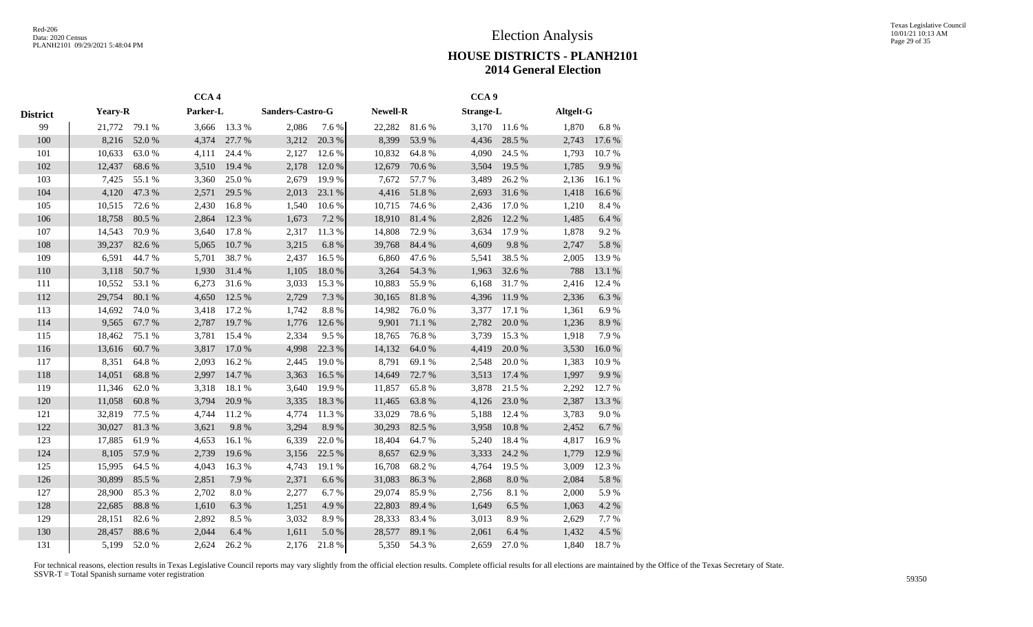|                 |         |           | CCA <sub>4</sub> |        |                  |           |                 |        | CCA <sub>9</sub> |           |           |            |
|-----------------|---------|-----------|------------------|--------|------------------|-----------|-----------------|--------|------------------|-----------|-----------|------------|
| <b>District</b> | Yeary-R |           | Parker-L         |        | Sanders-Castro-G |           | <b>Newell-R</b> |        | <b>Strange-L</b> |           | Altgelt-G |            |
| 99              | 21,772  | 79.1 %    | 3,666            | 13.3 % | 2,086            | 7.6%      | 22,282          | 81.6%  | 3,170            | 11.6 %    | 1,870     | 6.8%       |
| 100             | 8,216   | 52.0%     | 4,374            | 27.7 % | 3,212            | 20.3 %    | 8,399           | 53.9%  | 4,436            | 28.5 %    | 2,743     | 17.6 %     |
| 101             | 10,633  | 63.0%     | 4,111            | 24.4 % | 2,127            | 12.6 %    | 10,832          | 64.8%  | 4,090            | 24.5 %    | 1,793     | 10.7%      |
| 102             | 12,437  | 68.6%     | 3,510            | 19.4 % | 2,178            | 12.0%     | 12,679          | 70.6 % | 3,504            | 19.5 %    | 1,785     | 9.9%       |
| 103             | 7,425   | 55.1 %    | 3,360            | 25.0%  | 2,679            | 19.9%     | 7,672           | 57.7%  | 3,489            | 26.2%     | 2,136     | 16.1%      |
| 104             | 4,120   | 47.3 %    | 2,571            | 29.5 % | 2,013            | 23.1 %    | 4,416           | 51.8%  | 2,693            | 31.6%     | 1,418     | $16.6\:\%$ |
| 105             | 10,515  | 72.6 %    | 2,430            | 16.8%  | 1,540            | 10.6%     | 10,715          | 74.6%  | 2,436            | 17.0 %    | 1,210     | 8.4%       |
| 106             | 18,758  | 80.5 %    | 2,864            | 12.3 % | 1,673            | 7.2 %     | 18,910          | 81.4%  | 2,826            | 12.2 %    | 1,485     | $6.4~\%$   |
| 107             | 14,543  | 70.9%     | 3,640            | 17.8%  | 2,317            | 11.3%     | 14,808          | 72.9%  | 3,634            | 17.9%     | 1,878     | 9.2%       |
| 108             | 39,237  | 82.6%     | 5,065            | 10.7%  | 3,215            | $6.8~\%$  | 39,768          | 84.4 % | 4,609            | 9.8%      | 2,747     | 5.8 %      |
| 109             | 6,591   | 44.7%     | 5,701            | 38.7%  | 2,437            | 16.5 %    | 6,860           | 47.6 % | 5,541            | 38.5%     | 2,005     | 13.9%      |
| 110             | 3,118   | 50.7%     | 1,930            | 31.4 % | 1,105            | 18.0%     | 3,264           | 54.3 % | 1,963            | 32.6 %    | 788       | 13.1 %     |
| 111             | 10,552  | 53.1 %    | 6,273            | 31.6%  | 3,033            | 15.3 %    | 10,883          | 55.9%  | 6,168            | 31.7%     | 2,416     | 12.4 %     |
| 112             | 29,754  | 80.1 %    | 4,650            | 12.5 % | 2,729            | 7.3 %     | 30,165          | 81.8%  | 4,396            | 11.9%     | 2,336     | 6.3%       |
| 113             | 14,692  | 74.0%     | 3,418            | 17.2 % | 1,742            | 8.8%      | 14,982          | 76.0%  | 3,377            | 17.1 %    | 1,361     | 6.9%       |
| 114             | 9,565   | 67.7%     | 2,787            | 19.7%  | 1,776            | 12.6 %    | 9,901           | 71.1 % | 2,782            | 20.0%     | 1,236     | $8.9\ \%$  |
| 115             | 18,462  | 75.1 %    | 3,781            | 15.4 % | 2,334            | 9.5%      | 18,765          | 76.8%  | 3,739            | 15.3%     | 1,918     | 7.9%       |
| 116             | 13,616  | 60.7%     | 3,817            | 17.0%  | 4,998            | 22.3 %    | 14,132          | 64.0%  | 4,419            | 20.0 %    | 3,530     | 16.0%      |
| 117             | 8,351   | 64.8%     | 2,093            | 16.2%  | 2,445            | 19.0%     | 8,791           | 69.1%  | 2,548            | 20.0%     | 1,383     | 10.9%      |
| 118             | 14,051  | 68.8%     | 2,997            | 14.7%  | 3,363            | 16.5 %    | 14,649          | 72.7 % | 3,513            | 17.4 %    | 1,997     | 9.9%       |
| 119             | 11,346  | 62.0%     | 3,318            | 18.1 % | 3,640            | 19.9%     | 11,857          | 65.8%  | 3,878            | 21.5 %    | 2,292     | 12.7%      |
| 120             | 11,058  | $60.8~\%$ | 3,794            | 20.9%  | 3,335            | 18.3 %    | 11,465          | 63.8%  | 4,126            | 23.0%     | 2,387     | 13.3 %     |
| 121             | 32,819  | 77.5 %    | 4,744            | 11.2%  | 4,774            | 11.3%     | 33,029          | 78.6%  | 5,188            | 12.4 %    | 3,783     | 9.0 %      |
| 122             | 30,027  | 81.3%     | 3,621            | 9.8%   | 3,294            | 8.9%      | 30,293          | 82.5 % | 3,958            | 10.8 %    | 2,452     | 6.7%       |
| 123             | 17,885  | 61.9%     | 4,653            | 16.1%  | 6,339            | 22.0%     | 18,404          | 64.7%  | 5,240            | 18.4 %    | 4,817     | 16.9%      |
| 124             | 8,105   | 57.9%     | 2,739            | 19.6%  | 3,156            | 22.5 %    | 8,657           | 62.9%  | 3,333            | 24.2 %    | 1,779     | 12.9 %     |
| 125             | 15,995  | 64.5 %    | 4,043            | 16.3%  | 4,743            | 19.1 %    | 16,708          | 68.2%  | 4,764            | 19.5 %    | 3,009     | 12.3 %     |
| 126             | 30,899  | 85.5%     | 2,851            | 7.9%   | 2,371            | 6.6%      | 31,083          | 86.3%  | 2,868            | $8.0\ \%$ | 2,084     | 5.8 %      |
| 127             | 28,900  | 85.3%     | 2,702            | 8.0%   | 2,277            | 6.7%      | 29,074          | 85.9%  | 2,756            | 8.1%      | 2,000     | 5.9%       |
| 128             | 22,685  | 88.8 %    | 1,610            | 6.3%   | 1,251            | 4.9%      | 22,803          | 89.4%  | 1,649            | 6.5%      | 1,063     | 4.2 %      |
| 129             | 28,151  | 82.6%     | 2,892            | 8.5 %  | 3,032            | 8.9%      | 28,333          | 83.4%  | 3,013            | 8.9%      | 2,629     | 7.7%       |
| 130             | 28,457  | 88.6%     | 2,044            | 6.4 %  | 1,611            | $5.0\ \%$ | 28,577          | 89.1 % | 2,061            | 6.4%      | 1,432     | 4.5 %      |
| 131             | 5,199   | 52.0%     | 2,624            | 26.2%  | 2,176            | 21.8%     | 5,350           | 54.3 % | 2,659            | 27.0%     | 1,840     | 18.7%      |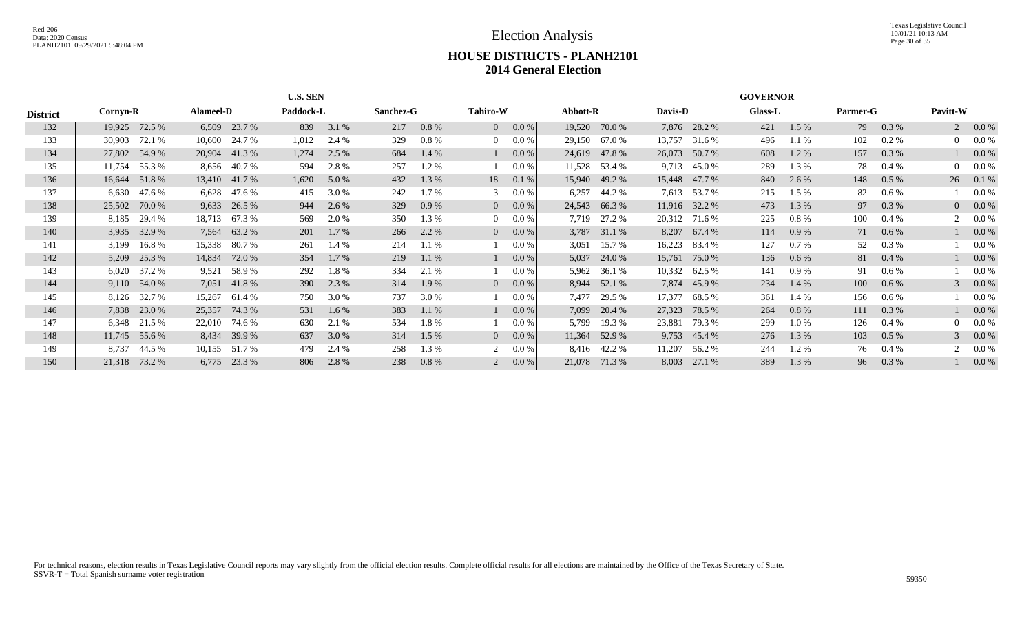|                 |          |               |                  |               | <b>U.S. SEN</b> |         |           |          |                 |              |          |               |         |               | <b>GOVERNOR</b> |          |          |          |          |                |
|-----------------|----------|---------------|------------------|---------------|-----------------|---------|-----------|----------|-----------------|--------------|----------|---------------|---------|---------------|-----------------|----------|----------|----------|----------|----------------|
| <b>District</b> | Cornyn-R |               | <b>Alameel-D</b> |               | Paddock-L       |         | Sanchez-G |          | <b>Tahiro-W</b> |              | Abbott-R |               | Davis-D |               | <b>Glass-L</b>  |          | Parmer-G |          | Pavitt-W |                |
| 132             | 19,925   | 72.5 %        | 6,509            | 23.7 %        | 839             | 3.1 %   | 217       | 0.8%     |                 | $0 \t 0.0\%$ | 19,520   | 70.0 %        |         | 7,876 28.2 %  | 421             | $1.5\%$  | 79       | 0.3 %    |          | $2\quad 0.0\%$ |
| 133             | 30,903   | 72.1 %        | 10,600           | 24.7 %        | 1,012           | 2.4 %   | 329       | $0.8 \%$ | $\Omega$        | $0.0\%$      | 29,150   | 67.0 %        | 13,757  | 31.6 %        | 496             | $1.1\%$  | 102      | $0.2 \%$ |          | $0$ 0.0 %      |
| 134             |          | 27,802 54.9 % | 20,904           | 41.3%         | 1,274           | 2.5 %   | 684       | $1.4\%$  |                 | 0.0 %        | 24,619   | 47.8 %        | 26,073  | 50.7 %        | 608             | $1.2\%$  | 157      | 0.3 %    |          | 0.0 %          |
| 135             | 11,754   | 55.3 %        | 8,656            | 40.7%         | 594             | 2.8%    | 257       | 1.2 %    |                 | 0.0 %        | 11,528   | 53.4 %        | 9,713   | 45.0 %        | 289             | 1.3 %    | 78       | $0.4\%$  |          | $0$ 0.0 %      |
| 136             | 16,644   | 51.8%         |                  | 13,410 41.7 % | 1,620           | 5.0 %   | 432       | 1.3 %    | 18 -            | 0.1%         |          | 15,940 49.2 % |         | 15,448 47.7 % | 840             | 2.6 %    | 148      | $0.5\%$  | 26       | $0.1\%$        |
| 137             | 6,630    | 47.6 %        | 6,628            | 47.6 %        | 415             | 3.0 %   | 242       | 1.7%     | 3               | 0.0 %        | 6,257    | 44.2 %        |         | 7,613 53.7 %  | 215             | $1.5\%$  | 82       | 0.6 %    |          | $0.0\%$        |
| 138             | 25,502   | 70.0 %        | 9,633            | 26.5 %        | 944             | 2.6 %   | 329       | 0.9%     | 0 <sup>1</sup>  | $0.0\%$      | 24,543   | 66.3%         |         | 11,916 32.2 % | 473             | 1.3 %    | 97       | 0.3 %    |          | 0 0.0 %        |
| 139             | 8,185    | 29.4 %        | 18,713           | 67.3 %        | 569             | 2.0 %   | 350       | 1.3 %    | 0               | $0.0\%$      | 7,719    | 27.2 %        |         | 20,312 71.6 % | 225             | $0.8\%$  | 100      | $0.4\%$  |          | $2\quad 0.0\%$ |
| 140             |          | 3,935 32.9 %  |                  | 7,564 63.2 %  | 201             | $1.7\%$ | 266       | 2.2 %    | $\overline{0}$  | $0.0\%$      |          | 3,787 31.1 %  |         | 8,207 67.4 %  | 114             | 0.9%     | 71       | $0.6\%$  |          | $0.0\%$        |
| 141             | 3,199    | 16.8%         | 15,338           | 80.7 %        | 261             | 1.4 %   | 214       | 1.1%     |                 | 0.0 %        | 3,051    | 15.7 %        | 16,223  | 83.4 %        | 127             | 0.7 %    | 52       | 0.3 %    |          | $0.0\%$        |
| 142             |          | 5,209 25.3 %  | 14,834           | 72.0 %        | 354             | 1.7 %   | 219       | 1.1%     |                 | 0.0 %        | 5,037    | 24.0 %        | 15,761  | 75.0 %        | 136             | 0.6 %    | 81       | $0.4\%$  |          | $0.0\%$        |
| 143             | 6,020    | 37.2 %        | 9,521            | 58.9 %        | 292             | 1.8%    | 334       | 2.1 %    |                 | 0.0 %        | 5,962    | 36.1 %        | 10,332  | 62.5 %        | 141             | 0.9 %    | 91       | 0.6 %    |          | $0.0\%$        |
| 144             |          | 9,110 54.0 %  |                  | 7,051 41.8 %  | 390             | 2.3 %   | 314       | 1.9 %    | $\Omega$        | $0.0\%$      |          | 8,944 52.1 %  |         | 7,874 45.9 %  | 234             | 1.4 %    | 100      | $0.6\%$  |          | $30.0\%$       |
| 145             | 8,126    | 32.7 %        | 15,267           | 61.4 %        | 750             | 3.0 %   | 737       | 3.0 %    |                 | 0.0 %        | 7,477    | 29.5 %        | 17,377  | 68.5 %        | 361             | 1.4 %    | 156      | 0.6 %    |          | $0.0\%$        |
| 146             |          | 7,838 23.0 %  | 25,357           | 74.3 %        | 531             | $1.6\%$ | 383       | $1.1\%$  |                 | 0.0 %        | 7,099    | 20.4 %        | 27,323  | 78.5 %        | 264             | $0.8 \%$ | 111      | 0.3 %    |          | $0.0\%$        |
| 147             | 6,348    | 21.5 %        | 22,010           | 74.6 %        | 630             | 2.1 %   | 534       | 1.8%     |                 | 0.0 %        | 5,799    | 19.3 %        | 23,881  | 79.3 %        | 299             | $1.0\%$  | 126      | $0.4\%$  |          | 0 0.0 %        |
| 148             |          | 11,745 55.6 % | 8,434            | 39.9 %        | 637             | 3.0 %   | 314       | 1.5 %    | $\overline{0}$  | $0.0\%$      | 11,364   | 52.9 %        |         | 9,753 45.4 %  | 276             | 1.3 %    | 103      | $0.5\%$  |          | 3 0.0 $%$      |
| 149             | 8,737    | 44.5 %        | 10,155           | 51.7 %        | 479             | 2.4 %   | 258       | 1.3 %    | 2               | $0.0\%$      |          | 8,416 42.2 %  | 11,207  | 56.2 %        | 244             | 1.2 %    | 76       | $0.4\%$  |          | $0.0\%$        |
| 150             | 21,318   | 73.2 %        | 6,775            | 23.3 %        | 806             | 2.8 %   | 238       | $0.8 \%$ |                 | $0.0\%$      | 21,078   | 71.3 %        | 8,003   | 27.1 %        | 389             | 1.3 %    | 96       | 0.3 %    |          | $0.0\%$        |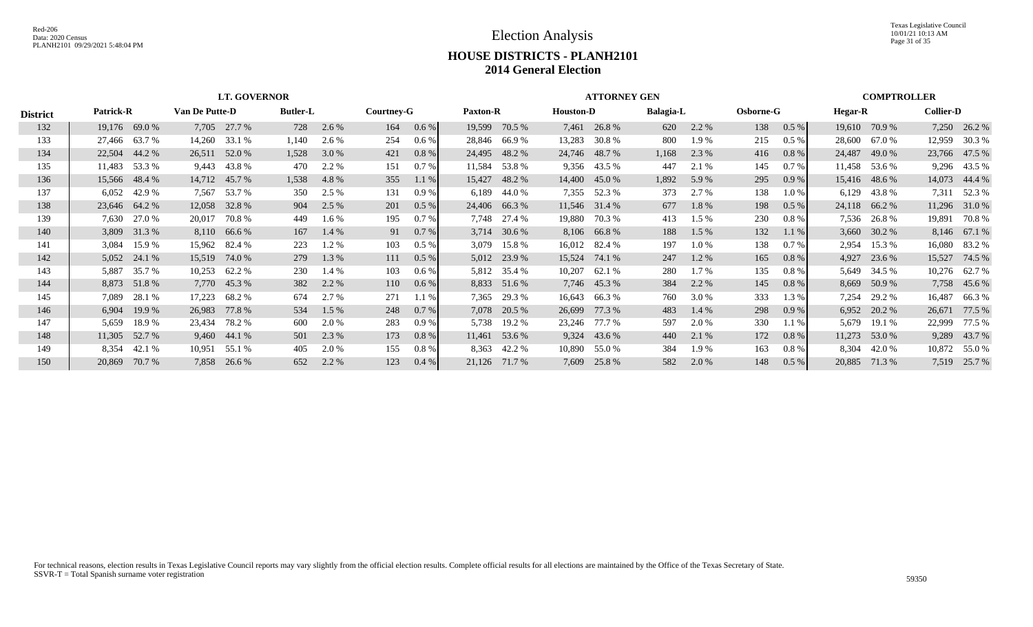Texas Legislative Council 10/01/21 10:13 AM Page 31 of 35

|                 |        |                                                                     |        | <b>LT. GOVERNOR</b> |       |         |     |         |                 |               |                  | <b>ATTORNEY GEN</b> |                  |         |                  |          |                |               | <b>COMPTROLLER</b> |              |
|-----------------|--------|---------------------------------------------------------------------|--------|---------------------|-------|---------|-----|---------|-----------------|---------------|------------------|---------------------|------------------|---------|------------------|----------|----------------|---------------|--------------------|--------------|
| <b>District</b> |        | <b>Patrick-R</b><br>Van De Putte-D<br><b>Butler-L</b><br>Courtney-G |        |                     |       |         |     |         | <b>Paxton-R</b> |               | <b>Houston-D</b> |                     | <b>Balagia-L</b> |         | <b>Osborne-G</b> |          | <b>Hegar-R</b> |               | <b>Collier-D</b>   |              |
| 132             |        | 19,176 69.0 %                                                       | 7,705  | 27.7 %              | 728   | 2.6 %   | 164 | $0.6\%$ | 19,599          | 70.5 %        | 7,461            | 26.8%               | 620              | 2.2 %   | 138              | 0.5%     | 19,610         | 70.9 %        | 7,250              | 26.2 %       |
| 133             | 27,466 | 63.7 %                                                              | 14,260 | 33.1 %              | 1,140 | 2.6 %   | 254 | $0.6\%$ |                 | 28,846 66.9 % | 13,283           | 30.8 %              | 800              | 1.9%    | 215              | 0.5%     | 28,600         | 67.0 %        | 12,959             | 30.3 %       |
| 134             | 22,504 | 44.2 %                                                              | 26,511 | 52.0 %              | 1,528 | 3.0%    | 421 | 0.8%    | 24,495          | 48.2 %        | 24,746           | 48.7 %              | 1,168            | 2.3 %   | 416              | $0.8 \%$ | 24,487         | 49.0 %        | 23,766             | 47.5 %       |
| 135             | 11,483 | 53.3 %                                                              | 9,443  | 43.8%               | 470   | 2.2 %   | 151 | 0.7%    | 11,584          | 53.8%         | 9,356            | 43.5 %              | 447              | 2.1 %   | 145              | 0.7 %    |                | 11,458 53.6 % |                    | 9,296 43.5 % |
| 136             | 15,566 | 48.4 %                                                              | 14,712 | 45.7 %              | 1,538 | 4.8%    | 355 | $1.1\%$ | 15,427          | 48.2 %        | 14,400           | 45.0 %              | 1,892            | 5.9%    | 295              | 0.9%     |                | 15,416 48.6 % | 14,073             | 44.4 %       |
| 137             | 6,052  | 42.9 %                                                              | 7,567  | 53.7 %              | 350   | 2.5 %   | 131 | 0.9%    | 6,189           | 44.0 %        | 7,355            | 52.3 %              | 373              | 2.7 %   | 138              | 1.0%     | 6,129          | 43.8 %        |                    | 7,311 52.3 % |
| 138             | 23,646 | 64.2 %                                                              | 12,058 | 32.8%               | 904   | 2.5 %   | 201 | $0.5\%$ | 24,406          | 66.3%         | 11,546           | 31.4 %              | 677              | 1.8%    | 198              | $0.5\%$  | 24,118         | 66.2%         | 11,296             | 31.0 %       |
| 139             | 7,630  | 27.0 %                                                              | 20,017 | 70.8%               | 449   | $1.6\%$ | 195 | 0.7%    | 7,748           | 27.4 %        | 19,880           | 70.3 %              | 413              | $1.5\%$ | 230              | 0.8 %    | 7,536          | 26.8 %        | 19,891             | 70.8%        |
| 140             |        | 3,809 31.3 %                                                        | 8,110  | 66.6 %              | 167   | 1.4 %   | 91  | 0.7 %   | 3,714           | 30.6 %        | 8,106            | 66.8%               | 188              | $1.5\%$ | 132              | 1.1%     | 3,660          | 30.2 %        |                    | 8,146 67.1 % |
| 141             | 3,084  | 15.9 %                                                              | 15,962 | 82.4 %              | 223   | 1.2%    | 103 | 0.5%    | 3,079           | 15.8%         | 16,012           | 82.4 %              | 197              | $1.0\%$ | 138              | 0.7%     | 2,954          | 15.3 %        | 16,080             | 83.2 %       |
| 142             | 5,052  | 24.1 %                                                              | 15,519 | 74.0 %              | 279   | 1.3 %   | 111 | $0.5\%$ |                 | 5,012 23.9 %  | 15,524           | 74.1 %              | 247              | 1.2%    | 165              | 0.8 %    | 4,927          | 23.6 %        | 15,527             | 74.5 %       |
| 143             | 5,887  | 35.7 %                                                              | 10,253 | 62.2 %              | 230   | 1.4 %   | 103 | $0.6\%$ | 5,812           | 35.4 %        | 10,207           | 62.1 %              | 280              | $1.7\%$ | 135              | 0.8 %    |                | 5,649 34.5 %  | 10,276             | 62.7 %       |
| 144             |        | 8,873 51.8 %                                                        |        | 7,770 45.3 %        | 382   | 2.2 %   | 110 | 0.6 %   |                 | 8,833 51.6 %  |                  | 7,746 45.3 %        | 384              | 2.2 %   | 145              | 0.8 %    |                | 8,669 50.9 %  |                    | 7,758 45.6 % |
| 145             | 7,089  | 28.1 %                                                              | 17,223 | 68.2%               | 674   | 2.7 %   | 271 | 1.1 %   | 7,365           | 29.3 %        | 16,643           | 66.3%               | 760              | 3.0 %   | 333              | 1.3%     | 7,254          | 29.2 %        | 16,487             | 66.3%        |
| 146             | 6,904  | 19.9 %                                                              | 26,983 | 77.8%               | 534   | $1.5\%$ | 248 | 0.7 %   | 7,078           | 20.5 %        | 26,699           | 77.3 %              | 483              | 1.4 %   | 298              | 0.9%     | 6,952          | 20.2 %        | 26,671             | 77.5 %       |
| 147             | 5,659  | 18.9%                                                               | 23,434 | 78.2 %              | 600   | 2.0 %   | 283 | 0.9 %   | 5,738           | 19.2 %        | 23,246           | 77.7 %              | 597              | 2.0 %   | 330              | 1.1%     | 5,679          | 19.1 %        | 22,999             | 77.5 %       |
| 148             |        | 11,305 52.7 %                                                       | 9,460  | 44.1 %              | 501   | 2.3 %   | 173 | 0.8 %   | 11,461          | 53.6 %        | 9,324            | 43.6 %              | 440              | 2.1 %   | 172              | 0.8 %    |                | 11,273 53.0 % |                    | 9,289 43.7 % |
| 149             | 8,354  | 42.1 %                                                              | 10,951 | 55.1 %              | 405   | 2.0 %   | 155 | 0.8%    | 8,363           | 42.2 %        | 10,890           | 55.0 %              | 384              | 1.9%    | 163              | $0.8 \%$ | 8,304          | 42.0 %        | 10,872             | 55.0 %       |
| 150             | 20,869 | 70.7 %                                                              | 7,858  | 26.6 %              | 652   | 2.2 %   | 123 | $0.4\%$ | 21,126          | 71.7 %        | 7,609            | 25.8%               | 582              | 2.0%    | 148              | 0.5 %    | 20,885         | 71.3 %        |                    | 7,519 25.7 % |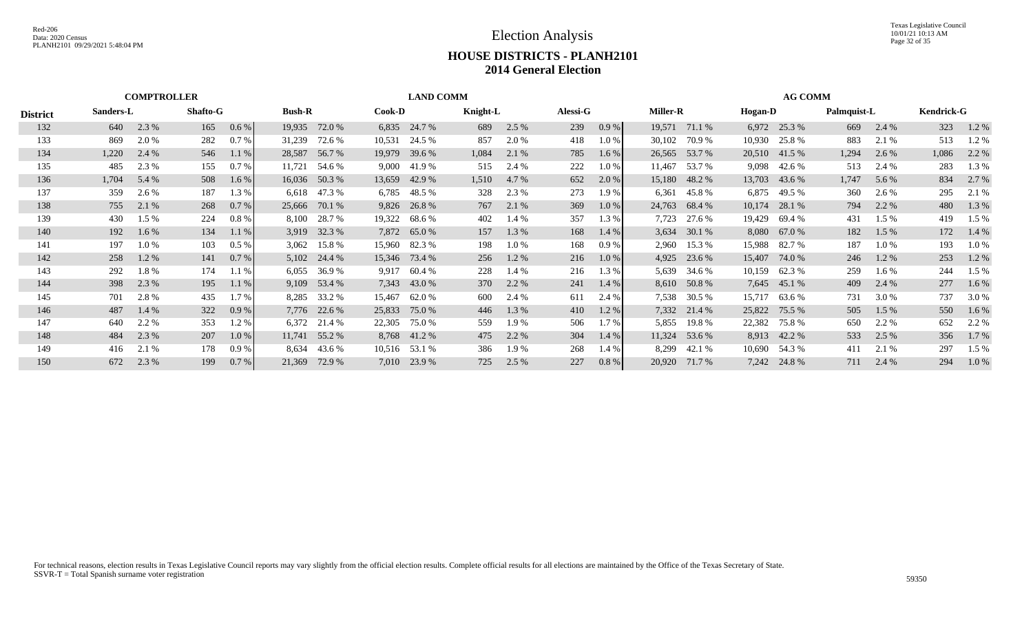|                 |           | <b>COMPTROLLER</b> |          |         |               |                |               | <b>LAND COMM</b> |          |         |                 |          |                 |               |         | <b>AG COMM</b> |             |         |                   |         |
|-----------------|-----------|--------------------|----------|---------|---------------|----------------|---------------|------------------|----------|---------|-----------------|----------|-----------------|---------------|---------|----------------|-------------|---------|-------------------|---------|
| <b>District</b> | Sanders-L |                    | Shafto-G |         | <b>Bush-R</b> |                | <b>Cook-D</b> |                  | Knight-L |         | <b>Alessi-G</b> |          | <b>Miller-R</b> |               | Hogan-D |                | Palmquist-L |         | <b>Kendrick-G</b> |         |
| 132             | 640       | 2.3 %              | 165      | 0.6 %   |               | 19,935 72.0 %  |               | 6,835 24.7 %     | 689      | 2.5 %   | 239             | 0.9%     |                 | 19,571 71.1 % | 6,972   | 25.3 %         | 669         | 2.4 %   | 323               | 1.2 %   |
| 133             | 869       | 2.0 %              | 282      | 0.7 %   | 31,239        | 72.6 %         | 10,531        | 24.5 %           | 857      | 2.0 %   | 418             | 1.0%     | 30,102          | 70.9%         | 10,930  | 25.8 %         | 883         | 2.1 %   | 513               | 1.2 %   |
| 134             | 1,220     | 2.4 %              | 546      | 1.1%    |               | 28,587 56.7 %  | 19,979        | 39.6 %           | 1,084    | 2.1 %   | 785             | 1.6 %    |                 | 26,565 53.7 % |         | 20,510 41.5 %  | 1,294       | 2.6 %   | 1,086             | 2.2 %   |
| 135             | 485       | 2.3 %              | 155      | 0.7 %   | 11,721        | 54.6 %         | 9,000         | 41.9 %           | 515      | 2.4 %   | 222             | 1.0%     | 11,467          | 53.7 %        | 9,098   | 42.6 %         | 513         | 2.4 %   | 283               | 1.3 %   |
| 136             | 1,704     | 5.4 %              | 508      | 1.6%    |               | 16,036 50.3 %  | 13,659        | 42.9 %           | 1,510    | 4.7 %   | 652             | 2.0%     | 15,180          | 48.2 %        | 13,703  | 43.6 %         | 1,747       | 5.6 %   | 834               | 2.7 %   |
| 137             | 359       | 2.6 %              | 187      | 1.3%    | 6,618         | 47.3 %         | 6,785         | 48.5 %           | 328      | 2.3 %   | 273             | 1.9 %    | 6,361           | 45.8 %        | 6,875   | 49.5 %         | 360         | 2.6 %   | 295               | 2.1 %   |
| 138             | 755       | 2.1 %              | 268      | 0.7 %   |               | 25,666 70.1 %  |               | 9,826 26.8 %     | 767      | 2.1 %   | 369             | 1.0 %    | 24,763          | 68.4 %        | 10,174  | 28.1 %         | 794         | 2.2 %   | 480               | 1.3 %   |
| 139             | 430       | 1.5 %              | 224      | 0.8%    | 8,100         | 28.7 %         | 19,322        | 68.6 %           | 402      | 1.4 %   | 357             | 1.3 %    | 7,723           | 27.6 %        | 19,429  | 69.4 %         | 431         | $1.5\%$ | 419               | 1.5 %   |
| 140             | 192       | $1.6\%$            | 134      | 1.1%    |               | 3,919 32.3 %   |               | 7,872 65.0 %     | 157      | 1.3 %   | 168             | 1.4%     | 3,634           | 30.1 %        | 8,080   | 67.0 %         | 182         | $1.5\%$ | 172               | 1.4 %   |
| 141             | 197       | 1.0%               | 103      | 0.5%    | 3,062         | 15.8 %         | 15,960        | 82.3 %           | 198      | $1.0\%$ | 168             | 0.9%     | 2,960           | 15.3 %        | 15,988  | 82.7 %         | 187         | $1.0\%$ | 193               | 1.0%    |
| 142             | 258       | 1.2 %              | 141      | 0.7 %   |               | $5,102$ 24.4 % | 15,346        | 73.4 %           | 256      | 1.2 %   | 216             | 1.0%     | 4,925           | 23.6 %        | 15,407  | 74.0 %         | 246         | $1.2\%$ | 253               | 1.2 %   |
| 143             | 292       | 1.8%               | 174      | 1.1%    | 6,055         | 36.9 %         | 9,917         | 60.4 %           | 228      | 1.4 %   | 216             | 1.3%     | 5,639           | 34.6 %        | 10,159  | 62.3 %         | 259         | $1.6\%$ | 244               | 1.5 %   |
| 144             | 398       | 2.3 %              | 195      | 1.1%    |               | 9,109 53.4 %   |               | 7,343 43.0 %     | 370      | 2.2 %   | 241             | 1.4%     |                 | 8,610 50.8 %  |         | 7,645 45.1 %   | 409         | 2.4 %   | 277               | $1.6\%$ |
| 145             | 701       | 2.8%               | 435      | 1.7%    | 8,285         | 33.2 %         | 15,467        | 62.0 %           | 600      | 2.4 %   | 611             | 2.4 %    | 7,538           | 30.5 %        | 15,717  | 63.6 %         | 731         | 3.0 %   | 737               | 3.0 %   |
| 146             | 487       | 1.4 %              | 322      | 0.9%    |               | 7,776 22.6 %   | 25,833        | 75.0 %           | 446      | 1.3 %   | 410             | 1.2%     |                 | 7,332 21.4 %  | 25,822  | 75.5 %         | 505         | $1.5\%$ | 550               | $1.6\%$ |
| 147             | 640       | 2.2 %              | 353      | 1.2%    | 6,372         | 21.4 %         | 22,305        | 75.0 %           | 559      | 1.9 %   | 506             | 1.7%     | 5,855           | 19.8 %        | 22,382  | 75.8 %         | 650         | 2.2 %   | 652               | 2.2 %   |
| 148             | 484       | 2.3 %              | 207      | $1.0\%$ |               | 11,741 55.2 %  |               | 8,768 41.2 %     | 475      | 2.2 %   | 304             | $1.4\%$  |                 | 11,324 53.6 % |         | 8,913 42.2 %   | 533         | 2.5 %   | 356               | 1.7 %   |
| 149             | 416       | 2.1 %              | 178      | 0.9%    | 8,634         | 43.6 %         |               | 10,516 53.1 %    | 386      | 1.9 %   | 268             | 1.4%     | 8,299           | 42.1 %        | 10,690  | 54.3 %         | 411         | 2.1 %   | 297               | $1.5\%$ |
| 150             | 672       | 2.3 %              | 199      | 0.7 %   | 21,369        | 72.9 %         | 7,010         | 23.9 %           | 725      | 2.5 %   | 227             | $0.8 \%$ | 20,920          | 71.7 %        | 7,242   | 24.8 %         | 711         | 2.4 %   | 294               | $1.0\%$ |
|                 |           |                    |          |         |               |                |               |                  |          |         |                 |          |                 |               |         |                |             |         |                   |         |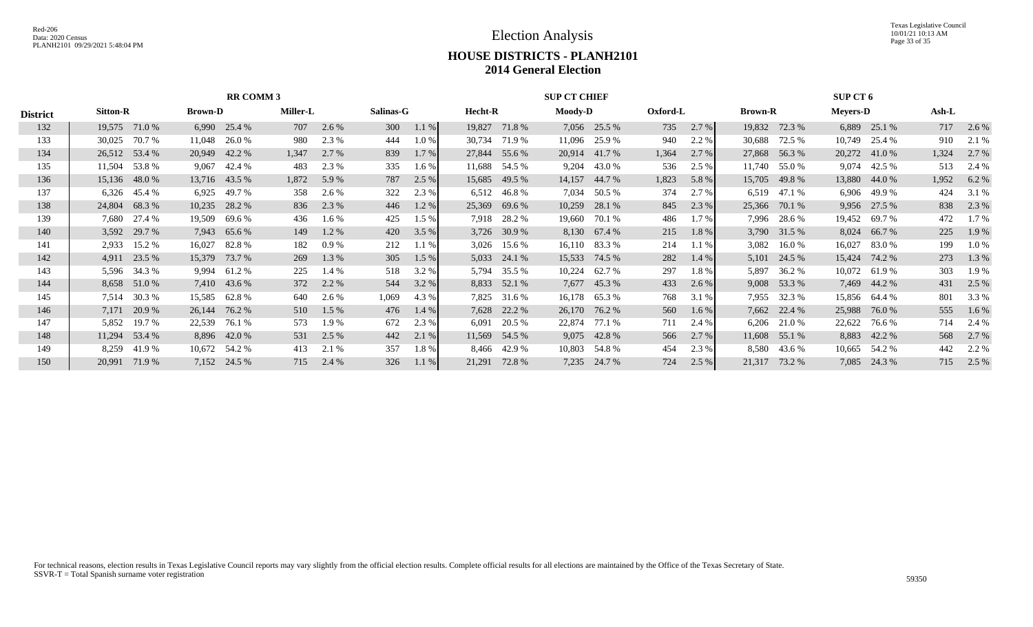Texas Legislative Council 10/01/21 10:13 AM Page 33 of 35

|                 |                 |               |                | <b>RR COMM 3</b> |                 |         |           |         |                |               | <b>SUP CT CHIEF</b> |              |          |         |                |               | <b>SUP CT 6</b> |               |       |          |
|-----------------|-----------------|---------------|----------------|------------------|-----------------|---------|-----------|---------|----------------|---------------|---------------------|--------------|----------|---------|----------------|---------------|-----------------|---------------|-------|----------|
| <b>District</b> | <b>Sitton-R</b> |               | <b>Brown-D</b> |                  | <b>Miller-L</b> |         | Salinas-G |         | <b>Hecht-R</b> |               | <b>Moody-D</b>      |              | Oxford-L |         | <b>Brown-R</b> |               | <b>Meyers-D</b> |               | Ash-L |          |
| 132             | 19,575          | 71.0 %        |                | 6,990 25.4 %     | 707             | 2.6 %   | 300       | $1.1\%$ | 19,827         | 71.8 %        |                     | 7,056 25.5 % | 735      | $2.7\%$ | 19,832         | 72.3 %        |                 | 6,889 25.1 %  | 717   | 2.6 %    |
| 133             | 30,025          | 70.7 %        | 11,048         | 26.0 %           | 980             | 2.3 %   | 444       | $1.0\%$ | 30,734         | 71.9 %        | 11,096              | 25.9 %       | 940      | 2.2 %   | 30,688         | 72.5 %        |                 | 10,749 25.4 % | 910   | 2.1 %    |
| 134             | 26,512          | 53.4 %        | 20,949         | 42.2 %           | 1,347           | 2.7 %   | 839       | 1.7 %   | 27,844         | 55.6 %        | 20,914              | 41.7 %       | 1,364    | 2.7%    | 27,868         | 56.3%         | 20,272          | 41.0 %        | 1,324 | 2.7 %    |
| 135             | 11,504          | 53.8%         | 9,067          | 42.4 %           | 483             | 2.3 %   | 335       | 1.6 %   | 11,688         | 54.5 %        | 9,204               | 43.0 %       | 536      | 2.5 %   | 11,740         | 55.0 %        | 9,074           | 42.5 %        | 513   | 2.4 %    |
| 136             |                 | 15,136 48.0 % |                | 13,716 43.5 %    | 1,872           | 5.9 %   | 787       | 2.5 %   | 15,685         | 49.5 %        | 14,157              | 44.7 %       | 1,823    | 5.8 %   | 15,705         | 49.8%         | 13,880          | 44.0 %        | 1,952 | 6.2 %    |
| 137             |                 | 6,326 45.4 %  | 6,925          | 49.7 %           | 358             | 2.6 %   | 322       | 2.3 %   | 6,512          | 46.8%         | 7,034               | 50.5 %       | 374      | 2.7 %   | 6,519          | 47.1 %        |                 | 6,906 49.9 %  | 424   | 3.1 %    |
| 138             | 24,804          | 68.3%         | 10,235         | 28.2 %           | 836             | 2.3 %   | 446       | 1.2 %   | 25,369         | 69.6 %        | 10,259              | 28.1 %       | 845      | 2.3 %   | 25,366         | 70.1 %        | 9,956           | 27.5 %        | 838   | 2.3 %    |
| 139             | 7.680           | 27.4 %        | 19,509         | 69.6 %           | 436             | 1.6 %   | 425       | $1.5\%$ | 7,918          | 28.2 %        | 19,660              | 70.1 %       | 486      | 1.7 %   | 7,996          | 28.6 %        | 19,452          | 69.7 %        | 472   | 1.7 %    |
| 140             |                 | 3,592 29.7 %  |                | 7,943 65.6 %     | 149             | 1.2%    | 420       | 3.5%    |                | 3,726 30.9 %  | 8,130               | 67.4 %       | 215      | 1.8 %   | 3,790          | 31.5 %        |                 | 8,024 66.7 %  | 225   | 1.9 %    |
| 141             | 2,933           | 15.2 %        | 16,027         | 82.8 %           | 182             | 0.9%    | 212       | 1.1 %   | 3,026          | 15.6 %        | 16,110              | 83.3 %       | 214      | 1.1%    | 3,082          | 16.0 %        | 16,027          | 83.0 %        | 199   | $1.0 \%$ |
| 142             | 4,911           | 23.5 %        | 15,379         | 73.7 %           | 269             | 1.3 %   | 305       | 1.5 %   | 5,033          | 24.1 %        | 15,533              | 74.5 %       | 282      | 1.4%    | 5,101          | 24.5 %        | 15,424          | 74.2 %        | 273   | 1.3 %    |
| 143             |                 | 5,596 34.3 %  | 9,994          | 61.2%            | 225             | 1.4 %   | 518       | 3.2 %   | 5,794          | 35.5 %        | 10,224              | 62.7 %       | 297      | 1.8 %   | 5,897          | 36.2 %        | 10,072          | 61.9 %        | 303   | 1.9 %    |
| 144             |                 | 8,658 51.0 %  |                | 7,410 43.6 %     | 372             | 2.2 %   | 544       | 3.2 %   | 8,833          | 52.1 %        | 7,677               | 45.3 %       | 433      | $2.6\%$ |                | 9,008 53.3 %  |                 | 7,469 44.2 %  | 431   | 2.5 %    |
| 145             |                 | 7,514 30.3 %  | 15,585         | 62.8 %           | 640             | 2.6 %   | 1,069     | 4.3 %   | 7,825          | 31.6 %        | 16,178              | 65.3 %       | 768      | 3.1 %   | 7,955          | 32.3 %        |                 | 15,856 64.4 % | 801   | 3.3 %    |
| 146             | 7,171           | 20.9 %        | 26,144         | 76.2 %           | 510             | $1.5\%$ | 476       | $1.4\%$ | 7,628          | 22.2 %        | 26,170              | 76.2 %       | 560      | 1.6 %   | 7,662          | 22.4 %        | 25,988          | 76.0 %        | 555   | $1.6\%$  |
| 147             | 5,852           | 19.7 %        | 22,539         | 76.1 %           | 573             | 1.9 %   | 672       | 2.3 %   | 6,091          | 20.5 %        | 22,874              | 77.1 %       | 711      | 2.4 %   | 6,206          | 21.0 %        | 22,622          | 76.6 %        | 714   | 2.4 %    |
| 148             |                 | 11,294 53.4 % |                | 8,896 42.0 %     | 531             | 2.5 %   | 442       | 2.1 %   |                | 11,569 54.5 % | 9,075               | 42.8%        | 566      | 2.7%    |                | 11,608 55.1 % |                 | 8,883 42.2 %  | 568   | 2.7 %    |
| 149             | 8,259           | 41.9 %        | 10,672         | 54.2 %           | 413             | 2.1 %   | 357       | 1.8%    | 8,466          | 42.9 %        | 10,803              | 54.8 %       | 454      | 2.3 %   | 8,580          | 43.6 %        | 10,665          | 54.2 %        | 442   | 2.2 %    |
| 150             | 20,991          | 71.9 %        |                | 7,152 24.5 %     | 715             | 2.4 %   | 326       | $1.1\%$ | 21,291         | 72.8%         | 7,235               | 24.7 %       | 724      | 2.5 %   | 21,317         | 73.2 %        | 7,085           | 24.3 %        | 715   | 2.5 %    |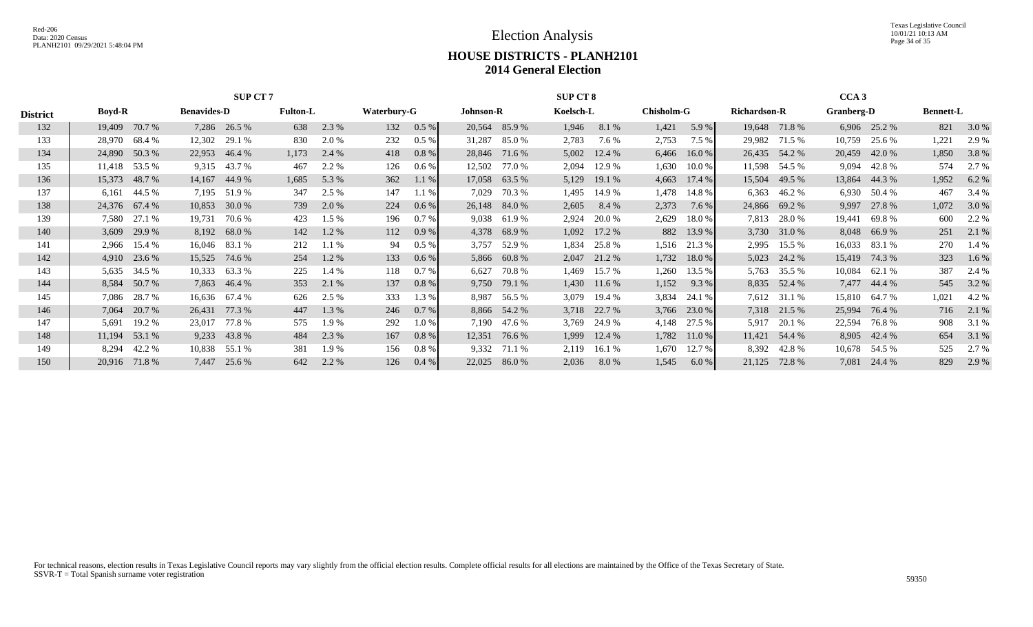Texas Legislative Council 10/01/21 10:13 AM Page 34 of 35

|                 |               |                |                    | <b>SUP CT 7</b> |                 |       |             |          |                  | <b>SUP CT 8</b> |           |                |                   |            |                     | CCA3          |            |              |                  |         |
|-----------------|---------------|----------------|--------------------|-----------------|-----------------|-------|-------------|----------|------------------|-----------------|-----------|----------------|-------------------|------------|---------------------|---------------|------------|--------------|------------------|---------|
| <b>District</b> | <b>Boyd-R</b> |                | <b>Benavides-D</b> |                 | <b>Fulton-L</b> |       | Waterbury-G |          | <b>Johnson-R</b> |                 | Koelsch-L |                | <b>Chisholm-G</b> |            | <b>Richardson-R</b> |               | Granberg-D |              | <b>Bennett-L</b> |         |
| 132             | 19,409        | 70.7 %         |                    | 7,286 26.5 %    | 638             | 2.3 % | 132         | $0.5\%$  |                  | 20,564 85.9 %   | 1,946     | 8.1 %          | 1,421             | 5.9 %      |                     | 19,648 71.8 % |            | 6,906 25.2 % | 821              | 3.0 %   |
| 133             | 28,970        | 68.4 %         | 12,302             | 29.1 %          | 830             | 2.0 % | 232         | $0.5\%$  | 31,287           | 85.0 %          | 2,783     | 7.6 %          | 2,753             | 7.5 %      | 29,982              | 71.5 %        | 10,759     | 25.6 %       | 1,221            | 2.9 %   |
| 134             |               | 24,890 50.3 %  | 22,953             | 46.4 %          | 1,173           | 2.4 % | 418         | 0.8%     | 28,846           | 71.6 %          | 5,002     | 12.4 %         | 6,466             | 16.0 %     | 26,435              | 54.2 %        | 20,459     | 42.0 %       | 1,850            | 3.8 %   |
| 135             |               | 11,418 53.5 %  | 9,315              | 43.7 %          | 467             | 2.2 % | 126         | $0.6\%$  | 12,502           | 77.0 %          | 2,094     | 12.9 %         | 1,630             | 10.0 %     | 11,598              | 54.5 %        | 9,094      | 42.8%        | 574              | 2.7 %   |
| 136             | 15,373        | 48.7 %         |                    | 14,167 44.9 %   | 1,685           | 5.3 % | 362         | $1.1\%$  |                  | 17,058 63.5 %   | 5,129     | 19.1 %         | 4,663             | 17.4 %     | 15,504              | 49.5 %        | 13,864     | 44.3 %       | 1,952            | 6.2 %   |
| 137             | 6,161         | 44.5 %         | 7,195              | 51.9%           | 347             | 2.5 % | 147         | 1.1%     | 7,029            | 70.3 %          | 1,495     | 14.9 %         | 1,478             | 14.8%      | 6,363               | 46.2 %        | 6,930      | 50.4 %       | 467              | 3.4 %   |
| 138             |               | 24,376 67.4 %  |                    | 10,853 30.0 %   | 739             | 2.0 % | 224         | 0.6 %    |                  | 26,148 84.0 %   | 2,605     | 8.4 %          | 2,373             | 7.6 %      | 24,866              | 69.2 %        | 9,997      | 27.8 %       | 1,072            | 3.0 %   |
| 139             | 7,580         | 27.1 %         | 19,731             | 70.6 %          | 423             | 1.5 % | 196         | 0.7%     | 9,038            | 61.9 %          | 2,924     | 20.0 %         | 2,629             | 18.0%      | 7,813               | 28.0 %        | 19,441     | 69.8 %       | 600              | 2.2 %   |
| 140             |               | $3,609$ 29.9 % |                    | 8,192 68.0 %    | 142             | 1.2 % | 112         | 0.9%     |                  | 4,378 68.9 %    |           | $1,092$ 17.2 % |                   | 882 13.9 % |                     | 3,730 31.0 %  |            | 8,048 66.9 % | 251              | 2.1 %   |
| 141             | 2,966         | 15.4 %         | 16,046             | 83.1 %          | 212             | 1.1%  | 94          | $0.5\%$  | 3,757            | 52.9 %          | 1,834     | 25.8%          | 1,516             | 21.3 %     | 2,995               | 15.5 %        | 16,033     | 83.1 %       | 270              | 1.4 %   |
| 142             |               | 4,910 23.6 %   | 15,525             | 74.6 %          | 254             | 1.2%  | 133         | 0.6 %    |                  | 5,866 60.8 %    | 2,047     | 21.2 %         | 1,732             | 18.0%      | 5,023               | 24.2 %        | 15,419     | 74.3 %       | 323              | $1.6\%$ |
| 143             | 5,635         | 34.5 %         | 10,333             | 63.3 %          | 225             | 1.4 % | 118         | 0.7%     | 6,627            | 70.8 %          | 1,469     | 15.7 %         | 1,260             | 13.5 %     | 5,763               | 35.5 %        | 10,084     | 62.1 %       | 387              | 2.4 %   |
| 144             |               | 8,584 50.7 %   |                    | 7,863 46.4 %    | 353             | 2.1 % | 137         | $0.8 \%$ | 9,750            | 79.1 %          |           | 1,430 11.6 %   | 1,152             | 9.3 %      |                     | 8,835 52.4 %  |            | 7,477 44.4 % | 545              | 3.2 %   |
| 145             | 7,086         | 28.7 %         | 16,636             | 67.4 %          | 626             | 2.5 % | 333         | 1.3 %    | 8,987            | 56.5 %          | 3,079     | 19.4 %         | 3,834             | 24.1 %     | 7,612               | 31.1 %        | 15,810     | 64.7 %       | 1,021            | 4.2 %   |
| 146             | 7,064         | 20.7 %         | 26,431             | 77.3 %          | 447             | 1.3 % | 246         | 0.7 %    |                  | 8,866 54.2 %    | 3,718     | 22.7 %         | 3,766             | 23.0 %     |                     | 7,318 21.5 %  | 25,994     | 76.4 %       | 716              | 2.1 %   |
| 147             | 5,691         | 19.2 %         | 23,017             | 77.8%           | 575             | 1.9%  | 292         | 1.0%     | 7,190            | 47.6 %          | 3,769     | 24.9 %         | 4,148             | 27.5 %     | 5,917               | 20.1 %        | 22,594     | 76.8%        | 908              | 3.1 %   |
| 148             | 11,194        | 53.1 %         |                    | 9,233 43.8 %    | 484             | 2.3 % | 167         | $0.8 \%$ | 12,351           | 76.6 %          | 1,999     | 12.4 %         | 1,782             | 11.0 %     |                     | 11,421 54.4 % |            | 8,905 42.4 % | 654              | 3.1 %   |
| 149             | 8,294         | 42.2 %         | 10,838             | 55.1 %          | 381             | 1.9 % | 156         | 0.8%     | 9,332            | 71.1 %          | 2,119     | 16.1 %         | 1,670             | 12.7 %     | 8,392               | 42.8 %        | 10,678     | 54.5 %       | 525              | 2.7 %   |
| 150             | 20.916        | 71.8 %         | 7,447              | 25.6 %          | 642             | 2.2 % | 126         | $0.4\%$  | 22,025           | 86.0%           | 2,036     | 8.0 %          | 1,545             | 6.0%       | 21,125              | 72.8%         | 7,081      | 24.4 %       | 829              | 2.9 %   |